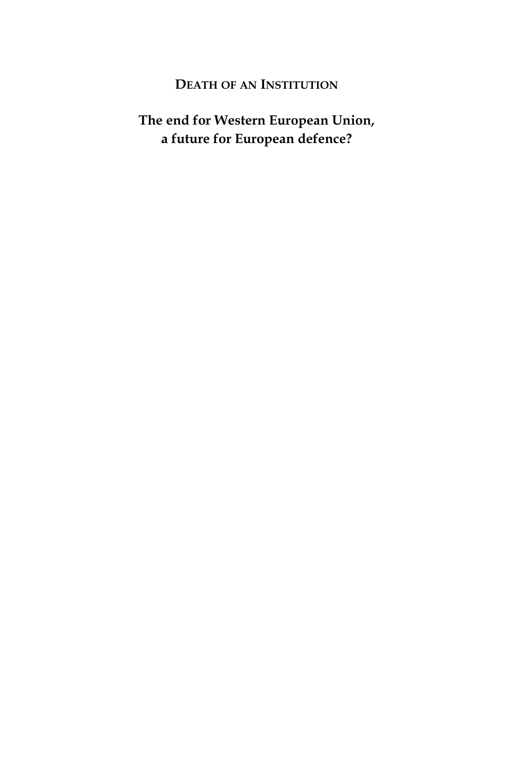#### **DEATH OF AN INSTITUTION**

## **The end for Western European Union, a future for European defence?**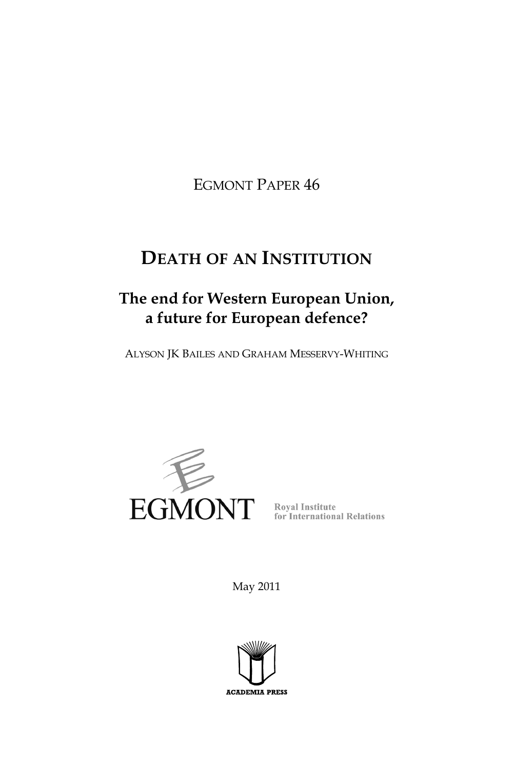EGMONT PAPER 46

# **DEATH OF AN INSTITUTION**

# **The end for Western European Union, a future for European defence?**

ALYSON JK BAILES AND GRAHAM MESSERVY-WHITING



May 2011

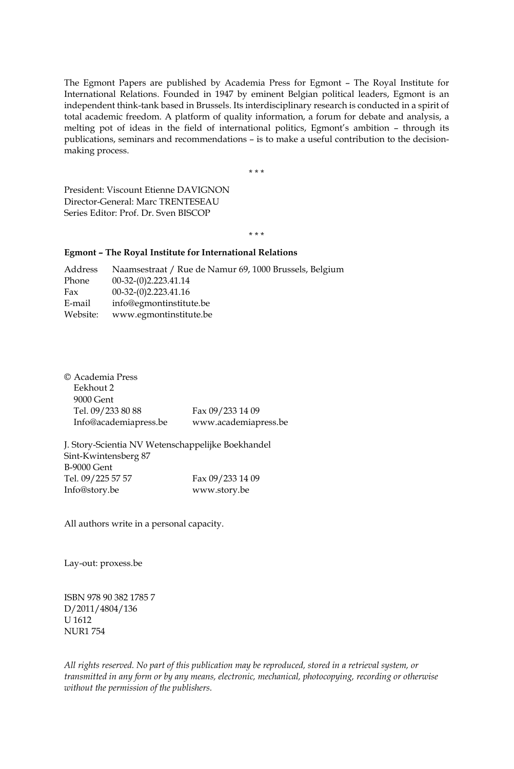The Egmont Papers are published by Academia Press for Egmont – The Royal Institute for International Relations. Founded in 1947 by eminent Belgian political leaders, Egmont is an independent think-tank based in Brussels. Its interdisciplinary research is conducted in a spirit of total academic freedom. A platform of quality information, a forum for debate and analysis, a melting pot of ideas in the field of international politics, Egmont's ambition – through its publications, seminars and recommendations – is to make a useful contribution to the decisionmaking process.

\*\*\*

President: Viscount Etienne DAVIGNON Director-General: Marc TRENTESEAU Series Editor: Prof. Dr. Sven BISCOP

\*\*\*

#### **Egmont – The Royal Institute for International Relations**

Address Naamsestraat / Rue de Namur 69, 1000 Brussels, Belgium Phone 00-32-(0)2.223.41.14 Fax 00-32-(0)2.223.41.16 E-mail info@egmontinstitute.be Website: www.egmontinstitute.be

| Fax 09/233 14 09     |
|----------------------|
| www.academiapress.be |
|                      |

J. Story-Scientia NV Wetenschappelijke Boekhandel Sint-Kwintensberg 87 B-9000 Gent Tel. 09/225 57 57 Fax 09/233 14 09 Info@story.be www.story.be

All authors write in a personal capacity.

Lay-out: proxess.be

ISBN 978 90 382 1785 7 D/2011/4804/136 U 1612 NUR1 754

*All rights reserved. No part of this publication may be reproduced, stored in a retrieval system, or transmitted in any form or by any means, electronic, mechanical, photocopying, recording or otherwise without the permission of the publishers.*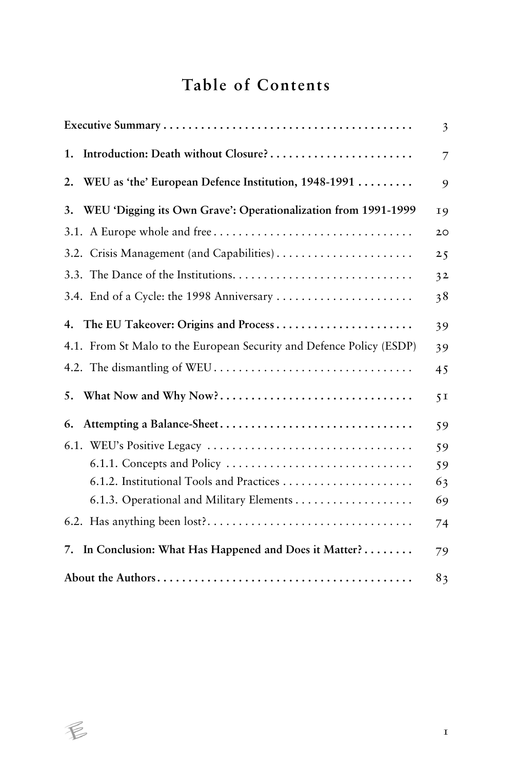# **Table of Contents**

|                                                                                            | 3              |
|--------------------------------------------------------------------------------------------|----------------|
| Introduction: Death without Closure?<br>1.                                                 | 7              |
| WEU as 'the' European Defence Institution, 1948-1991<br>2.                                 | 9              |
| WEU 'Digging its Own Grave': Operationalization from 1991-1999<br>3.                       | <b>19</b>      |
|                                                                                            | 20             |
|                                                                                            | 25             |
|                                                                                            | 3 <sup>2</sup> |
| 3.4. End of a Cycle: the 1998 Anniversary                                                  | 38             |
| 4. The EU Takeover: Origins and Process                                                    | 39             |
| 4.1. From St Malo to the European Security and Defence Policy (ESDP)                       | 39             |
|                                                                                            | 45             |
| What Now and Why Now?<br>5.                                                                | 5 <sub>1</sub> |
| Attempting a Balance-Sheet<br>6.                                                           | 59             |
|                                                                                            | 59             |
| $6.1.1.$ Concepts and Policy $\dots \dots \dots \dots \dots \dots \dots \dots \dots \dots$ | 59             |
|                                                                                            | 63             |
|                                                                                            | 69             |
|                                                                                            | 74             |
| In Conclusion: What Has Happened and Does it Matter?<br>7.                                 | 79             |
|                                                                                            | 83             |

 $\not\in$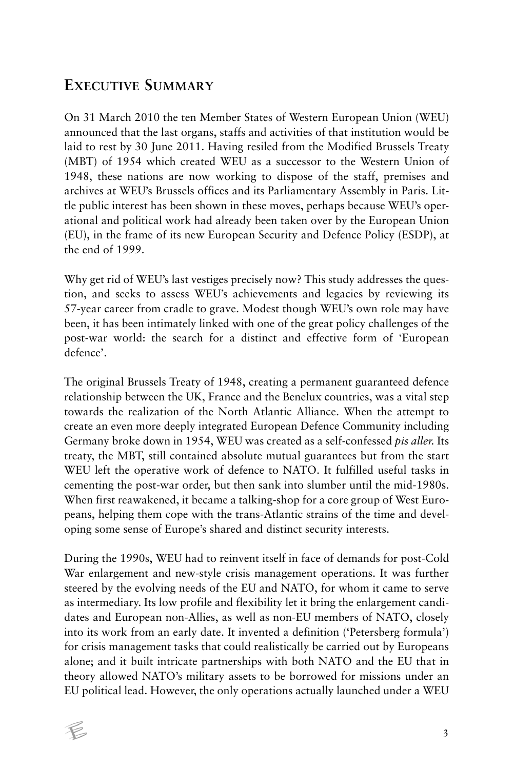## **EXECUTIVE SUMMARY**

On 31 March 2010 the ten Member States of Western European Union (WEU) announced that the last organs, staffs and activities of that institution would be laid to rest by 30 June 2011. Having resiled from the Modified Brussels Treaty (MBT) of 1954 which created WEU as a successor to the Western Union of 1948, these nations are now working to dispose of the staff, premises and archives at WEU's Brussels offices and its Parliamentary Assembly in Paris. Little public interest has been shown in these moves, perhaps because WEU's operational and political work had already been taken over by the European Union (EU), in the frame of its new European Security and Defence Policy (ESDP), at the end of 1999.

Why get rid of WEU's last vestiges precisely now? This study addresses the question, and seeks to assess WEU's achievements and legacies by reviewing its 57-year career from cradle to grave. Modest though WEU's own role may have been, it has been intimately linked with one of the great policy challenges of the post-war world: the search for a distinct and effective form of 'European defence'.

The original Brussels Treaty of 1948, creating a permanent guaranteed defence relationship between the UK, France and the Benelux countries, was a vital step towards the realization of the North Atlantic Alliance. When the attempt to create an even more deeply integrated European Defence Community including Germany broke down in 1954, WEU was created as a self-confessed *pis aller.* Its treaty, the MBT, still contained absolute mutual guarantees but from the start WEU left the operative work of defence to NATO. It fulfilled useful tasks in cementing the post-war order, but then sank into slumber until the mid-1980s. When first reawakened, it became a talking-shop for a core group of West Europeans, helping them cope with the trans-Atlantic strains of the time and developing some sense of Europe's shared and distinct security interests.

During the 1990s, WEU had to reinvent itself in face of demands for post-Cold War enlargement and new-style crisis management operations. It was further steered by the evolving needs of the EU and NATO, for whom it came to serve as intermediary. Its low profile and flexibility let it bring the enlargement candidates and European non-Allies, as well as non-EU members of NATO, closely into its work from an early date. It invented a definition ('Petersberg formula') for crisis management tasks that could realistically be carried out by Europeans alone; and it built intricate partnerships with both NATO and the EU that in theory allowed NATO's military assets to be borrowed for missions under an EU political lead. However, the only operations actually launched under a WEU

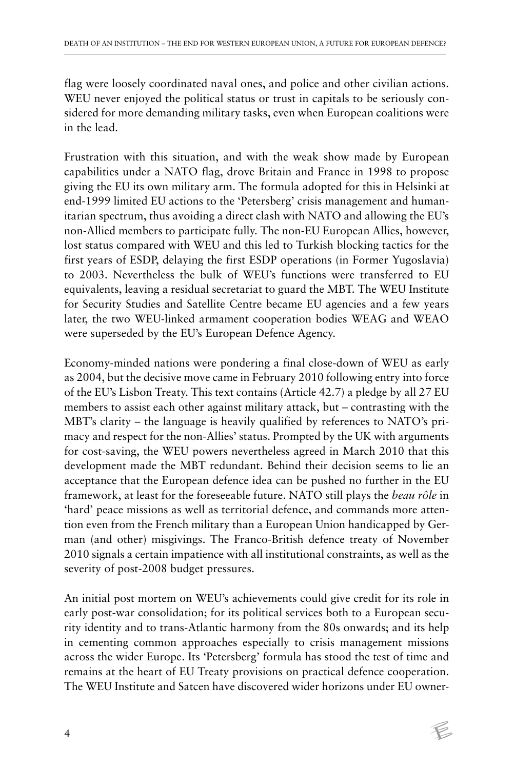flag were loosely coordinated naval ones, and police and other civilian actions. WEU never enjoyed the political status or trust in capitals to be seriously considered for more demanding military tasks, even when European coalitions were in the lead.

Frustration with this situation, and with the weak show made by European capabilities under a NATO flag, drove Britain and France in 1998 to propose giving the EU its own military arm. The formula adopted for this in Helsinki at end-1999 limited EU actions to the 'Petersberg' crisis management and humanitarian spectrum, thus avoiding a direct clash with NATO and allowing the EU's non-Allied members to participate fully. The non-EU European Allies, however, lost status compared with WEU and this led to Turkish blocking tactics for the first years of ESDP, delaying the first ESDP operations (in Former Yugoslavia) to 2003. Nevertheless the bulk of WEU's functions were transferred to EU equivalents, leaving a residual secretariat to guard the MBT. The WEU Institute for Security Studies and Satellite Centre became EU agencies and a few years later, the two WEU-linked armament cooperation bodies WEAG and WEAO were superseded by the EU's European Defence Agency.

Economy-minded nations were pondering a final close-down of WEU as early as 2004, but the decisive move came in February 2010 following entry into force of the EU's Lisbon Treaty. This text contains (Article 42.7) a pledge by all 27 EU members to assist each other against military attack, but – contrasting with the MBT's clarity – the language is heavily qualified by references to NATO's primacy and respect for the non-Allies' status. Prompted by the UK with arguments for cost-saving, the WEU powers nevertheless agreed in March 2010 that this development made the MBT redundant. Behind their decision seems to lie an acceptance that the European defence idea can be pushed no further in the EU framework, at least for the foreseeable future. NATO still plays the *beau rôle* in 'hard' peace missions as well as territorial defence, and commands more attention even from the French military than a European Union handicapped by German (and other) misgivings. The Franco-British defence treaty of November 2010 signals a certain impatience with all institutional constraints, as well as the severity of post-2008 budget pressures.

An initial post mortem on WEU's achievements could give credit for its role in early post-war consolidation; for its political services both to a European security identity and to trans-Atlantic harmony from the 80s onwards; and its help in cementing common approaches especially to crisis management missions across the wider Europe. Its 'Petersberg' formula has stood the test of time and remains at the heart of EU Treaty provisions on practical defence cooperation. The WEU Institute and Satcen have discovered wider horizons under EU owner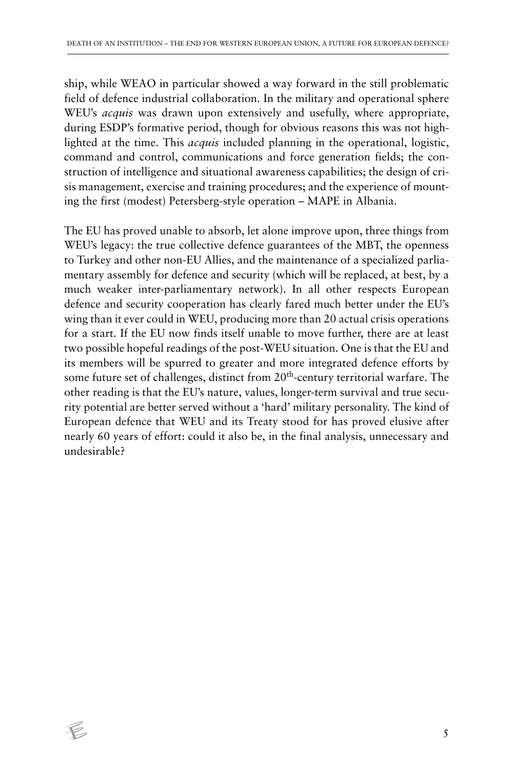ship, while WEAO in particular showed a way forward in the still problematic field of defence industrial collaboration. In the military and operational sphere WEU's *acquis* was drawn upon extensively and usefully, where appropriate, during ESDP's formative period, though for obvious reasons this was not highlighted at the time. This *acquis* included planning in the operational, logistic, command and control, communications and force generation fields; the construction of intelligence and situational awareness capabilities; the design of crisis management, exercise and training procedures; and the experience of mounting the first (modest) Petersberg-style operation – MAPE in Albania.

The EU has proved unable to absorb, let alone improve upon, three things from WEU's legacy: the true collective defence guarantees of the MBT, the openness to Turkey and other non-EU Allies, and the maintenance of a specialized parliamentary assembly for defence and security (which will be replaced, at best, by a much weaker inter-parliamentary network). In all other respects European defence and security cooperation has clearly fared much better under the EU's wing than it ever could in WEU, producing more than 20 actual crisis operations for a start. If the EU now finds itself unable to move further, there are at least two possible hopeful readings of the post-WEU situation. One is that the EU and its members will be spurred to greater and more integrated defence efforts by some future set of challenges, distinct from 20<sup>th</sup>-century territorial warfare. The other reading is that the EU's nature, values, longer-term survival and true security potential are better served without a 'hard' military personality. The kind of European defence that WEU and its Treaty stood for has proved elusive after nearly 60 years of effort: could it also be, in the final analysis, unnecessary and undesirable?

 $\epsilon$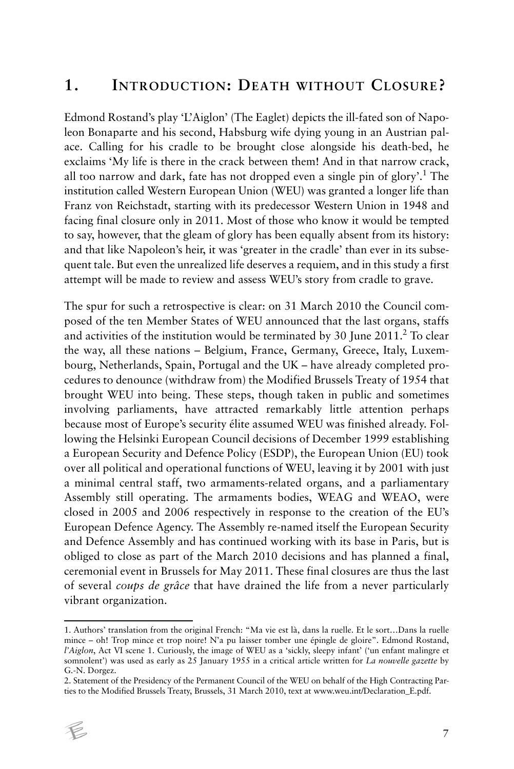#### **1. INTRODUCTION: DEATH WITHOUT CLOSURE?**

Edmond Rostand's play 'L'Aiglon' (The Eaglet) depicts the ill-fated son of Napoleon Bonaparte and his second, Habsburg wife dying young in an Austrian palace. Calling for his cradle to be brought close alongside his death-bed, he exclaims 'My life is there in the crack between them! And in that narrow crack, all too narrow and dark, fate has not dropped even a single pin of glory'.<sup>1</sup> The institution called Western European Union (WEU) was granted a longer life than Franz von Reichstadt, starting with its predecessor Western Union in 1948 and facing final closure only in 2011. Most of those who know it would be tempted to say, however, that the gleam of glory has been equally absent from its history: and that like Napoleon's heir, it was 'greater in the cradle' than ever in its subsequent tale. But even the unrealized life deserves a requiem, and in this study a first attempt will be made to review and assess WEU's story from cradle to grave.

The spur for such a retrospective is clear: on 31 March 2010 the Council composed of the ten Member States of WEU announced that the last organs, staffs and activities of the institution would be terminated by 30 June 2011. $^2$  To clear the way, all these nations – Belgium, France, Germany, Greece, Italy, Luxembourg, Netherlands, Spain, Portugal and the UK – have already completed procedures to denounce (withdraw from) the Modified Brussels Treaty of 1954 that brought WEU into being. These steps, though taken in public and sometimes involving parliaments, have attracted remarkably little attention perhaps because most of Europe's security élite assumed WEU was finished already. Following the Helsinki European Council decisions of December 1999 establishing a European Security and Defence Policy (ESDP), the European Union (EU) took over all political and operational functions of WEU, leaving it by 2001 with just a minimal central staff, two armaments-related organs, and a parliamentary Assembly still operating. The armaments bodies, WEAG and WEAO, were closed in 2005 and 2006 respectively in response to the creation of the EU's European Defence Agency. The Assembly re-named itself the European Security and Defence Assembly and has continued working with its base in Paris, but is obliged to close as part of the March 2010 decisions and has planned a final, ceremonial event in Brussels for May 2011. These final closures are thus the last of several *coups de grâce* that have drained the life from a never particularly vibrant organization.

<sup>2.</sup> Statement of the Presidency of the Permanent Council of the WEU on behalf of the High Contracting Parties to the Modified Brussels Treaty, Brussels, 31 March 2010, text at www.weu.int/Declaration\_E.pdf.



<sup>1.</sup> Authors' translation from the original French: "Ma vie est là, dans la ruelle. Et le sort…Dans la ruelle mince – oh! Trop mince et trop noire! N'a pu laisser tomber une épingle de gloire". Edmond Rostand, *l'Aiglon*, Act VI scene 1. Curiously, the image of WEU as a 'sickly, sleepy infant' ('un enfant malingre et somnolent') was used as early as 25 January 1955 in a critical article written for *La nouvelle gazette* by G.-N. Dorgez.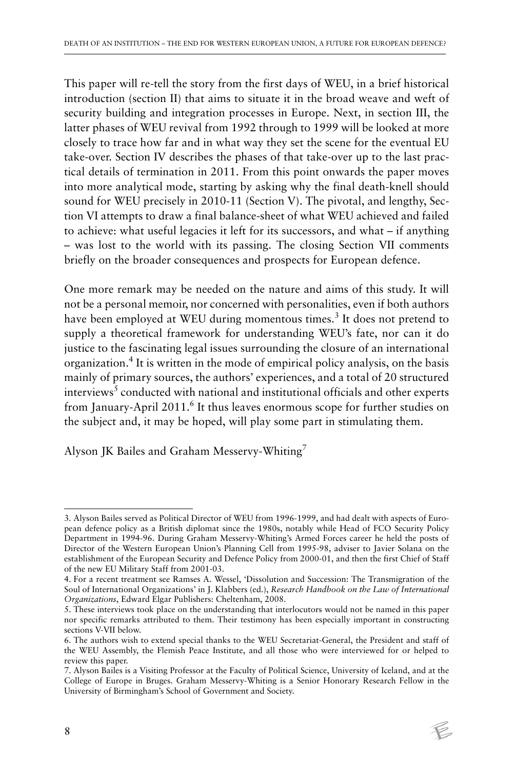This paper will re-tell the story from the first days of WEU, in a brief historical introduction (section II) that aims to situate it in the broad weave and weft of security building and integration processes in Europe. Next, in section III, the latter phases of WEU revival from 1992 through to 1999 will be looked at more closely to trace how far and in what way they set the scene for the eventual EU take-over. Section IV describes the phases of that take-over up to the last practical details of termination in 2011. From this point onwards the paper moves into more analytical mode, starting by asking why the final death-knell should sound for WEU precisely in 2010-11 (Section V). The pivotal, and lengthy, Section VI attempts to draw a final balance-sheet of what WEU achieved and failed to achieve: what useful legacies it left for its successors, and what – if anything – was lost to the world with its passing. The closing Section VII comments briefly on the broader consequences and prospects for European defence.

One more remark may be needed on the nature and aims of this study. It will not be a personal memoir, nor concerned with personalities, even if both authors have been employed at WEU during momentous times.<sup>3</sup> It does not pretend to supply a theoretical framework for understanding WEU's fate, nor can it do justice to the fascinating legal issues surrounding the closure of an international organization.<sup>4</sup> It is written in the mode of empirical policy analysis, on the basis mainly of primary sources, the authors' experiences, and a total of 20 structured interviews<sup>5</sup> conducted with national and institutional officials and other experts from January-April 2011.<sup>6</sup> It thus leaves enormous scope for further studies on the subject and, it may be hoped, will play some part in stimulating them.

Alyson JK Bailes and Graham Messervy-Whiting<sup>7</sup>

<sup>7.</sup> Alyson Bailes is a Visiting Professor at the Faculty of Political Science, University of Iceland, and at the College of Europe in Bruges. Graham Messervy-Whiting is a Senior Honorary Research Fellow in the University of Birmingham's School of Government and Society.



<sup>3.</sup> Alyson Bailes served as Political Director of WEU from 1996-1999, and had dealt with aspects of European defence policy as a British diplomat since the 1980s, notably while Head of FCO Security Policy Department in 1994-96. During Graham Messervy-Whiting's Armed Forces career he held the posts of Director of the Western European Union's Planning Cell from 1995-98, adviser to Javier Solana on the establishment of the European Security and Defence Policy from 2000-01, and then the first Chief of Staff of the new EU Military Staff from 2001-03.

<sup>4.</sup> For a recent treatment see Ramses A. Wessel, 'Dissolution and Succession: The Transmigration of the Soul of International Organizations' in J. Klabbers (ed.), *Research Handbook on the Law of International Organizations*, Edward Elgar Publishers: Cheltenham, 2008.

<sup>5.</sup> These interviews took place on the understanding that interlocutors would not be named in this paper nor specific remarks attributed to them. Their testimony has been especially important in constructing sections V-VII below.

<sup>6.</sup> The authors wish to extend special thanks to the WEU Secretariat-General, the President and staff of the WEU Assembly, the Flemish Peace Institute, and all those who were interviewed for or helped to review this paper.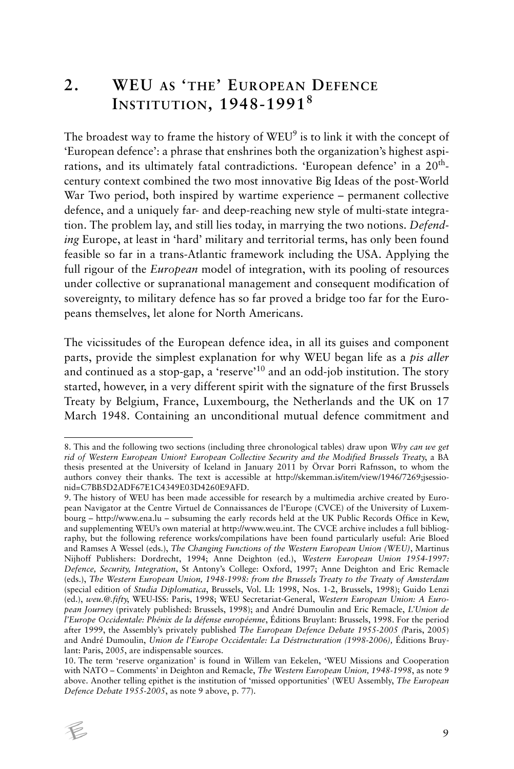## **2. WEU AS 'THE' EUROPEAN DEFENCE INSTITUTION, 1948-1991<sup>8</sup>**

The broadest way to frame the history of WEU<sup>9</sup> is to link it with the concept of 'European defence': a phrase that enshrines both the organization's highest aspirations, and its ultimately fatal contradictions. 'European defence' in a 20<sup>th</sup>century context combined the two most innovative Big Ideas of the post-World War Two period, both inspired by wartime experience – permanent collective defence, and a uniquely far- and deep-reaching new style of multi-state integration. The problem lay, and still lies today, in marrying the two notions. *Defending* Europe, at least in 'hard' military and territorial terms, has only been found feasible so far in a trans-Atlantic framework including the USA. Applying the full rigour of the *European* model of integration, with its pooling of resources under collective or supranational management and consequent modification of sovereignty, to military defence has so far proved a bridge too far for the Europeans themselves, let alone for North Americans.

The vicissitudes of the European defence idea, in all its guises and component parts, provide the simplest explanation for why WEU began life as a *pis aller* and continued as a stop-gap, a 'reserve'10 and an odd-job institution. The story started, however, in a very different spirit with the signature of the first Brussels Treaty by Belgium, France, Luxembourg, the Netherlands and the UK on 17 March 1948. Containing an unconditional mutual defence commitment and

<sup>10.</sup> The term 'reserve organization' is found in Willem van Eekelen, 'WEU Missions and Cooperation with NATO – Comments' in Deighton and Remacle, *The Western European Union, 1948-1998*, as note 9 above. Another telling epithet is the institution of 'missed opportunities' (WEU Assembly, *The European Defence Debate 1955-2005*, as note 9 above, p. 77).



<sup>8.</sup> This and the following two sections (including three chronological tables) draw upon *Why can we get rid of Western European Union? European Collective Security and the Modified Brussels Treaty*, a BA thesis presented at the University of Iceland in January 2011 by Örvar Þorri Rafnsson, to whom the authors convey their thanks. The text is accessible at http://skemman.is/item/view/1946/7269;jsessionid=C7BB5D2ADF67E1C4349E03D4260E9AFD.

<sup>9.</sup> The history of WEU has been made accessible for research by a multimedia archive created by European Navigator at the Centre Virtuel de Connaissances de l'Europe (CVCE) of the University of Luxembourg – http://www.ena.lu – subsuming the early records held at the UK Public Records Office in Kew, and supplementing WEU's own material at http://www.weu.int. The CVCE archive includes a full bibliography, but the following reference works/compilations have been found particularly useful: Arie Bloed and Ramses A Wessel (eds.), *The Changing Functions of the Western European Union (WEU)*, Martinus Nijhoff Publishers: Dordrecht, 1994; Anne Deighton (ed.), *Western European Union 1954-1997: Defence, Security, Integration*, St Antony's College: Oxford, 1997; Anne Deighton and Eric Remacle (eds.), *The Western European Union, 1948-1998: from the Brussels Treaty to the Treaty of Amsterdam* (special edition of *Studia Diplomatica*, Brussels, Vol. LI: 1998, Nos. 1-2, Brussels, 1998); Guido Lenzi (ed.), *weu.@.fifty*, WEU-ISS: Paris, 1998; WEU Secretariat-General, *Western European Union: A European Journey* (privately published: Brussels, 1998); and André Dumoulin and Eric Remacle, *L'Union de l'Europe Occidentale: Phénix de la défense européenne*, Éditions Bruylant: Brussels, 1998. For the period after 1999, the Assembly's privately published *The European Defence Debate 1955-2005 (*Paris, 2005) and André Dumoulin, *Union de l'Europe Occidentale: La Déstructuration (1998-2006),* Éditions Bruylant: Paris, 2005, are indispensable sources.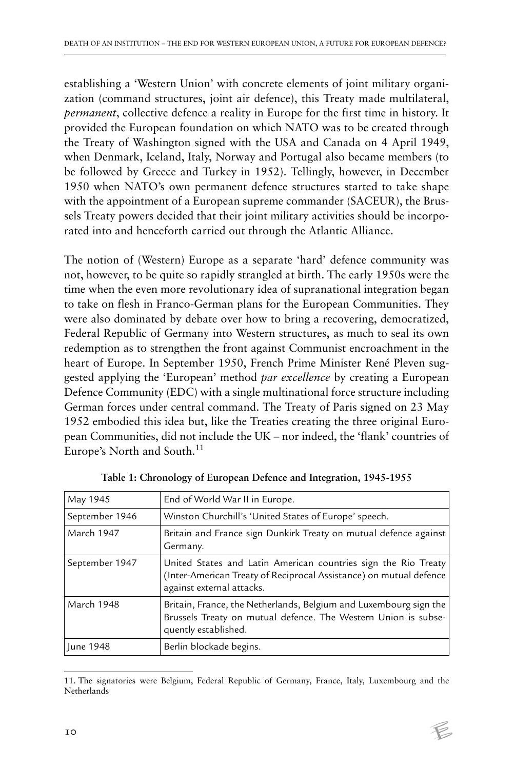establishing a 'Western Union' with concrete elements of joint military organization (command structures, joint air defence), this Treaty made multilateral, *permanent*, collective defence a reality in Europe for the first time in history. It provided the European foundation on which NATO was to be created through the Treaty of Washington signed with the USA and Canada on 4 April 1949, when Denmark, Iceland, Italy, Norway and Portugal also became members (to be followed by Greece and Turkey in 1952). Tellingly, however, in December 1950 when NATO's own permanent defence structures started to take shape with the appointment of a European supreme commander (SACEUR), the Brussels Treaty powers decided that their joint military activities should be incorporated into and henceforth carried out through the Atlantic Alliance.

The notion of (Western) Europe as a separate 'hard' defence community was not, however, to be quite so rapidly strangled at birth. The early 1950s were the time when the even more revolutionary idea of supranational integration began to take on flesh in Franco-German plans for the European Communities. They were also dominated by debate over how to bring a recovering, democratized, Federal Republic of Germany into Western structures, as much to seal its own redemption as to strengthen the front against Communist encroachment in the heart of Europe. In September 1950, French Prime Minister René Pleven suggested applying the 'European' method *par excellence* by creating a European Defence Community (EDC) with a single multinational force structure including German forces under central command. The Treaty of Paris signed on 23 May 1952 embodied this idea but, like the Treaties creating the three original European Communities, did not include the UK – nor indeed, the 'flank' countries of Europe's North and South.<sup>11</sup>

| May 1945       | End of World War II in Europe.                                                                                                                                    |
|----------------|-------------------------------------------------------------------------------------------------------------------------------------------------------------------|
| September 1946 | Winston Churchill's 'United States of Europe' speech.                                                                                                             |
| March 1947     | Britain and France sign Dunkirk Treaty on mutual defence against<br>Germany.                                                                                      |
| September 1947 | United States and Latin American countries sign the Rio Treaty<br>(Inter-American Treaty of Reciprocal Assistance) on mutual defence<br>against external attacks. |
| March 1948     | Britain, France, the Netherlands, Belgium and Luxembourg sign the<br>Brussels Treaty on mutual defence. The Western Union is subse-<br>quently established.       |
| June 1948      | Berlin blockade begins.                                                                                                                                           |

**Table 1: Chronology of European Defence and Integration, 1945-1955**

<sup>11.</sup> The signatories were Belgium, Federal Republic of Germany, France, Italy, Luxembourg and the Netherlands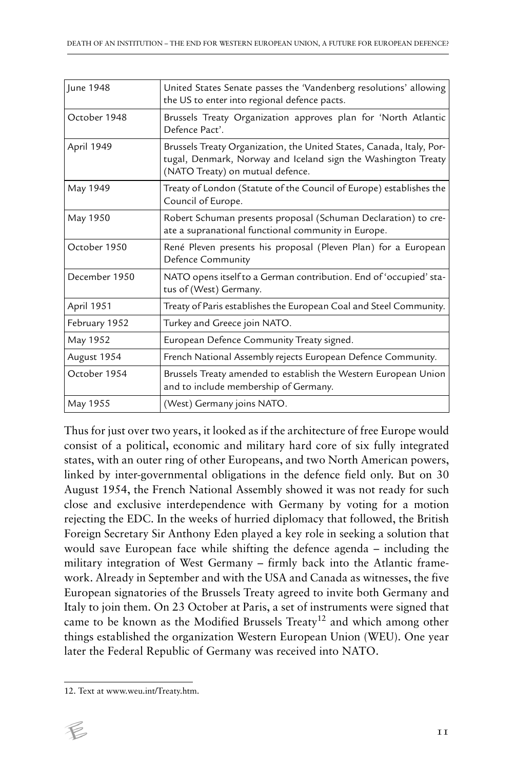| June 1948     | United States Senate passes the 'Vandenberg resolutions' allowing<br>the US to enter into regional defence pacts.                                                         |
|---------------|---------------------------------------------------------------------------------------------------------------------------------------------------------------------------|
| October 1948  | Brussels Treaty Organization approves plan for 'North Atlantic<br>Defence Pact'.                                                                                          |
| April 1949    | Brussels Treaty Organization, the United States, Canada, Italy, Por-<br>tugal, Denmark, Norway and Iceland sign the Washington Treaty<br>(NATO Treaty) on mutual defence. |
| May 1949      | Treaty of London (Statute of the Council of Europe) establishes the<br>Council of Europe.                                                                                 |
| May 1950      | Robert Schuman presents proposal (Schuman Declaration) to cre-<br>ate a supranational functional community in Europe.                                                     |
| October 1950  | René Pleven presents his proposal (Pleven Plan) for a European<br>Defence Community                                                                                       |
| December 1950 | NATO opens itself to a German contribution. End of 'occupied' sta-<br>tus of (West) Germany.                                                                              |
| April 1951    | Treaty of Paris establishes the European Coal and Steel Community.                                                                                                        |
| February 1952 | Turkey and Greece join NATO.                                                                                                                                              |
| May 1952      | European Defence Community Treaty signed.                                                                                                                                 |
| August 1954   | French National Assembly rejects European Defence Community.                                                                                                              |
| October 1954  | Brussels Treaty amended to establish the Western European Union<br>and to include membership of Germany.                                                                  |
| May 1955      | (West) Germany joins NATO.                                                                                                                                                |

Thus for just over two years, it looked as if the architecture of free Europe would consist of a political, economic and military hard core of six fully integrated states, with an outer ring of other Europeans, and two North American powers, linked by inter-governmental obligations in the defence field only. But on 30 August 1954, the French National Assembly showed it was not ready for such close and exclusive interdependence with Germany by voting for a motion rejecting the EDC. In the weeks of hurried diplomacy that followed, the British Foreign Secretary Sir Anthony Eden played a key role in seeking a solution that would save European face while shifting the defence agenda – including the military integration of West Germany – firmly back into the Atlantic framework. Already in September and with the USA and Canada as witnesses, the five European signatories of the Brussels Treaty agreed to invite both Germany and Italy to join them. On 23 October at Paris, a set of instruments were signed that came to be known as the Modified Brussels Treaty<sup>12</sup> and which among other things established the organization Western European Union (WEU). One year later the Federal Republic of Germany was received into NATO.

<sup>12.</sup> Text at www.weu.int/Treaty.htm.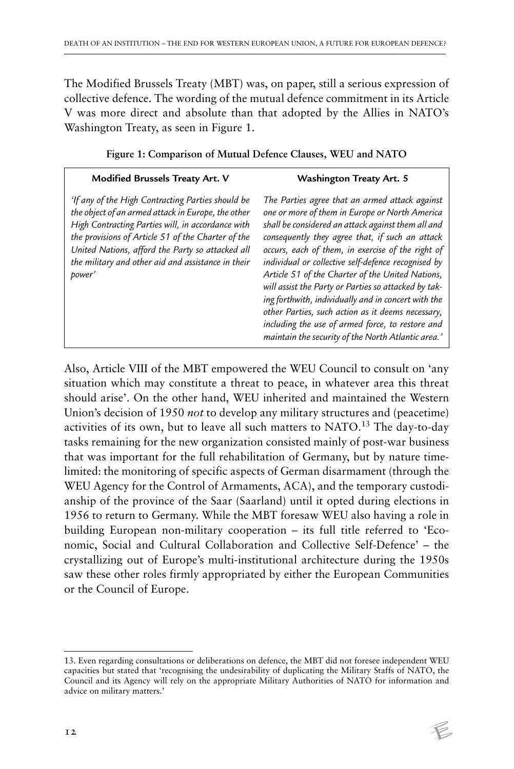The Modified Brussels Treaty (MBT) was, on paper, still a serious expression of collective defence. The wording of the mutual defence commitment in its Article V was more direct and absolute than that adopted by the Allies in NATO's Washington Treaty, as seen in Figure 1.

| <b>Modified Brussels Treaty Art. V</b>                                                                                                                                                                                                                                                                                                 | Washington Treaty Art. 5                                                                                                                                                                                                                                                                                                                                                                                                                                                                                                                                                                                                                                |
|----------------------------------------------------------------------------------------------------------------------------------------------------------------------------------------------------------------------------------------------------------------------------------------------------------------------------------------|---------------------------------------------------------------------------------------------------------------------------------------------------------------------------------------------------------------------------------------------------------------------------------------------------------------------------------------------------------------------------------------------------------------------------------------------------------------------------------------------------------------------------------------------------------------------------------------------------------------------------------------------------------|
| 'If any of the High Contracting Parties should be<br>the object of an armed attack in Europe, the other<br>High Contracting Parties will, in accordance with<br>the provisions of Article 51 of the Charter of the<br>United Nations, afford the Party so attacked all<br>the military and other aid and assistance in their<br>power' | The Parties agree that an armed attack against<br>one or more of them in Europe or North America<br>shall be considered an attack against them all and<br>consequently they agree that, if such an attack<br>occurs, each of them, in exercise of the right of<br>individual or collective self-defence recognised by<br>Article 51 of the Charter of the United Nations,<br>will assist the Party or Parties so attacked by tak-<br>ing forthwith, individually and in concert with the<br>other Parties, such action as it deems necessary,<br>including the use of armed force, to restore and<br>maintain the security of the North Atlantic area.' |

**Figure 1: Comparison of Mutual Defence Clauses, WEU and NATO**

Also, Article VIII of the MBT empowered the WEU Council to consult on 'any situation which may constitute a threat to peace, in whatever area this threat should arise'. On the other hand, WEU inherited and maintained the Western Union's decision of 1950 *not* to develop any military structures and (peacetime) activities of its own, but to leave all such matters to NATO.<sup>13</sup> The day-to-day tasks remaining for the new organization consisted mainly of post-war business that was important for the full rehabilitation of Germany, but by nature timelimited: the monitoring of specific aspects of German disarmament (through the WEU Agency for the Control of Armaments, ACA), and the temporary custodianship of the province of the Saar (Saarland) until it opted during elections in 1956 to return to Germany. While the MBT foresaw WEU also having a role in building European non-military cooperation – its full title referred to 'Economic, Social and Cultural Collaboration and Collective Self-Defence' – the crystallizing out of Europe's multi-institutional architecture during the 1950s saw these other roles firmly appropriated by either the European Communities or the Council of Europe.

<sup>13.</sup> Even regarding consultations or deliberations on defence, the MBT did not foresee independent WEU capacities but stated that 'recognising the undesirability of duplicating the Military Staffs of NATO, the Council and its Agency will rely on the appropriate Military Authorities of NATO for information and advice on military matters.'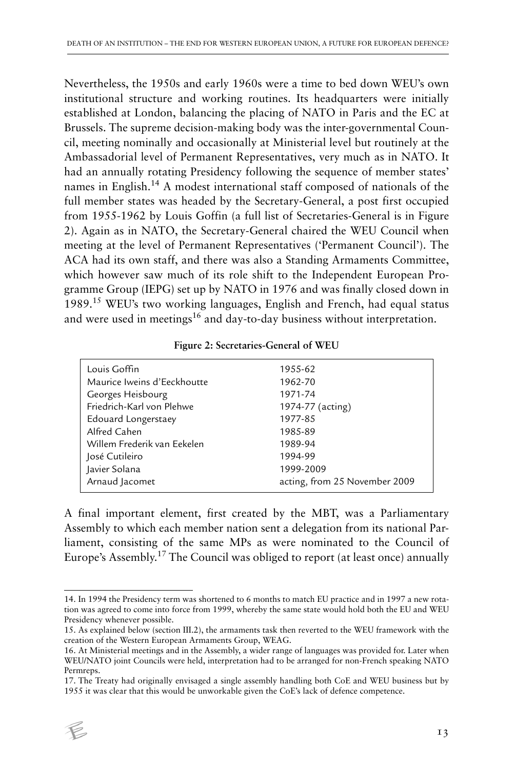Nevertheless, the 1950s and early 1960s were a time to bed down WEU's own institutional structure and working routines. Its headquarters were initially established at London, balancing the placing of NATO in Paris and the EC at Brussels. The supreme decision-making body was the inter-governmental Council, meeting nominally and occasionally at Ministerial level but routinely at the Ambassadorial level of Permanent Representatives, very much as in NATO. It had an annually rotating Presidency following the sequence of member states' names in English.<sup>14</sup> A modest international staff composed of nationals of the full member states was headed by the Secretary-General, a post first occupied from 1955-1962 by Louis Goffin (a full list of Secretaries-General is in Figure 2). Again as in NATO, the Secretary-General chaired the WEU Council when meeting at the level of Permanent Representatives ('Permanent Council'). The ACA had its own staff, and there was also a Standing Armaments Committee, which however saw much of its role shift to the Independent European Programme Group (IEPG) set up by NATO in 1976 and was finally closed down in 1989.15 WEU's two working languages, English and French, had equal status and were used in meetings<sup>16</sup> and day-to-day business without interpretation.

| Louis Goffin                | 1955-62                       |
|-----------------------------|-------------------------------|
| Maurice Iweins d'Eeckhoutte | 1962-70                       |
| Georges Heisbourg           | 1971-74                       |
| Friedrich-Karl von Plehwe   | 1974-77 (acting)              |
| Edouard Longerstaey         | 1977-85                       |
| Alfred Cahen                | 1985-89                       |
| Willem Frederik van Eekelen | 1989-94                       |
| José Cutileiro              | 1994-99                       |
| Javier Solana               | 1999-2009                     |
| Arnaud Jacomet              | acting, from 25 November 2009 |
|                             |                               |

**Figure 2: Secretaries-General of WEU**

A final important element, first created by the MBT, was a Parliamentary Assembly to which each member nation sent a delegation from its national Parliament, consisting of the same MPs as were nominated to the Council of Europe's Assembly.17 The Council was obliged to report (at least once) annually

<sup>17.</sup> The Treaty had originally envisaged a single assembly handling both CoE and WEU business but by 1955 it was clear that this would be unworkable given the CoE's lack of defence competence.



<sup>14.</sup> In 1994 the Presidency term was shortened to 6 months to match EU practice and in 1997 a new rotation was agreed to come into force from 1999, whereby the same state would hold both the EU and WEU Presidency whenever possible.

<sup>15.</sup> As explained below (section III.2), the armaments task then reverted to the WEU framework with the creation of the Western European Armaments Group, WEAG.

<sup>16.</sup> At Ministerial meetings and in the Assembly, a wider range of languages was provided for. Later when WEU/NATO joint Councils were held, interpretation had to be arranged for non-French speaking NATO Permreps.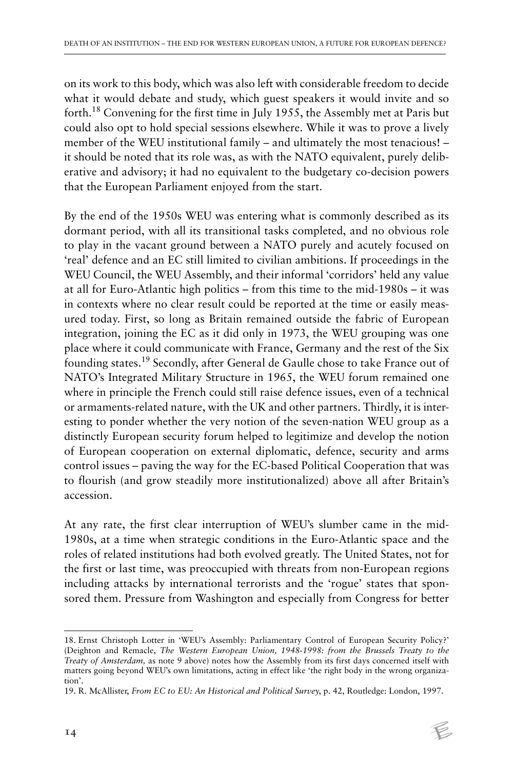on its work to this body, which was also left with considerable freedom to decide what it would debate and study, which guest speakers it would invite and so forth.18 Convening for the first time in July 1955, the Assembly met at Paris but could also opt to hold special sessions elsewhere. While it was to prove a lively member of the WEU institutional family – and ultimately the most tenacious! – it should be noted that its role was, as with the NATO equivalent, purely deliberative and advisory; it had no equivalent to the budgetary co-decision powers that the European Parliament enjoyed from the start.

By the end of the 1950s WEU was entering what is commonly described as its dormant period, with all its transitional tasks completed, and no obvious role to play in the vacant ground between a NATO purely and acutely focused on 'real' defence and an EC still limited to civilian ambitions. If proceedings in the WEU Council, the WEU Assembly, and their informal 'corridors' held any value at all for Euro-Atlantic high politics – from this time to the mid-1980s – it was in contexts where no clear result could be reported at the time or easily measured today. First, so long as Britain remained outside the fabric of European integration, joining the EC as it did only in 1973, the WEU grouping was one place where it could communicate with France, Germany and the rest of the Six founding states.19 Secondly, after General de Gaulle chose to take France out of NATO's Integrated Military Structure in 1965, the WEU forum remained one where in principle the French could still raise defence issues, even of a technical or armaments-related nature, with the UK and other partners. Thirdly, it is interesting to ponder whether the very notion of the seven-nation WEU group as a distinctly European security forum helped to legitimize and develop the notion of European cooperation on external diplomatic, defence, security and arms control issues – paving the way for the EC-based Political Cooperation that was to flourish (and grow steadily more institutionalized) above all after Britain's accession.

At any rate, the first clear interruption of WEU's slumber came in the mid-1980s, at a time when strategic conditions in the Euro-Atlantic space and the roles of related institutions had both evolved greatly. The United States, not for the first or last time, was preoccupied with threats from non-European regions including attacks by international terrorists and the 'rogue' states that sponsored them. Pressure from Washington and especially from Congress for better

<sup>18.</sup> Ernst Christoph Lotter in 'WEU's Assembly: Parliamentary Control of European Security Policy?' (Deighton and Remacle, *The Western European Union, 1948-1998: from the Brussels Treaty to the Treaty of Amsterdam,* as note 9 above) notes how the Assembly from its first days concerned itself with matters going beyond WEU's own limitations, acting in effect like 'the right body in the wrong organization'.

<sup>19.</sup> R. McAllister, *From EC to EU: An Historical and Political Survey*, p. 42, Routledge: London, 1997.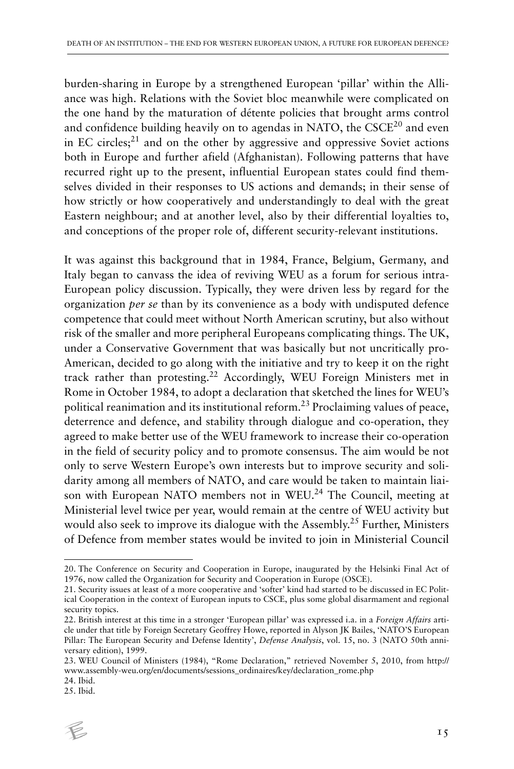burden-sharing in Europe by a strengthened European 'pillar' within the Alliance was high. Relations with the Soviet bloc meanwhile were complicated on the one hand by the maturation of détente policies that brought arms control and confidence building heavily on to agendas in NATO, the  $CSCE<sup>20</sup>$  and even in EC circles; $^{21}$  and on the other by aggressive and oppressive Soviet actions both in Europe and further afield (Afghanistan). Following patterns that have recurred right up to the present, influential European states could find themselves divided in their responses to US actions and demands; in their sense of how strictly or how cooperatively and understandingly to deal with the great Eastern neighbour; and at another level, also by their differential loyalties to, and conceptions of the proper role of, different security-relevant institutions.

It was against this background that in 1984, France, Belgium, Germany, and Italy began to canvass the idea of reviving WEU as a forum for serious intra-European policy discussion. Typically, they were driven less by regard for the organization *per se* than by its convenience as a body with undisputed defence competence that could meet without North American scrutiny, but also without risk of the smaller and more peripheral Europeans complicating things. The UK, under a Conservative Government that was basically but not uncritically pro-American, decided to go along with the initiative and try to keep it on the right track rather than protesting.22 Accordingly, WEU Foreign Ministers met in Rome in October 1984, to adopt a declaration that sketched the lines for WEU's political reanimation and its institutional reform.<sup>23</sup> Proclaiming values of peace, deterrence and defence, and stability through dialogue and co-operation, they agreed to make better use of the WEU framework to increase their co-operation in the field of security policy and to promote consensus. The aim would be not only to serve Western Europe's own interests but to improve security and solidarity among all members of NATO, and care would be taken to maintain liaison with European NATO members not in WEU.<sup>24</sup> The Council, meeting at Ministerial level twice per year, would remain at the centre of WEU activity but would also seek to improve its dialogue with the Assembly.<sup>25</sup> Further, Ministers of Defence from member states would be invited to join in Ministerial Council

<sup>25.</sup> Ibid.



<sup>20.</sup> The Conference on Security and Cooperation in Europe, inaugurated by the Helsinki Final Act of 1976, now called the Organization for Security and Cooperation in Europe (OSCE).

<sup>21.</sup> Security issues at least of a more cooperative and 'softer' kind had started to be discussed in EC Political Cooperation in the context of European inputs to CSCE, plus some global disarmament and regional security topics.

<sup>22.</sup> British interest at this time in a stronger 'European pillar' was expressed i.a. in a *Foreign Affairs* article under that title by Foreign Secretary Geoffrey Howe, reported in Alyson JK Bailes, 'NATO'S European Pillar: The European Security and Defense Identity', *Defense Analysis*, vol. 15, no. 3 (NATO 50th anniversary edition), 1999.

<sup>23.</sup> WEU Council of Ministers (1984), "Rome Declaration," retrieved November 5, 2010, from http:// www.assembly-weu.org/en/documents/sessions\_ordinaires/key/declaration\_rome.php

<sup>24.</sup> Ibid.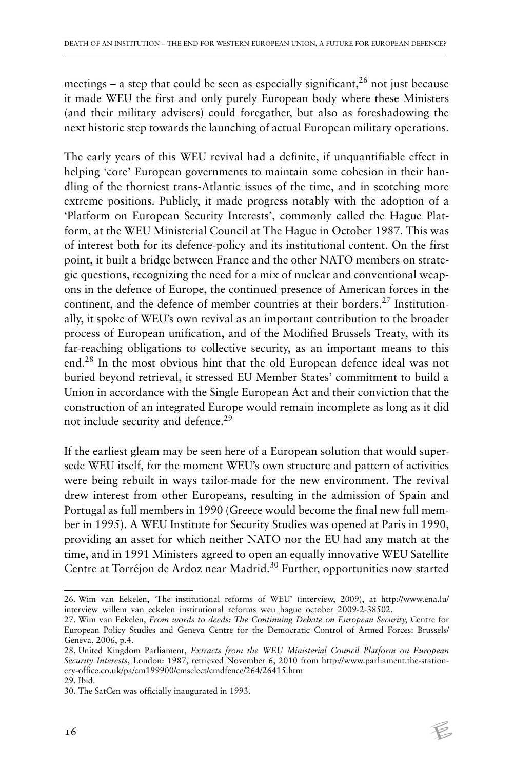meetings – a step that could be seen as especially significant,<sup>26</sup> not just because it made WEU the first and only purely European body where these Ministers (and their military advisers) could foregather, but also as foreshadowing the next historic step towards the launching of actual European military operations.

The early years of this WEU revival had a definite, if unquantifiable effect in helping 'core' European governments to maintain some cohesion in their handling of the thorniest trans-Atlantic issues of the time, and in scotching more extreme positions. Publicly, it made progress notably with the adoption of a 'Platform on European Security Interests', commonly called the Hague Platform, at the WEU Ministerial Council at The Hague in October 1987. This was of interest both for its defence-policy and its institutional content. On the first point, it built a bridge between France and the other NATO members on strategic questions, recognizing the need for a mix of nuclear and conventional weapons in the defence of Europe, the continued presence of American forces in the continent, and the defence of member countries at their borders.<sup>27</sup> Institutionally, it spoke of WEU's own revival as an important contribution to the broader process of European unification, and of the Modified Brussels Treaty, with its far-reaching obligations to collective security, as an important means to this end.28 In the most obvious hint that the old European defence ideal was not buried beyond retrieval, it stressed EU Member States' commitment to build a Union in accordance with the Single European Act and their conviction that the construction of an integrated Europe would remain incomplete as long as it did not include security and defence.<sup>29</sup>

If the earliest gleam may be seen here of a European solution that would supersede WEU itself, for the moment WEU's own structure and pattern of activities were being rebuilt in ways tailor-made for the new environment. The revival drew interest from other Europeans, resulting in the admission of Spain and Portugal as full members in 1990 (Greece would become the final new full member in 1995). A WEU Institute for Security Studies was opened at Paris in 1990, providing an asset for which neither NATO nor the EU had any match at the time, and in 1991 Ministers agreed to open an equally innovative WEU Satellite Centre at Torréjon de Ardoz near Madrid.<sup>30</sup> Further, opportunities now started

<sup>26.</sup> Wim van Eekelen, 'The institutional reforms of WEU' (interview, 2009), at http://www.ena.lu/ interview\_willem\_van\_eekelen\_institutional\_reforms\_weu\_hague\_october\_2009-2-38502.

<sup>27.</sup> Wim van Eekelen, *From words to deeds: The Continuing Debate on European Security*, Centre for European Policy Studies and Geneva Centre for the Democratic Control of Armed Forces: Brussels/ Geneva, 2006, p.4.

<sup>28.</sup> United Kingdom Parliament, *Extracts from the WEU Ministerial Council Platform on European Security Interests*, London: 1987, retrieved November 6, 2010 from http://www.parliament.the-stationery-office.co.uk/pa/cm199900/cmselect/cmdfence/264/26415.htm

<sup>29.</sup> Ibid.

<sup>30.</sup> The SatCen was officially inaugurated in 1993.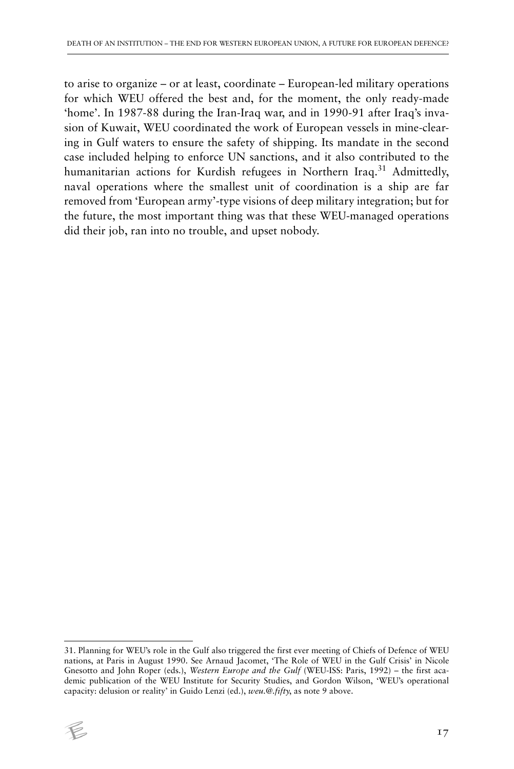to arise to organize – or at least, coordinate – European-led military operations for which WEU offered the best and, for the moment, the only ready-made 'home'. In 1987-88 during the Iran-Iraq war, and in 1990-91 after Iraq's invasion of Kuwait, WEU coordinated the work of European vessels in mine-clearing in Gulf waters to ensure the safety of shipping. Its mandate in the second case included helping to enforce UN sanctions, and it also contributed to the humanitarian actions for Kurdish refugees in Northern Iraq.<sup>31</sup> Admittedly, naval operations where the smallest unit of coordination is a ship are far removed from 'European army'-type visions of deep military integration; but for the future, the most important thing was that these WEU-managed operations did their job, ran into no trouble, and upset nobody.

<sup>31.</sup> Planning for WEU's role in the Gulf also triggered the first ever meeting of Chiefs of Defence of WEU nations, at Paris in August 1990. See Arnaud Jacomet, 'The Role of WEU in the Gulf Crisis' in Nicole Gnesotto and John Roper (eds.), *Western Europe and the Gulf* (WEU-ISS: Paris, 1992) – the first academic publication of the WEU Institute for Security Studies, and Gordon Wilson, 'WEU's operational capacity: delusion or reality' in Guido Lenzi (ed.), *weu.@.fifty*, as note 9 above.

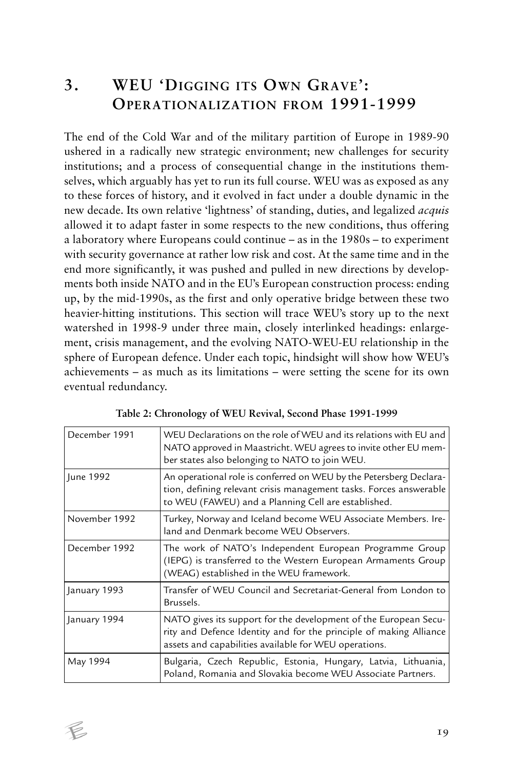## **3. WEU 'DIGGING ITS OWN GRAVE': OPERATIONALIZATION FROM 1991-1999**

The end of the Cold War and of the military partition of Europe in 1989-90 ushered in a radically new strategic environment; new challenges for security institutions; and a process of consequential change in the institutions themselves, which arguably has yet to run its full course. WEU was as exposed as any to these forces of history, and it evolved in fact under a double dynamic in the new decade. Its own relative 'lightness' of standing, duties, and legalized *acquis* allowed it to adapt faster in some respects to the new conditions, thus offering a laboratory where Europeans could continue – as in the 1980s – to experiment with security governance at rather low risk and cost. At the same time and in the end more significantly, it was pushed and pulled in new directions by developments both inside NATO and in the EU's European construction process: ending up, by the mid-1990s, as the first and only operative bridge between these two heavier-hitting institutions. This section will trace WEU's story up to the next watershed in 1998-9 under three main, closely interlinked headings: enlargement, crisis management, and the evolving NATO-WEU-EU relationship in the sphere of European defence. Under each topic, hindsight will show how WEU's achievements – as much as its limitations – were setting the scene for its own eventual redundancy.

| December 1991 | WEU Declarations on the role of WEU and its relations with EU and<br>NATO approved in Maastricht. WEU agrees to invite other EU mem-<br>ber states also belonging to NATO to join WEU.          |
|---------------|-------------------------------------------------------------------------------------------------------------------------------------------------------------------------------------------------|
| June 1992     | An operational role is conferred on WEU by the Petersberg Declara-<br>tion, defining relevant crisis management tasks. Forces answerable<br>to WEU (FAWEU) and a Planning Cell are established. |
| November 1992 | Turkey, Norway and Iceland become WEU Associate Members. Ire-<br>land and Denmark become WEU Observers.                                                                                         |
| December 1992 | The work of NATO's Independent European Programme Group<br>(IEPG) is transferred to the Western European Armaments Group<br>(WEAG) established in the WEU framework.                            |
| January 1993  | Transfer of WEU Council and Secretariat-General from London to<br>Brussels.                                                                                                                     |
| January 1994  | NATO gives its support for the development of the European Secu-<br>rity and Defence Identity and for the principle of making Alliance<br>assets and capabilities available for WEU operations. |
| May 1994      | Bulgaria, Czech Republic, Estonia, Hungary, Latvia, Lithuania,<br>Poland, Romania and Slovakia become WEU Associate Partners.                                                                   |

| Table 2: Chronology of WEU Revival, Second Phase 1991-1999 |  |  |
|------------------------------------------------------------|--|--|
|------------------------------------------------------------|--|--|

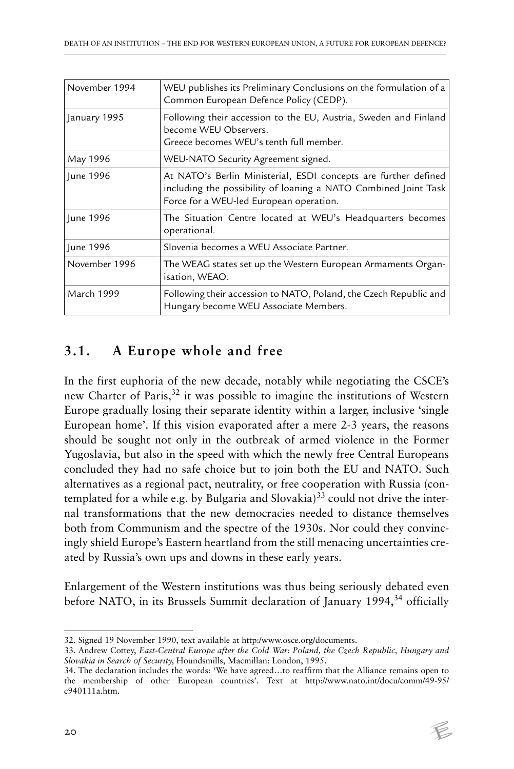| November 1994     | WEU publishes its Preliminary Conclusions on the formulation of a<br>Common European Defence Policy (CEDP).                                                                   |
|-------------------|-------------------------------------------------------------------------------------------------------------------------------------------------------------------------------|
| January 1995      | Following their accession to the EU, Austria, Sweden and Finland<br>become WEU Observers.<br>Greece becomes WEU's tenth full member.                                          |
| May 1996          | WEU-NATO Security Agreement signed.                                                                                                                                           |
| June 1996         | At NATO's Berlin Ministerial, ESDI concepts are further defined<br>including the possibility of loaning a NATO Combined Joint Task<br>Force for a WEU-led European operation. |
| June 1996         | The Situation Centre located at WEU's Headquarters becomes<br>operational.                                                                                                    |
| June 1996         | Slovenia becomes a WEU Associate Partner.                                                                                                                                     |
| November 1996     | The WEAG states set up the Western European Armaments Organ-<br>isation, WEAO.                                                                                                |
| <b>March 1999</b> | Following their accession to NATO, Poland, the Czech Republic and<br>Hungary become WEU Associate Members.                                                                    |

#### **3.1. A Europe whole and free**

In the first euphoria of the new decade, notably while negotiating the CSCE's new Charter of Paris,<sup>32</sup> it was possible to imagine the institutions of Western Europe gradually losing their separate identity within a larger, inclusive 'single European home'. If this vision evaporated after a mere 2-3 years, the reasons should be sought not only in the outbreak of armed violence in the Former Yugoslavia, but also in the speed with which the newly free Central Europeans concluded they had no safe choice but to join both the EU and NATO. Such alternatives as a regional pact, neutrality, or free cooperation with Russia (contemplated for a while e.g. by Bulgaria and Slovakia) $33$  could not drive the internal transformations that the new democracies needed to distance themselves both from Communism and the spectre of the 1930s. Nor could they convincingly shield Europe's Eastern heartland from the still menacing uncertainties created by Russia's own ups and downs in these early years.

Enlargement of the Western institutions was thus being seriously debated even before NATO, in its Brussels Summit declaration of January 1994,<sup>34</sup> officially

<sup>34.</sup> The declaration includes the words: 'We have agreed…to reaffirm that the Alliance remains open to the membership of other European countries'. Text at http://www.nato.int/docu/comm/49-95/ c940111a.htm.



<sup>32.</sup> Signed 19 November 1990, text available at http:/www.osce.org/documents.

<sup>33.</sup> Andrew Cottey, *East-Central Europe after the Cold War: Poland, the Czech Republic, Hungary and Slovakia in Search of Security*, Houndsmills, Macmillan: London, 1995.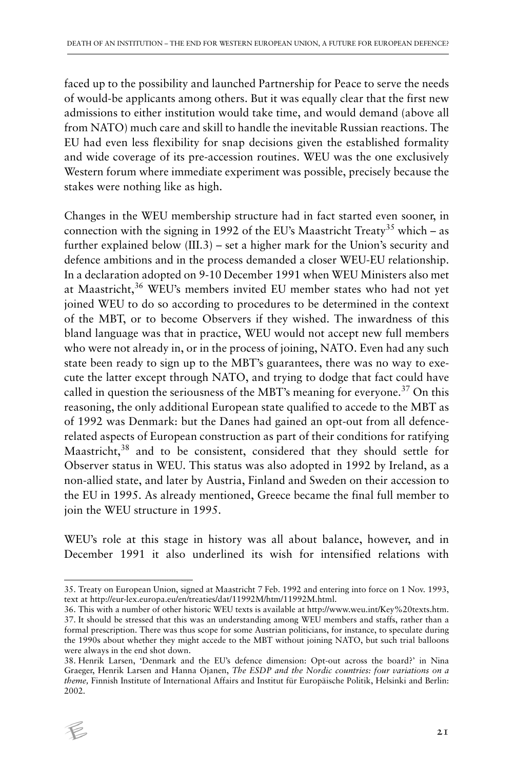faced up to the possibility and launched Partnership for Peace to serve the needs of would-be applicants among others. But it was equally clear that the first new admissions to either institution would take time, and would demand (above all from NATO) much care and skill to handle the inevitable Russian reactions. The EU had even less flexibility for snap decisions given the established formality and wide coverage of its pre-accession routines. WEU was the one exclusively Western forum where immediate experiment was possible, precisely because the stakes were nothing like as high.

Changes in the WEU membership structure had in fact started even sooner, in connection with the signing in 1992 of the EU's Maastricht Treaty<sup>35</sup> which – as further explained below (III.3) – set a higher mark for the Union's security and defence ambitions and in the process demanded a closer WEU-EU relationship. In a declaration adopted on 9-10 December 1991 when WEU Ministers also met at Maastricht,<sup>36</sup> WEU's members invited EU member states who had not yet joined WEU to do so according to procedures to be determined in the context of the MBT, or to become Observers if they wished. The inwardness of this bland language was that in practice, WEU would not accept new full members who were not already in, or in the process of joining, NATO. Even had any such state been ready to sign up to the MBT's guarantees, there was no way to execute the latter except through NATO, and trying to dodge that fact could have called in question the seriousness of the MBT's meaning for everyone.<sup>37</sup> On this reasoning, the only additional European state qualified to accede to the MBT as of 1992 was Denmark: but the Danes had gained an opt-out from all defencerelated aspects of European construction as part of their conditions for ratifying Maastricht,<sup>38</sup> and to be consistent, considered that they should settle for Observer status in WEU. This status was also adopted in 1992 by Ireland, as a non-allied state, and later by Austria, Finland and Sweden on their accession to the EU in 1995. As already mentioned, Greece became the final full member to join the WEU structure in 1995.

WEU's role at this stage in history was all about balance, however, and in December 1991 it also underlined its wish for intensified relations with

<sup>38.</sup> Henrik Larsen, 'Denmark and the EU's defence dimension: Opt-out across the board?' in Nina Graeger, Henrik Larsen and Hanna Ojanen, *The ESDP and the Nordic countries: four variations on a theme,* Finnish Institute of International Affairs and Institut für Europäische Politik, Helsinki and Berlin: 2002.



<sup>35.</sup> Treaty on European Union, signed at Maastricht 7 Feb. 1992 and entering into force on 1 Nov. 1993, text at http://eur-lex.europa.eu/en/treaties/dat/11992M/htm/11992M.html.

<sup>36.</sup> This with a number of other historic WEU texts is available at http://www.weu.int/Key%20texts.htm. 37. It should be stressed that this was an understanding among WEU members and staffs, rather than a formal prescription. There was thus scope for some Austrian politicians, for instance, to speculate during the 1990s about whether they might accede to the MBT without joining NATO, but such trial balloons were always in the end shot down.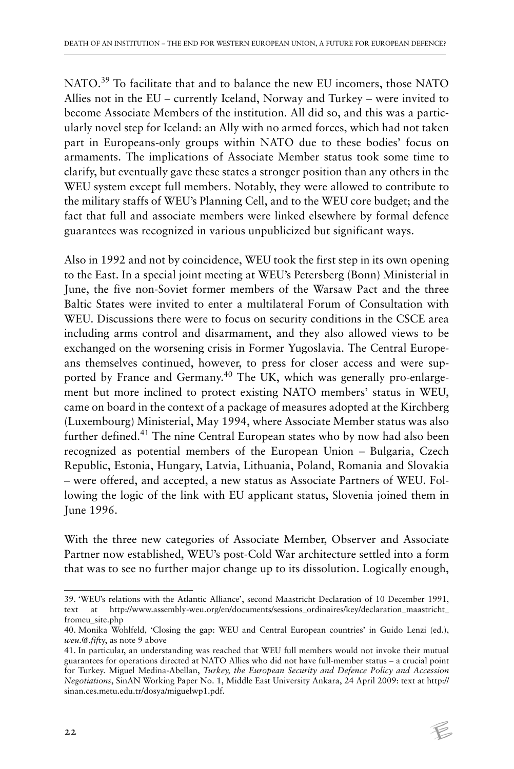NATO.39 To facilitate that and to balance the new EU incomers, those NATO Allies not in the EU – currently Iceland, Norway and Turkey – were invited to become Associate Members of the institution. All did so, and this was a particularly novel step for Iceland: an Ally with no armed forces, which had not taken part in Europeans-only groups within NATO due to these bodies' focus on armaments. The implications of Associate Member status took some time to clarify, but eventually gave these states a stronger position than any others in the WEU system except full members. Notably, they were allowed to contribute to the military staffs of WEU's Planning Cell, and to the WEU core budget; and the fact that full and associate members were linked elsewhere by formal defence guarantees was recognized in various unpublicized but significant ways.

Also in 1992 and not by coincidence, WEU took the first step in its own opening to the East. In a special joint meeting at WEU's Petersberg (Bonn) Ministerial in June, the five non-Soviet former members of the Warsaw Pact and the three Baltic States were invited to enter a multilateral Forum of Consultation with WEU. Discussions there were to focus on security conditions in the CSCE area including arms control and disarmament, and they also allowed views to be exchanged on the worsening crisis in Former Yugoslavia. The Central Europeans themselves continued, however, to press for closer access and were supported by France and Germany.<sup>40</sup> The UK, which was generally pro-enlargement but more inclined to protect existing NATO members' status in WEU, came on board in the context of a package of measures adopted at the Kirchberg (Luxembourg) Ministerial, May 1994, where Associate Member status was also further defined.<sup>41</sup> The nine Central European states who by now had also been recognized as potential members of the European Union – Bulgaria, Czech Republic, Estonia, Hungary, Latvia, Lithuania, Poland, Romania and Slovakia – were offered, and accepted, a new status as Associate Partners of WEU. Following the logic of the link with EU applicant status, Slovenia joined them in June 1996.

With the three new categories of Associate Member, Observer and Associate Partner now established, WEU's post-Cold War architecture settled into a form that was to see no further major change up to its dissolution. Logically enough,

<sup>39. &#</sup>x27;WEU's relations with the Atlantic Alliance', second Maastricht Declaration of 10 December 1991, text at http://www.assembly-weu.org/en/documents/sessions\_ordinaires/key/declaration\_maastricht\_ fromeu\_site.php

<sup>40.</sup> Monika Wohlfeld, 'Closing the gap: WEU and Central European countries' in Guido Lenzi (ed.), *weu.@.fif*ty, as note 9 above

<sup>41.</sup> In particular, an understanding was reached that WEU full members would not invoke their mutual guarantees for operations directed at NATO Allies who did not have full-member status – a crucial point for Turkey. Miguel Medina-Abellan, *Turkey, the European Security and Defence Policy and Accession Negotiations*, SinAN Working Paper No. 1, Middle East University Ankara, 24 April 2009: text at http:// sinan.ces.metu.edu.tr/dosya/miguelwp1.pdf.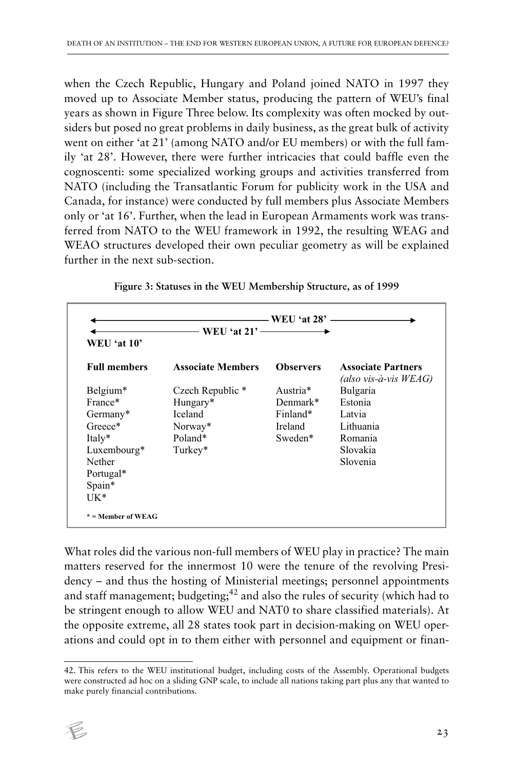when the Czech Republic, Hungary and Poland joined NATO in 1997 they moved up to Associate Member status, producing the pattern of WEU's final years as shown in Figure Three below. Its complexity was often mocked by outsiders but posed no great problems in daily business, as the great bulk of activity went on either 'at 21' (among NATO and/or EU members) or with the full family 'at 28'. However, there were further intricacies that could baffle even the cognoscenti: some specialized working groups and activities transferred from NATO (including the Transatlantic Forum for publicity work in the USA and Canada, for instance) were conducted by full members plus Associate Members only or 'at 16'. Further, when the lead in European Armaments work was transferred from NATO to the WEU framework in 1992, the resulting WEAG and WEAO structures developed their own peculiar geometry as will be explained further in the next sub-section.

| <b>WEU 'at 10'</b>  | WEU 'at $21'$ —————      |                  |                                                       |
|---------------------|--------------------------|------------------|-------------------------------------------------------|
| <b>Full members</b> | <b>Associate Members</b> | <b>Observers</b> | <b>Associate Partners</b><br>(also vis-à-vis $WEAG$ ) |
| Belgium*            | Czech Republic *         | Austria*         | Bulgaria                                              |
| France*             | Hungary*                 | $Demmark*$       | Estonia                                               |
| Germany*            | Iceland                  | Finland*         | Latvia                                                |
| Greece*             | Norway*                  | Ireland          | Lithuania                                             |
| Italy*              | Poland*                  | Sweden*          | Romania                                               |
| Luxembourg*         | Turkey*                  |                  | Slovakia                                              |
| Nether              |                          |                  | Slovenia                                              |
| Portugal*           |                          |                  |                                                       |
| Spain*              |                          |                  |                                                       |
| $UK*$               |                          |                  |                                                       |

What roles did the various non-full members of WEU play in practice? The main matters reserved for the innermost 10 were the tenure of the revolving Presidency – and thus the hosting of Ministerial meetings; personnel appointments and staff management; budgeting;<sup>42</sup> and also the rules of security (which had to be stringent enough to allow WEU and NAT0 to share classified materials). At the opposite extreme, all 28 states took part in decision-making on WEU operations and could opt in to them either with personnel and equipment or finan-

<sup>42.</sup> This refers to the WEU institutional budget, including costs of the Assembly. Operational budgets were constructed ad hoc on a sliding GNP scale, to include all nations taking part plus any that wanted to make purely financial contributions.

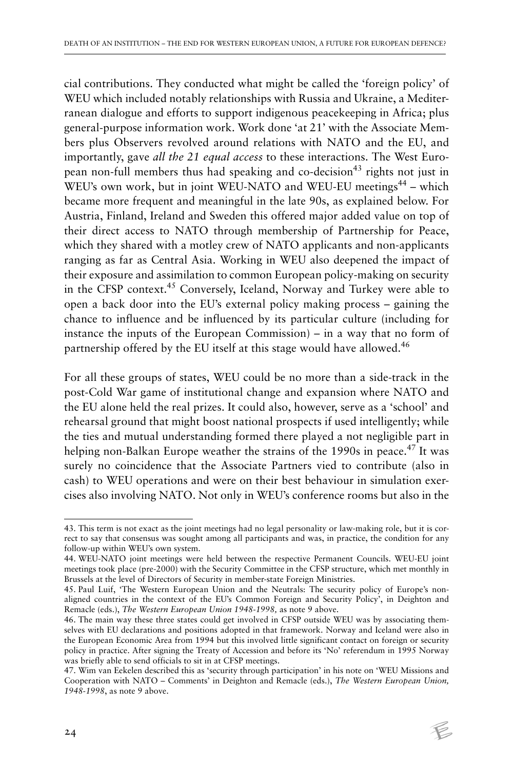cial contributions. They conducted what might be called the 'foreign policy' of WEU which included notably relationships with Russia and Ukraine, a Mediterranean dialogue and efforts to support indigenous peacekeeping in Africa; plus general-purpose information work. Work done 'at 21' with the Associate Members plus Observers revolved around relations with NATO and the EU, and importantly, gave *all the 21 equal access* to these interactions. The West European non-full members thus had speaking and co-decision<sup>43</sup> rights not just in WEU's own work, but in joint WEU-NATO and WEU-EU meetings<sup>44</sup> – which became more frequent and meaningful in the late 90s, as explained below. For Austria, Finland, Ireland and Sweden this offered major added value on top of their direct access to NATO through membership of Partnership for Peace, which they shared with a motley crew of NATO applicants and non-applicants ranging as far as Central Asia. Working in WEU also deepened the impact of their exposure and assimilation to common European policy-making on security in the CFSP context.45 Conversely, Iceland, Norway and Turkey were able to open a back door into the EU's external policy making process – gaining the chance to influence and be influenced by its particular culture (including for instance the inputs of the European Commission) – in a way that no form of partnership offered by the EU itself at this stage would have allowed.<sup>46</sup>

For all these groups of states, WEU could be no more than a side-track in the post-Cold War game of institutional change and expansion where NATO and the EU alone held the real prizes. It could also, however, serve as a 'school' and rehearsal ground that might boost national prospects if used intelligently; while the ties and mutual understanding formed there played a not negligible part in helping non-Balkan Europe weather the strains of the 1990s in peace.<sup>47</sup> It was surely no coincidence that the Associate Partners vied to contribute (also in cash) to WEU operations and were on their best behaviour in simulation exercises also involving NATO. Not only in WEU's conference rooms but also in the

<sup>47.</sup> Wim van Eekelen described this as 'security through participation' in his note on 'WEU Missions and Cooperation with NATO – Comments' in Deighton and Remacle (eds.), *The Western European Union, 1948-1998*, as note 9 above.



<sup>43.</sup> This term is not exact as the joint meetings had no legal personality or law-making role, but it is correct to say that consensus was sought among all participants and was, in practice, the condition for any follow-up within WEU's own system.

<sup>44.</sup> WEU-NATO joint meetings were held between the respective Permanent Councils. WEU-EU joint meetings took place (pre-2000) with the Security Committee in the CFSP structure, which met monthly in Brussels at the level of Directors of Security in member-state Foreign Ministries.

<sup>45.</sup> Paul Luif, 'The Western European Union and the Neutrals: The security policy of Europe's nonaligned countries in the context of the EU's Common Foreign and Security Policy', in Deighton and Remacle (eds.), *The Western European Union 1948-1998,* as note 9 above.

<sup>46.</sup> The main way these three states could get involved in CFSP outside WEU was by associating themselves with EU declarations and positions adopted in that framework. Norway and Iceland were also in the European Economic Area from 1994 but this involved little significant contact on foreign or security policy in practice. After signing the Treaty of Accession and before its 'No' referendum in 1995 Norway was briefly able to send officials to sit in at CFSP meetings.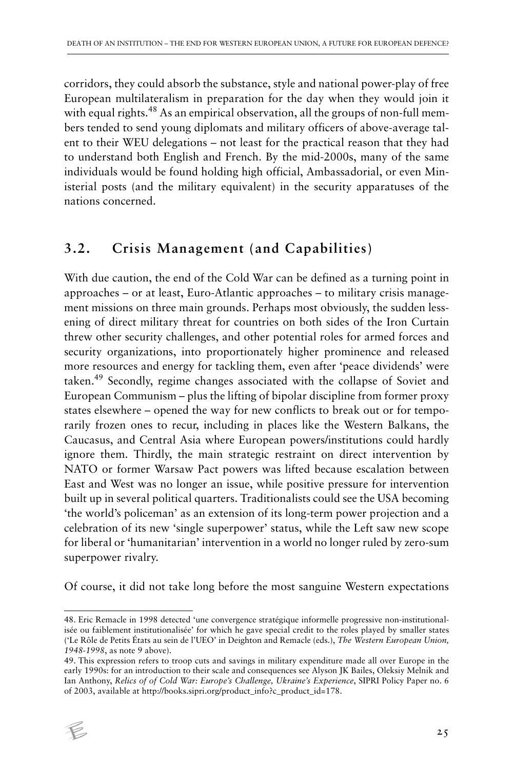corridors, they could absorb the substance, style and national power-play of free European multilateralism in preparation for the day when they would join it with equal rights.<sup>48</sup> As an empirical observation, all the groups of non-full members tended to send young diplomats and military officers of above-average talent to their WEU delegations – not least for the practical reason that they had to understand both English and French. By the mid-2000s, many of the same individuals would be found holding high official, Ambassadorial, or even Ministerial posts (and the military equivalent) in the security apparatuses of the nations concerned.

#### **3.2. Crisis Management (and Capabilities)**

With due caution, the end of the Cold War can be defined as a turning point in approaches – or at least, Euro-Atlantic approaches – to military crisis management missions on three main grounds. Perhaps most obviously, the sudden lessening of direct military threat for countries on both sides of the Iron Curtain threw other security challenges, and other potential roles for armed forces and security organizations, into proportionately higher prominence and released more resources and energy for tackling them, even after 'peace dividends' were taken.49 Secondly, regime changes associated with the collapse of Soviet and European Communism – plus the lifting of bipolar discipline from former proxy states elsewhere – opened the way for new conflicts to break out or for temporarily frozen ones to recur, including in places like the Western Balkans, the Caucasus, and Central Asia where European powers/institutions could hardly ignore them. Thirdly, the main strategic restraint on direct intervention by NATO or former Warsaw Pact powers was lifted because escalation between East and West was no longer an issue, while positive pressure for intervention built up in several political quarters. Traditionalists could see the USA becoming 'the world's policeman' as an extension of its long-term power projection and a celebration of its new 'single superpower' status, while the Left saw new scope for liberal or 'humanitarian' intervention in a world no longer ruled by zero-sum superpower rivalry.

Of course, it did not take long before the most sanguine Western expectations

<sup>49.</sup> This expression refers to troop cuts and savings in military expenditure made all over Europe in the early 1990s: for an introduction to their scale and consequences see Alyson JK Bailes, Oleksiy Melnik and Ian Anthony, *Relics of of Cold War: Europe's Challenge, Ukraine's Experience*, SIPRI Policy Paper no. 6 of 2003, available at http://books.sipri.org/product\_info?c\_product\_id=178.



<sup>48.</sup> Eric Remacle in 1998 detected 'une convergence stratégique informelle progressive non-institutionalisée ou faiblement institutionalisée' for which he gave special credit to the roles played by smaller states ('Le Rôle de Petits États au sein de l'UEO' in Deighton and Remacle (eds.), *The Western European Union, 1948-1998*, as note 9 above).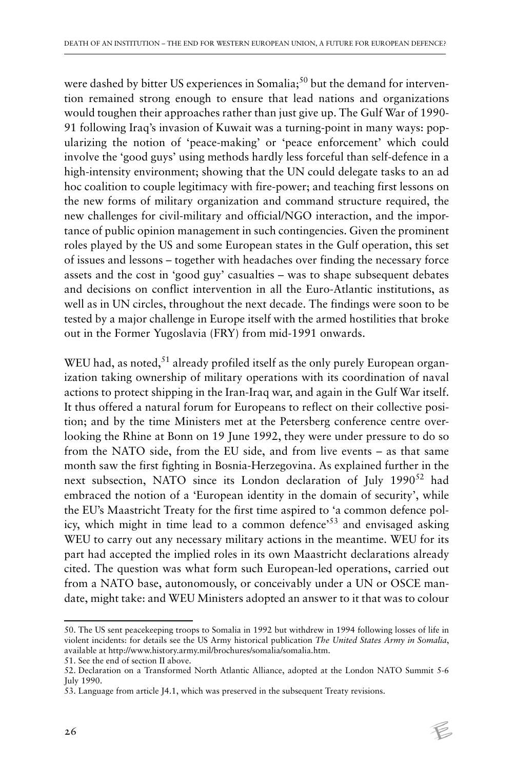were dashed by bitter US experiences in Somalia;<sup>50</sup> but the demand for intervention remained strong enough to ensure that lead nations and organizations would toughen their approaches rather than just give up. The Gulf War of 1990- 91 following Iraq's invasion of Kuwait was a turning-point in many ways: popularizing the notion of 'peace-making' or 'peace enforcement' which could involve the 'good guys' using methods hardly less forceful than self-defence in a high-intensity environment; showing that the UN could delegate tasks to an ad hoc coalition to couple legitimacy with fire-power; and teaching first lessons on the new forms of military organization and command structure required, the new challenges for civil-military and official/NGO interaction, and the importance of public opinion management in such contingencies. Given the prominent roles played by the US and some European states in the Gulf operation, this set of issues and lessons – together with headaches over finding the necessary force assets and the cost in 'good guy' casualties – was to shape subsequent debates and decisions on conflict intervention in all the Euro-Atlantic institutions, as well as in UN circles, throughout the next decade. The findings were soon to be tested by a major challenge in Europe itself with the armed hostilities that broke out in the Former Yugoslavia (FRY) from mid-1991 onwards.

WEU had, as noted,  $51$  already profiled itself as the only purely European organization taking ownership of military operations with its coordination of naval actions to protect shipping in the Iran-Iraq war, and again in the Gulf War itself. It thus offered a natural forum for Europeans to reflect on their collective position; and by the time Ministers met at the Petersberg conference centre overlooking the Rhine at Bonn on 19 June 1992, they were under pressure to do so from the NATO side, from the EU side, and from live events – as that same month saw the first fighting in Bosnia-Herzegovina. As explained further in the next subsection, NATO since its London declaration of July 1990<sup>52</sup> had embraced the notion of a 'European identity in the domain of security', while the EU's Maastricht Treaty for the first time aspired to 'a common defence policy, which might in time lead to a common defence'<sup>53</sup> and envisaged asking WEU to carry out any necessary military actions in the meantime. WEU for its part had accepted the implied roles in its own Maastricht declarations already cited. The question was what form such European-led operations, carried out from a NATO base, autonomously, or conceivably under a UN or OSCE mandate, might take: and WEU Ministers adopted an answer to it that was to colour

<sup>50.</sup> The US sent peacekeeping troops to Somalia in 1992 but withdrew in 1994 following losses of life in violent incidents: for details see the US Army historical publication *The United States Army in Somalia*, available at http://www.history.army.mil/brochures/somalia/somalia.htm.

<sup>51.</sup> See the end of section II above.

<sup>52.</sup> Declaration on a Transformed North Atlantic Alliance, adopted at the London NATO Summit 5-6 July 1990.

<sup>53.</sup> Language from article J4.1, which was preserved in the subsequent Treaty revisions.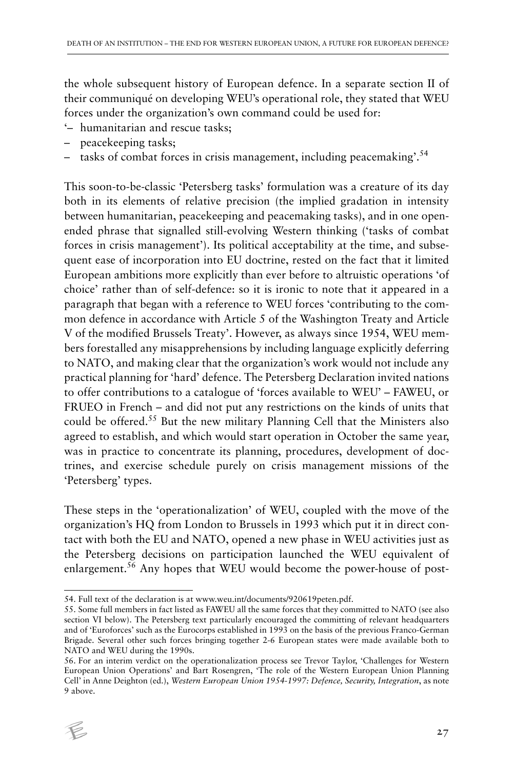the whole subsequent history of European defence. In a separate section II of their communiqué on developing WEU's operational role, they stated that WEU forces under the organization's own command could be used for:

- '– humanitarian and rescue tasks;
- peacekeeping tasks;
- tasks of combat forces in crisis management, including peacemaking'.54

This soon-to-be-classic 'Petersberg tasks' formulation was a creature of its day both in its elements of relative precision (the implied gradation in intensity between humanitarian, peacekeeping and peacemaking tasks), and in one openended phrase that signalled still-evolving Western thinking ('tasks of combat forces in crisis management'). Its political acceptability at the time, and subsequent ease of incorporation into EU doctrine, rested on the fact that it limited European ambitions more explicitly than ever before to altruistic operations 'of choice' rather than of self-defence: so it is ironic to note that it appeared in a paragraph that began with a reference to WEU forces 'contributing to the common defence in accordance with Article 5 of the Washington Treaty and Article V of the modified Brussels Treaty'. However, as always since 1954, WEU members forestalled any misapprehensions by including language explicitly deferring to NATO, and making clear that the organization's work would not include any practical planning for 'hard' defence. The Petersberg Declaration invited nations to offer contributions to a catalogue of 'forces available to WEU' – FAWEU, or FRUEO in French – and did not put any restrictions on the kinds of units that could be offered.55 But the new military Planning Cell that the Ministers also agreed to establish, and which would start operation in October the same year, was in practice to concentrate its planning, procedures, development of doctrines, and exercise schedule purely on crisis management missions of the 'Petersberg' types.

These steps in the 'operationalization' of WEU, coupled with the move of the organization's HQ from London to Brussels in 1993 which put it in direct contact with both the EU and NATO, opened a new phase in WEU activities just as the Petersberg decisions on participation launched the WEU equivalent of enlargement.<sup>56</sup> Any hopes that WEU would become the power-house of post-

<sup>56.</sup> For an interim verdict on the operationalization process see Trevor Taylor, 'Challenges for Western European Union Operations' and Bart Rosengren, 'The role of the Western European Union Planning Cell' in Anne Deighton (ed.), *Western European Union 1954-1997: Defence, Security, Integration*, as note 9 above.



<sup>54.</sup> Full text of the declaration is at www.weu.int/documents/920619peten.pdf.

<sup>55.</sup> Some full members in fact listed as FAWEU all the same forces that they committed to NATO (see also section VI below). The Petersberg text particularly encouraged the committing of relevant headquarters and of 'Euroforces' such as the Eurocorps established in 1993 on the basis of the previous Franco-German Brigade. Several other such forces bringing together 2-6 European states were made available both to NATO and WEU during the 1990s.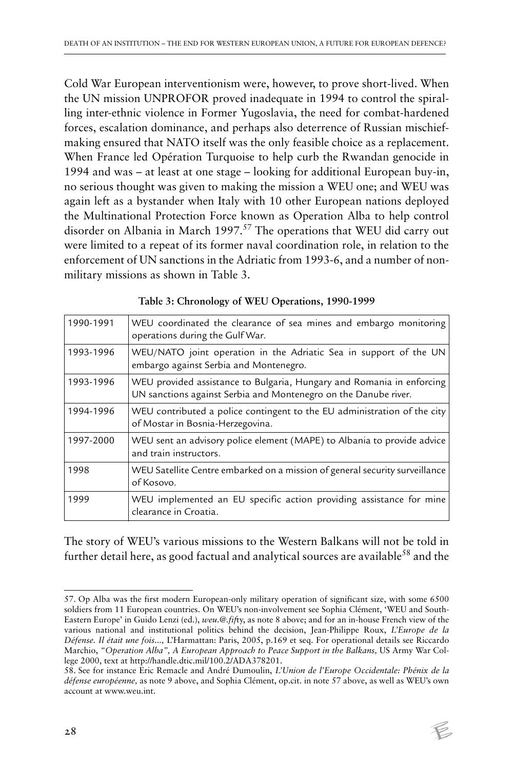Cold War European interventionism were, however, to prove short-lived. When the UN mission UNPROFOR proved inadequate in 1994 to control the spiralling inter-ethnic violence in Former Yugoslavia, the need for combat-hardened forces, escalation dominance, and perhaps also deterrence of Russian mischiefmaking ensured that NATO itself was the only feasible choice as a replacement. When France led Opération Turquoise to help curb the Rwandan genocide in 1994 and was – at least at one stage – looking for additional European buy-in, no serious thought was given to making the mission a WEU one; and WEU was again left as a bystander when Italy with 10 other European nations deployed the Multinational Protection Force known as Operation Alba to help control disorder on Albania in March 1997.<sup>57</sup> The operations that WEU did carry out were limited to a repeat of its former naval coordination role, in relation to the enforcement of UN sanctions in the Adriatic from 1993-6, and a number of nonmilitary missions as shown in Table 3.

| 1990-1991 | WEU coordinated the clearance of sea mines and embargo monitoring<br>operations during the Gulf War.                                     |
|-----------|------------------------------------------------------------------------------------------------------------------------------------------|
| 1993-1996 | WEU/NATO joint operation in the Adriatic Sea in support of the UN<br>embargo against Serbia and Montenegro.                              |
| 1993-1996 | WEU provided assistance to Bulgaria, Hungary and Romania in enforcing<br>UN sanctions against Serbia and Montenegro on the Danube river. |
| 1994-1996 | WEU contributed a police contingent to the EU administration of the city<br>of Mostar in Bosnia-Herzegovina.                             |
| 1997-2000 | WEU sent an advisory police element (MAPE) to Albania to provide advice<br>and train instructors.                                        |
| 1998      | WEU Satellite Centre embarked on a mission of general security surveillance<br>of Kosovo.                                                |
| 1999      | WEU implemented an EU specific action providing assistance for mine<br>clearance in Croatia.                                             |

|  | Table 3: Chronology of WEU Operations, 1990-1999 |  |
|--|--------------------------------------------------|--|
|--|--------------------------------------------------|--|

The story of WEU's various missions to the Western Balkans will not be told in further detail here, as good factual and analytical sources are available<sup>58</sup> and the

<sup>57.</sup> Op Alba was the first modern European-only military operation of significant size, with some 6500 soldiers from 11 European countries. On WEU's non-involvement see Sophia Clément, 'WEU and South-Eastern Europe' in Guido Lenzi (ed.), *weu.@.fif*ty, as note 8 above; and for an in-house French view of the various national and institutional politics behind the decision, Jean-Philippe Roux, *L'Europe de la Défense. Il était une fois...,* L'Harmattan: Paris, 2005, p.169 et seq. For operational details see Riccardo Marchio, *"Operation Alba", A European Approach to Peace Support in the Balkans,* US Army War College 2000, text at http://handle.dtic.mil/100.2/ADA378201.

<sup>58.</sup> See for instance Eric Remacle and André Dumoulin, *L'Union de l'Europe Occidentale: Phénix de la défense européenne,* as note 9 above, and Sophia Clément, op.cit. in note 57 above, as well as WEU's own account at www.weu.int.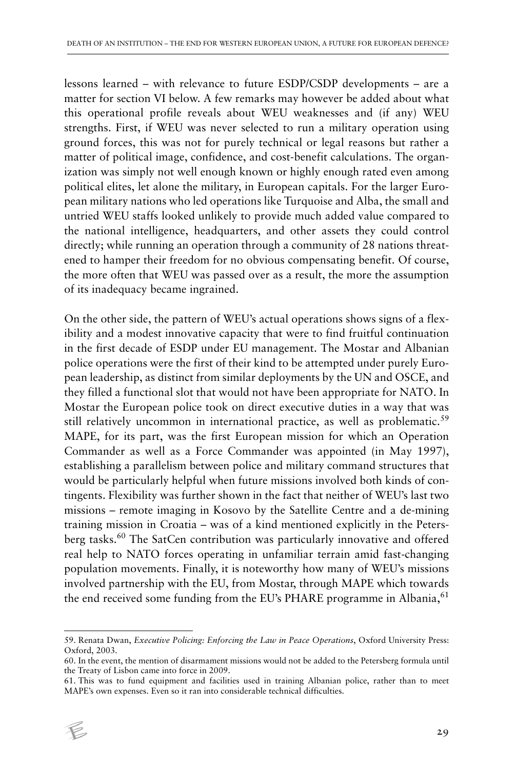lessons learned – with relevance to future ESDP/CSDP developments – are a matter for section VI below. A few remarks may however be added about what this operational profile reveals about WEU weaknesses and (if any) WEU strengths. First, if WEU was never selected to run a military operation using ground forces, this was not for purely technical or legal reasons but rather a matter of political image, confidence, and cost-benefit calculations. The organization was simply not well enough known or highly enough rated even among political elites, let alone the military, in European capitals. For the larger European military nations who led operations like Turquoise and Alba, the small and untried WEU staffs looked unlikely to provide much added value compared to the national intelligence, headquarters, and other assets they could control directly; while running an operation through a community of 28 nations threatened to hamper their freedom for no obvious compensating benefit. Of course, the more often that WEU was passed over as a result, the more the assumption of its inadequacy became ingrained.

On the other side, the pattern of WEU's actual operations shows signs of a flexibility and a modest innovative capacity that were to find fruitful continuation in the first decade of ESDP under EU management. The Mostar and Albanian police operations were the first of their kind to be attempted under purely European leadership, as distinct from similar deployments by the UN and OSCE, and they filled a functional slot that would not have been appropriate for NATO. In Mostar the European police took on direct executive duties in a way that was still relatively uncommon in international practice, as well as problematic.<sup>59</sup> MAPE, for its part, was the first European mission for which an Operation Commander as well as a Force Commander was appointed (in May 1997), establishing a parallelism between police and military command structures that would be particularly helpful when future missions involved both kinds of contingents. Flexibility was further shown in the fact that neither of WEU's last two missions – remote imaging in Kosovo by the Satellite Centre and a de-mining training mission in Croatia – was of a kind mentioned explicitly in the Petersberg tasks.<sup>60</sup> The SatCen contribution was particularly innovative and offered real help to NATO forces operating in unfamiliar terrain amid fast-changing population movements. Finally, it is noteworthy how many of WEU's missions involved partnership with the EU, from Mostar, through MAPE which towards the end received some funding from the EU's PHARE programme in Albania, 61

<sup>61.</sup> This was to fund equipment and facilities used in training Albanian police, rather than to meet MAPE's own expenses. Even so it ran into considerable technical difficulties.



<sup>59.</sup> Renata Dwan, *Executive Policing: Enforcing the Law in Peace Operations*, Oxford University Press: Oxford, 2003.

<sup>60.</sup> In the event, the mention of disarmament missions would not be added to the Petersberg formula until the Treaty of Lisbon came into force in 2009.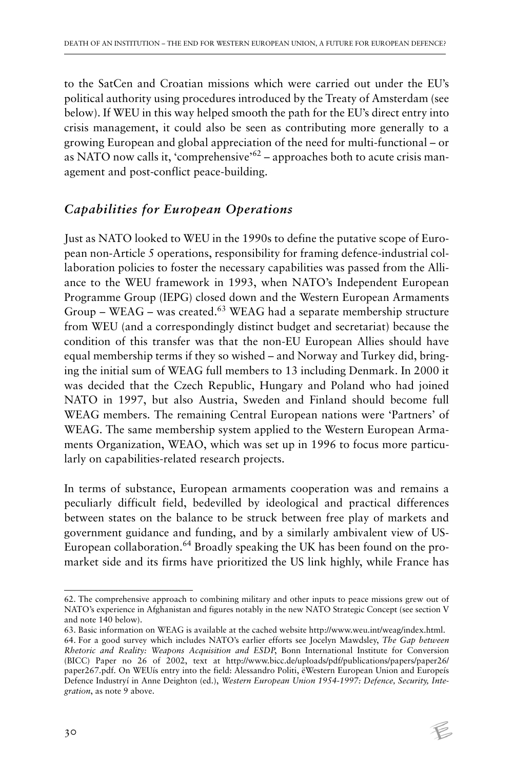to the SatCen and Croatian missions which were carried out under the EU's political authority using procedures introduced by the Treaty of Amsterdam (see below). If WEU in this way helped smooth the path for the EU's direct entry into crisis management, it could also be seen as contributing more generally to a growing European and global appreciation of the need for multi-functional – or as NATO now calls it, 'comprehensive'<sup>62</sup> – approaches both to acute crisis management and post-conflict peace-building.

#### *Capabilities for European Operations*

Just as NATO looked to WEU in the 1990s to define the putative scope of European non-Article 5 operations, responsibility for framing defence-industrial collaboration policies to foster the necessary capabilities was passed from the Alliance to the WEU framework in 1993, when NATO's Independent European Programme Group (IEPG) closed down and the Western European Armaments Group – WEAG – was created.<sup>63</sup> WEAG had a separate membership structure from WEU (and a correspondingly distinct budget and secretariat) because the condition of this transfer was that the non-EU European Allies should have equal membership terms if they so wished – and Norway and Turkey did, bringing the initial sum of WEAG full members to 13 including Denmark. In 2000 it was decided that the Czech Republic, Hungary and Poland who had joined NATO in 1997, but also Austria, Sweden and Finland should become full WEAG members. The remaining Central European nations were 'Partners' of WEAG. The same membership system applied to the Western European Armaments Organization, WEAO, which was set up in 1996 to focus more particularly on capabilities-related research projects.

In terms of substance, European armaments cooperation was and remains a peculiarly difficult field, bedevilled by ideological and practical differences between states on the balance to be struck between free play of markets and government guidance and funding, and by a similarly ambivalent view of US-European collaboration.<sup>64</sup> Broadly speaking the UK has been found on the promarket side and its firms have prioritized the US link highly, while France has

<sup>63.</sup> Basic information on WEAG is available at the cached website http://www.weu.int/weag/index.html. 64. For a good survey which includes NATO's earlier efforts see Jocelyn Mawdsley, *The Gap between Rhetoric and Reality: Weapons Acquisition and ESDP*, Bonn International Institute for Conversion (BICC) Paper no 26 of 2002, text at http://www.bicc.de/uploads/pdf/publications/papers/paper26/ paper267.pdf. On WEUís entry into the field: Alessandro Politi, ëWestern European Union and Europeís Defence Industryí in Anne Deighton (ed.), *Western European Union 1954-1997: Defence, Security, Integration*, as note 9 above.



<sup>62.</sup> The comprehensive approach to combining military and other inputs to peace missions grew out of NATO's experience in Afghanistan and figures notably in the new NATO Strategic Concept (see section V and note 140 below).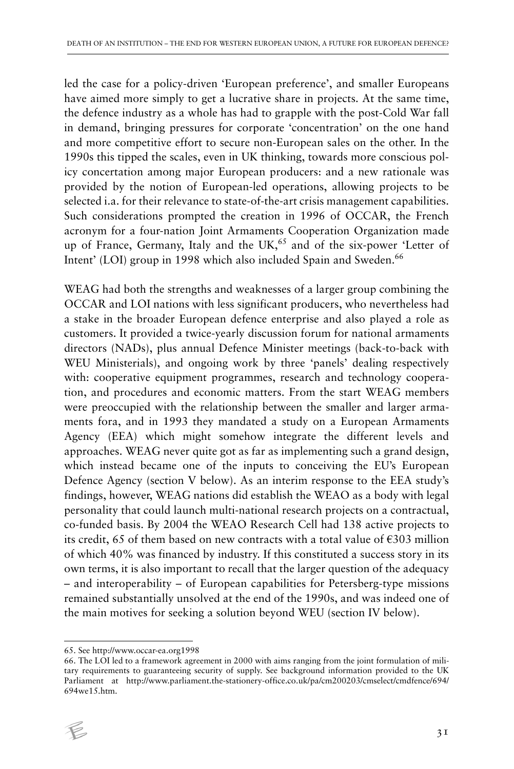led the case for a policy-driven 'European preference', and smaller Europeans have aimed more simply to get a lucrative share in projects. At the same time, the defence industry as a whole has had to grapple with the post-Cold War fall in demand, bringing pressures for corporate 'concentration' on the one hand and more competitive effort to secure non-European sales on the other. In the 1990s this tipped the scales, even in UK thinking, towards more conscious policy concertation among major European producers: and a new rationale was provided by the notion of European-led operations, allowing projects to be selected i.a. for their relevance to state-of-the-art crisis management capabilities. Such considerations prompted the creation in 1996 of OCCAR, the French acronym for a four-nation Joint Armaments Cooperation Organization made up of France, Germany, Italy and the UK, $65$  and of the six-power 'Letter of Intent' (LOI) group in 1998 which also included Spain and Sweden.<sup>66</sup>

WEAG had both the strengths and weaknesses of a larger group combining the OCCAR and LOI nations with less significant producers, who nevertheless had a stake in the broader European defence enterprise and also played a role as customers. It provided a twice-yearly discussion forum for national armaments directors (NADs), plus annual Defence Minister meetings (back-to-back with WEU Ministerials), and ongoing work by three 'panels' dealing respectively with: cooperative equipment programmes, research and technology cooperation, and procedures and economic matters. From the start WEAG members were preoccupied with the relationship between the smaller and larger armaments fora, and in 1993 they mandated a study on a European Armaments Agency (EEA) which might somehow integrate the different levels and approaches. WEAG never quite got as far as implementing such a grand design, which instead became one of the inputs to conceiving the EU's European Defence Agency (section V below). As an interim response to the EEA study's findings, however, WEAG nations did establish the WEAO as a body with legal personality that could launch multi-national research projects on a contractual, co-funded basis. By 2004 the WEAO Research Cell had 138 active projects to its credit, 65 of them based on new contracts with a total value of  $\epsilon$ 303 million of which 40% was financed by industry. If this constituted a success story in its own terms, it is also important to recall that the larger question of the adequacy – and interoperability – of European capabilities for Petersberg-type missions remained substantially unsolved at the end of the 1990s, and was indeed one of the main motives for seeking a solution beyond WEU (section IV below).

<sup>66.</sup> The LOI led to a framework agreement in 2000 with aims ranging from the joint formulation of military requirements to guaranteeing security of supply. See background information provided to the UK Parliament at http://www.parliament.the-stationery-office.co.uk/pa/cm200203/cmselect/cmdfence/694/ 694we15.htm.



<sup>65.</sup> See http://www.occar-ea.org1998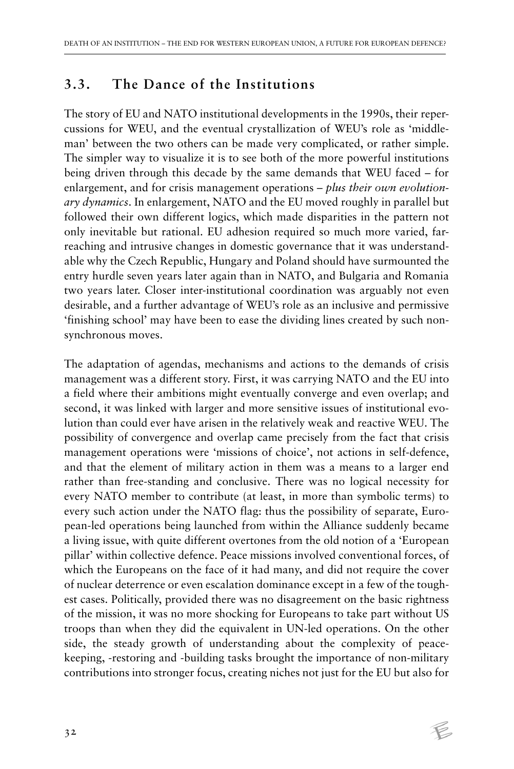#### **3.3. The Dance of the Institutions**

The story of EU and NATO institutional developments in the 1990s, their repercussions for WEU, and the eventual crystallization of WEU's role as 'middleman' between the two others can be made very complicated, or rather simple. The simpler way to visualize it is to see both of the more powerful institutions being driven through this decade by the same demands that WEU faced – for enlargement, and for crisis management operations – *plus their own evolutionary dynamics*. In enlargement, NATO and the EU moved roughly in parallel but followed their own different logics, which made disparities in the pattern not only inevitable but rational. EU adhesion required so much more varied, farreaching and intrusive changes in domestic governance that it was understandable why the Czech Republic, Hungary and Poland should have surmounted the entry hurdle seven years later again than in NATO, and Bulgaria and Romania two years later. Closer inter-institutional coordination was arguably not even desirable, and a further advantage of WEU's role as an inclusive and permissive 'finishing school' may have been to ease the dividing lines created by such nonsynchronous moves.

The adaptation of agendas, mechanisms and actions to the demands of crisis management was a different story. First, it was carrying NATO and the EU into a field where their ambitions might eventually converge and even overlap; and second, it was linked with larger and more sensitive issues of institutional evolution than could ever have arisen in the relatively weak and reactive WEU. The possibility of convergence and overlap came precisely from the fact that crisis management operations were 'missions of choice', not actions in self-defence, and that the element of military action in them was a means to a larger end rather than free-standing and conclusive. There was no logical necessity for every NATO member to contribute (at least, in more than symbolic terms) to every such action under the NATO flag: thus the possibility of separate, European-led operations being launched from within the Alliance suddenly became a living issue, with quite different overtones from the old notion of a 'European pillar' within collective defence. Peace missions involved conventional forces, of which the Europeans on the face of it had many, and did not require the cover of nuclear deterrence or even escalation dominance except in a few of the toughest cases. Politically, provided there was no disagreement on the basic rightness of the mission, it was no more shocking for Europeans to take part without US troops than when they did the equivalent in UN-led operations. On the other side, the steady growth of understanding about the complexity of peacekeeping, -restoring and -building tasks brought the importance of non-military contributions into stronger focus, creating niches not just for the EU but also for

 $\not\in$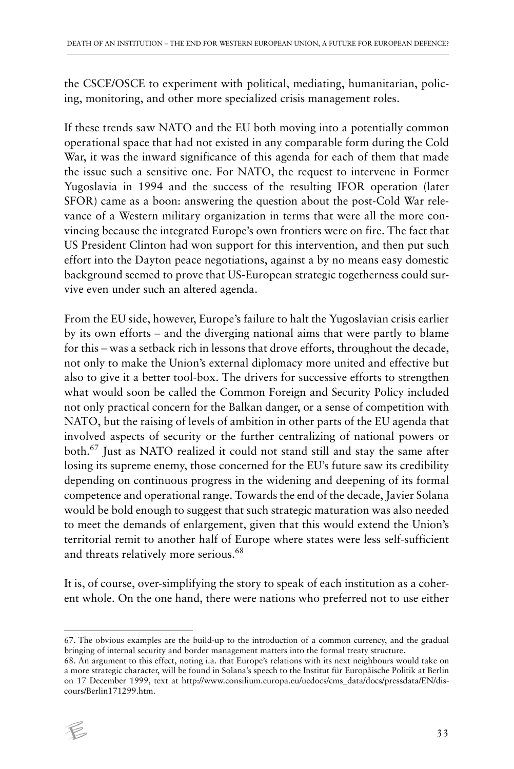the CSCE/OSCE to experiment with political, mediating, humanitarian, policing, monitoring, and other more specialized crisis management roles.

If these trends saw NATO and the EU both moving into a potentially common operational space that had not existed in any comparable form during the Cold War, it was the inward significance of this agenda for each of them that made the issue such a sensitive one. For NATO, the request to intervene in Former Yugoslavia in 1994 and the success of the resulting IFOR operation (later SFOR) came as a boon: answering the question about the post-Cold War relevance of a Western military organization in terms that were all the more convincing because the integrated Europe's own frontiers were on fire. The fact that US President Clinton had won support for this intervention, and then put such effort into the Dayton peace negotiations, against a by no means easy domestic background seemed to prove that US-European strategic togetherness could survive even under such an altered agenda.

From the EU side, however, Europe's failure to halt the Yugoslavian crisis earlier by its own efforts – and the diverging national aims that were partly to blame for this – was a setback rich in lessons that drove efforts, throughout the decade, not only to make the Union's external diplomacy more united and effective but also to give it a better tool-box. The drivers for successive efforts to strengthen what would soon be called the Common Foreign and Security Policy included not only practical concern for the Balkan danger, or a sense of competition with NATO, but the raising of levels of ambition in other parts of the EU agenda that involved aspects of security or the further centralizing of national powers or both.67 Just as NATO realized it could not stand still and stay the same after losing its supreme enemy, those concerned for the EU's future saw its credibility depending on continuous progress in the widening and deepening of its formal competence and operational range. Towards the end of the decade, Javier Solana would be bold enough to suggest that such strategic maturation was also needed to meet the demands of enlargement, given that this would extend the Union's territorial remit to another half of Europe where states were less self-sufficient and threats relatively more serious.<sup>68</sup>

It is, of course, over-simplifying the story to speak of each institution as a coherent whole. On the one hand, there were nations who preferred not to use either

<sup>68.</sup> An argument to this effect, noting i.a. that Europe's relations with its next neighbours would take on a more strategic character, will be found in Solana's speech to the Institut für Europåische Politik at Berlin on 17 December 1999, text at http://www.consilium.europa.eu/uedocs/cms\_data/docs/pressdata/EN/discours/Berlin171299.htm.



<sup>67.</sup> The obvious examples are the build-up to the introduction of a common currency, and the gradual bringing of internal security and border management matters into the formal treaty structure.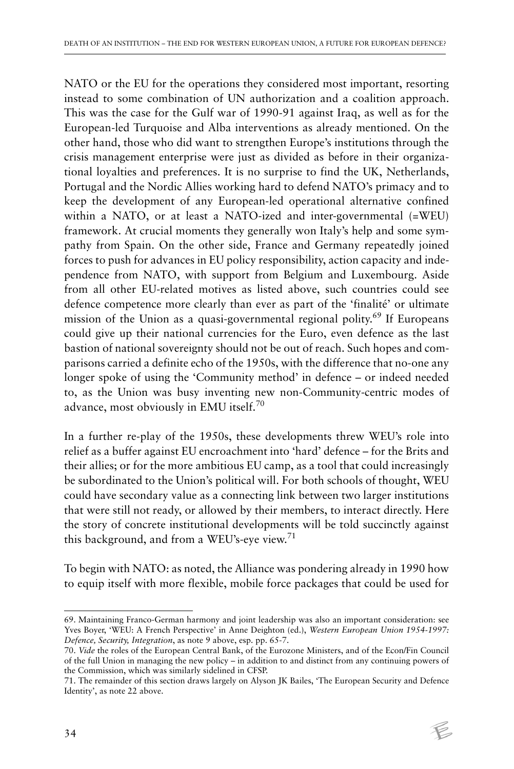NATO or the EU for the operations they considered most important, resorting instead to some combination of UN authorization and a coalition approach. This was the case for the Gulf war of 1990-91 against Iraq, as well as for the European-led Turquoise and Alba interventions as already mentioned. On the other hand, those who did want to strengthen Europe's institutions through the crisis management enterprise were just as divided as before in their organizational loyalties and preferences. It is no surprise to find the UK, Netherlands, Portugal and the Nordic Allies working hard to defend NATO's primacy and to keep the development of any European-led operational alternative confined within a NATO, or at least a NATO-ized and inter-governmental (=WEU) framework. At crucial moments they generally won Italy's help and some sympathy from Spain. On the other side, France and Germany repeatedly joined forces to push for advances in EU policy responsibility, action capacity and independence from NATO, with support from Belgium and Luxembourg. Aside from all other EU-related motives as listed above, such countries could see defence competence more clearly than ever as part of the 'finalité' or ultimate mission of the Union as a quasi-governmental regional polity.69 If Europeans could give up their national currencies for the Euro, even defence as the last bastion of national sovereignty should not be out of reach. Such hopes and comparisons carried a definite echo of the 1950s, with the difference that no-one any longer spoke of using the 'Community method' in defence – or indeed needed to, as the Union was busy inventing new non-Community-centric modes of advance, most obviously in EMU itself.<sup>70</sup>

In a further re-play of the 1950s, these developments threw WEU's role into relief as a buffer against EU encroachment into 'hard' defence – for the Brits and their allies; or for the more ambitious EU camp, as a tool that could increasingly be subordinated to the Union's political will. For both schools of thought, WEU could have secondary value as a connecting link between two larger institutions that were still not ready, or allowed by their members, to interact directly. Here the story of concrete institutional developments will be told succinctly against this background, and from a WEU's-eye view.<sup>71</sup>

To begin with NATO: as noted, the Alliance was pondering already in 1990 how to equip itself with more flexible, mobile force packages that could be used for

<sup>69.</sup> Maintaining Franco-German harmony and joint leadership was also an important consideration: see Yves Boyer, 'WEU: A French Perspective' in Anne Deighton (ed.), *Western European Union 1954-1997: Defence, Security, Integration*, as note 9 above, esp. pp. 65-7.

<sup>70.</sup> *Vide* the roles of the European Central Bank, of the Eurozone Ministers, and of the Econ/Fin Council of the full Union in managing the new policy – in addition to and distinct from any continuing powers of the Commission, which was similarly sidelined in CFSP.

<sup>71.</sup> The remainder of this section draws largely on Alyson JK Bailes, 'The European Security and Defence Identity', as note 22 above.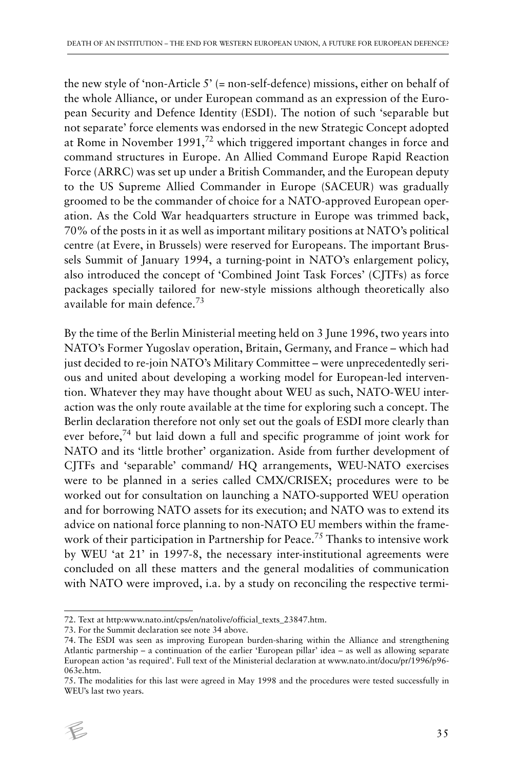the new style of 'non-Article 5' (= non-self-defence) missions, either on behalf of the whole Alliance, or under European command as an expression of the European Security and Defence Identity (ESDI). The notion of such 'separable but not separate' force elements was endorsed in the new Strategic Concept adopted at Rome in November 1991,72 which triggered important changes in force and command structures in Europe. An Allied Command Europe Rapid Reaction Force (ARRC) was set up under a British Commander, and the European deputy to the US Supreme Allied Commander in Europe (SACEUR) was gradually groomed to be the commander of choice for a NATO-approved European operation. As the Cold War headquarters structure in Europe was trimmed back, 70% of the posts in it as well as important military positions at NATO's political centre (at Evere, in Brussels) were reserved for Europeans. The important Brussels Summit of January 1994, a turning-point in NATO's enlargement policy, also introduced the concept of 'Combined Joint Task Forces' (CJTFs) as force packages specially tailored for new-style missions although theoretically also available for main defence.73

By the time of the Berlin Ministerial meeting held on 3 June 1996, two years into NATO's Former Yugoslav operation, Britain, Germany, and France – which had just decided to re-join NATO's Military Committee - were unprecedentedly serious and united about developing a working model for European-led intervention. Whatever they may have thought about WEU as such, NATO-WEU interaction was the only route available at the time for exploring such a concept. The Berlin declaration therefore not only set out the goals of ESDI more clearly than ever before,74 but laid down a full and specific programme of joint work for NATO and its 'little brother' organization. Aside from further development of CJTFs and 'separable' command/ HQ arrangements, WEU-NATO exercises were to be planned in a series called CMX/CRISEX; procedures were to be worked out for consultation on launching a NATO-supported WEU operation and for borrowing NATO assets for its execution; and NATO was to extend its advice on national force planning to non-NATO EU members within the framework of their participation in Partnership for Peace.<sup>75</sup> Thanks to intensive work by WEU 'at 21' in 1997-8, the necessary inter-institutional agreements were concluded on all these matters and the general modalities of communication with NATO were improved, i.a. by a study on reconciling the respective termi-

<sup>75.</sup> The modalities for this last were agreed in May 1998 and the procedures were tested successfully in WEU's last two years.



<sup>72.</sup> Text at http:www.nato.int/cps/en/natolive/official\_texts\_23847.htm.

<sup>73.</sup> For the Summit declaration see note 34 above.

<sup>74.</sup> The ESDI was seen as improving European burden-sharing within the Alliance and strengthening Atlantic partnership – a continuation of the earlier 'European pillar' idea – as well as allowing separate European action 'as required'. Full text of the Ministerial declaration at www.nato.int/docu/pr/1996/p96- 063e.htm.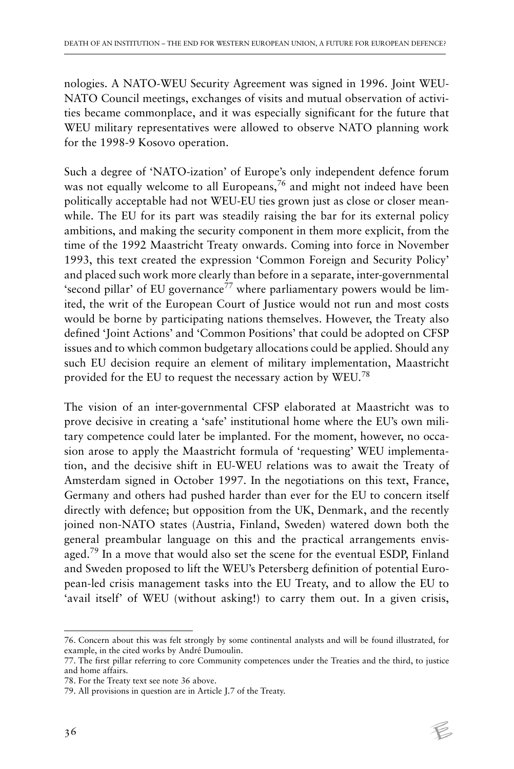nologies. A NATO-WEU Security Agreement was signed in 1996. Joint WEU-NATO Council meetings, exchanges of visits and mutual observation of activities became commonplace, and it was especially significant for the future that WEU military representatives were allowed to observe NATO planning work for the 1998-9 Kosovo operation.

Such a degree of 'NATO-ization' of Europe's only independent defence forum was not equally welcome to all Europeans,<sup>76</sup> and might not indeed have been politically acceptable had not WEU-EU ties grown just as close or closer meanwhile. The EU for its part was steadily raising the bar for its external policy ambitions, and making the security component in them more explicit, from the time of the 1992 Maastricht Treaty onwards. Coming into force in November 1993, this text created the expression 'Common Foreign and Security Policy' and placed such work more clearly than before in a separate, inter-governmental 'second pillar' of EU governance<sup>77</sup> where parliamentary powers would be limited, the writ of the European Court of Justice would not run and most costs would be borne by participating nations themselves. However, the Treaty also defined 'Joint Actions' and 'Common Positions' that could be adopted on CFSP issues and to which common budgetary allocations could be applied. Should any such EU decision require an element of military implementation, Maastricht provided for the EU to request the necessary action by WEU.<sup>78</sup>

The vision of an inter-governmental CFSP elaborated at Maastricht was to prove decisive in creating a 'safe' institutional home where the EU's own military competence could later be implanted. For the moment, however, no occasion arose to apply the Maastricht formula of 'requesting' WEU implementation, and the decisive shift in EU-WEU relations was to await the Treaty of Amsterdam signed in October 1997. In the negotiations on this text, France, Germany and others had pushed harder than ever for the EU to concern itself directly with defence; but opposition from the UK, Denmark, and the recently joined non-NATO states (Austria, Finland, Sweden) watered down both the general preambular language on this and the practical arrangements envisaged.<sup>79</sup> In a move that would also set the scene for the eventual ESDP, Finland and Sweden proposed to lift the WEU's Petersberg definition of potential European-led crisis management tasks into the EU Treaty, and to allow the EU to 'avail itself' of WEU (without asking!) to carry them out. In a given crisis,

<sup>76.</sup> Concern about this was felt strongly by some continental analysts and will be found illustrated, for example, in the cited works by André Dumoulin.

<sup>77.</sup> The first pillar referring to core Community competences under the Treaties and the third, to justice and home affairs.

<sup>78.</sup> For the Treaty text see note 36 above.

<sup>79.</sup> All provisions in question are in Article J.7 of the Treaty.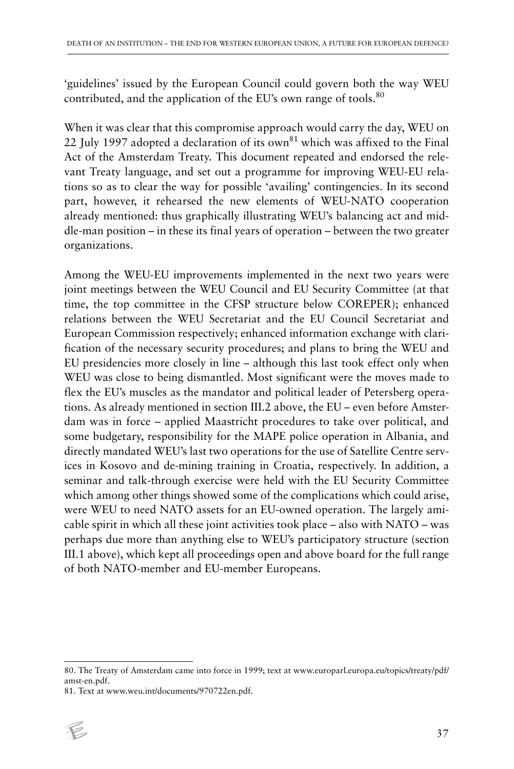'guidelines' issued by the European Council could govern both the way WEU contributed, and the application of the EU's own range of tools.<sup>80</sup>

When it was clear that this compromise approach would carry the day, WEU on 22 July 1997 adopted a declaration of its own<sup>81</sup> which was affixed to the Final Act of the Amsterdam Treaty. This document repeated and endorsed the relevant Treaty language, and set out a programme for improving WEU-EU relations so as to clear the way for possible 'availing' contingencies. In its second part, however, it rehearsed the new elements of WEU-NATO cooperation already mentioned: thus graphically illustrating WEU's balancing act and middle-man position – in these its final years of operation – between the two greater organizations.

Among the WEU-EU improvements implemented in the next two years were joint meetings between the WEU Council and EU Security Committee (at that time, the top committee in the CFSP structure below COREPER); enhanced relations between the WEU Secretariat and the EU Council Secretariat and European Commission respectively; enhanced information exchange with clarification of the necessary security procedures; and plans to bring the WEU and EU presidencies more closely in line – although this last took effect only when WEU was close to being dismantled. Most significant were the moves made to flex the EU's muscles as the mandator and political leader of Petersberg operations. As already mentioned in section III.2 above, the EU – even before Amsterdam was in force – applied Maastricht procedures to take over political, and some budgetary, responsibility for the MAPE police operation in Albania, and directly mandated WEU's last two operations for the use of Satellite Centre services in Kosovo and de-mining training in Croatia, respectively. In addition, a seminar and talk-through exercise were held with the EU Security Committee which among other things showed some of the complications which could arise, were WEU to need NATO assets for an EU-owned operation. The largely amicable spirit in which all these joint activities took place – also with NATO – was perhaps due more than anything else to WEU's participatory structure (section III.1 above), which kept all proceedings open and above board for the full range of both NATO-member and EU-member Europeans.

<sup>81.</sup> Text at www.weu.int/documents/970722en.pdf.



<sup>80.</sup> The Treaty of Amsterdam came into force in 1999; text at www.europarl.europa.eu/topics/treaty/pdf/ amst-en.pdf.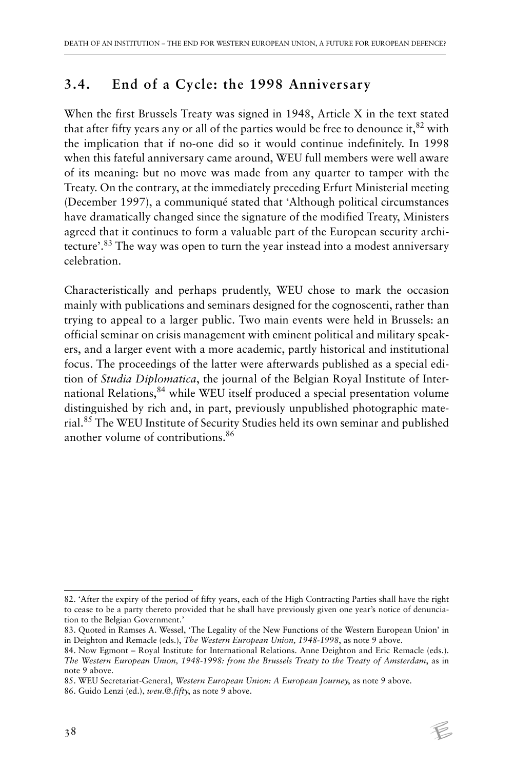## **3.4. End of a Cycle: the 1998 Anniversary**

When the first Brussels Treaty was signed in 1948, Article X in the text stated that after fifty years any or all of the parties would be free to denounce it,  $82$  with the implication that if no-one did so it would continue indefinitely. In 1998 when this fateful anniversary came around, WEU full members were well aware of its meaning: but no move was made from any quarter to tamper with the Treaty. On the contrary, at the immediately preceding Erfurt Ministerial meeting (December 1997), a communiqué stated that 'Although political circumstances have dramatically changed since the signature of the modified Treaty, Ministers agreed that it continues to form a valuable part of the European security architecture'.83 The way was open to turn the year instead into a modest anniversary celebration.

Characteristically and perhaps prudently, WEU chose to mark the occasion mainly with publications and seminars designed for the cognoscenti, rather than trying to appeal to a larger public. Two main events were held in Brussels: an official seminar on crisis management with eminent political and military speakers, and a larger event with a more academic, partly historical and institutional focus. The proceedings of the latter were afterwards published as a special edition of *Studia Diplomatica*, the journal of the Belgian Royal Institute of International Relations,<sup>84</sup> while WEU itself produced a special presentation volume distinguished by rich and, in part, previously unpublished photographic material.85 The WEU Institute of Security Studies held its own seminar and published another volume of contributions.<sup>86</sup>

<sup>82. &#</sup>x27;After the expiry of the period of fifty years, each of the High Contracting Parties shall have the right to cease to be a party thereto provided that he shall have previously given one year's notice of denunciation to the Belgian Government.'

<sup>83.</sup> Quoted in Ramses A. Wessel, 'The Legality of the New Functions of the Western European Union' in in Deighton and Remacle (eds.), *The Western European Union, 1948-1998*, as note 9 above.

<sup>84.</sup> Now Egmont – Royal Institute for International Relations. Anne Deighton and Eric Remacle (eds.). *The Western European Union, 1948-1998: from the Brussels Treaty to the Treaty of Amsterdam*, as in note 9 above.

<sup>85.</sup> WEU Secretariat-General, *Western European Union: A European Journey*, as note 9 above.

<sup>86.</sup> Guido Lenzi (ed.), *weu.@.fifty*, as note 9 above.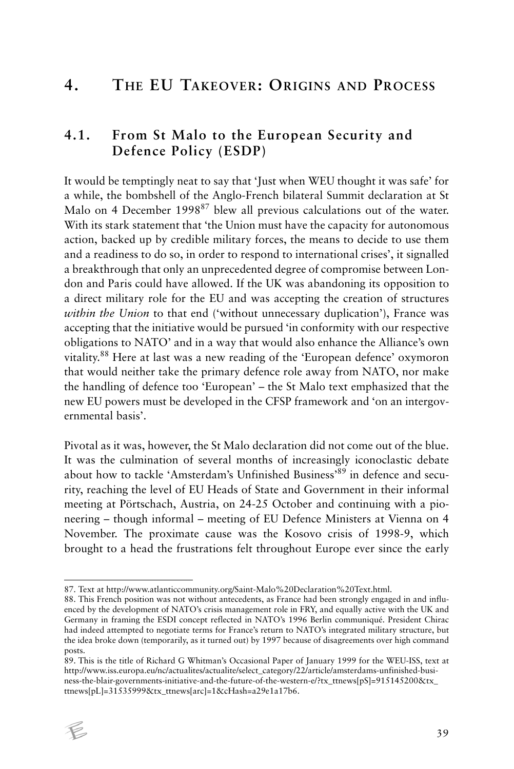# **4. THE EU TAKEOVER: ORIGINS AND PROCESS**

### **4.1. From St Malo to the European Security and Defence Policy (ESDP)**

It would be temptingly neat to say that 'Just when WEU thought it was safe' for a while, the bombshell of the Anglo-French bilateral Summit declaration at St Malo on 4 December 1998<sup>87</sup> blew all previous calculations out of the water. With its stark statement that 'the Union must have the capacity for autonomous action, backed up by credible military forces, the means to decide to use them and a readiness to do so, in order to respond to international crises', it signalled a breakthrough that only an unprecedented degree of compromise between London and Paris could have allowed. If the UK was abandoning its opposition to a direct military role for the EU and was accepting the creation of structures *within the Union* to that end ('without unnecessary duplication'), France was accepting that the initiative would be pursued 'in conformity with our respective obligations to NATO' and in a way that would also enhance the Alliance's own vitality.88 Here at last was a new reading of the 'European defence' oxymoron that would neither take the primary defence role away from NATO, nor make the handling of defence too 'European' – the St Malo text emphasized that the new EU powers must be developed in the CFSP framework and 'on an intergovernmental basis'.

Pivotal as it was, however, the St Malo declaration did not come out of the blue. It was the culmination of several months of increasingly iconoclastic debate about how to tackle 'Amsterdam's Unfinished Business'89 in defence and security, reaching the level of EU Heads of State and Government in their informal meeting at Pörtschach, Austria, on 24-25 October and continuing with a pioneering – though informal – meeting of EU Defence Ministers at Vienna on 4 November. The proximate cause was the Kosovo crisis of 1998-9, which brought to a head the frustrations felt throughout Europe ever since the early

<sup>89.</sup> This is the title of Richard G Whitman's Occasional Paper of January 1999 for the WEU-ISS, text at http://www.iss.europa.eu/nc/actualites/actualite/select\_category/22/article/amsterdams-unfinished-business-the-blair-governments-initiative-and-the-future-of-the-western-e/?tx\_ttnews[pS]=915145200&tx\_ ttnews[pL]=31535999&tx\_ttnews[arc]=1&cHash=a29e1a17b6.



<sup>87.</sup> Text at http://www.atlanticcommunity.org/Saint-Malo%20Declaration%20Text.html.

<sup>88.</sup> This French position was not without antecedents, as France had been strongly engaged in and influenced by the development of NATO's crisis management role in FRY, and equally active with the UK and Germany in framing the ESDI concept reflected in NATO's 1996 Berlin communiqué. President Chirac had indeed attempted to negotiate terms for France's return to NATO's integrated military structure, but the idea broke down (temporarily, as it turned out) by 1997 because of disagreements over high command posts.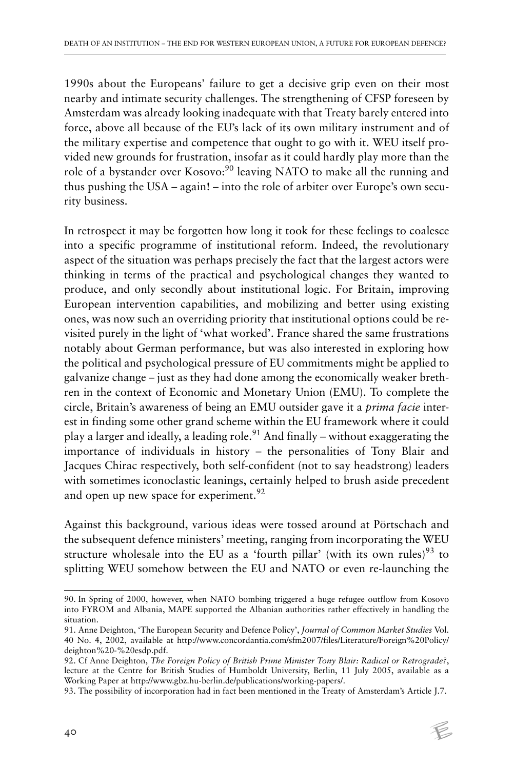1990s about the Europeans' failure to get a decisive grip even on their most nearby and intimate security challenges. The strengthening of CFSP foreseen by Amsterdam was already looking inadequate with that Treaty barely entered into force, above all because of the EU's lack of its own military instrument and of the military expertise and competence that ought to go with it. WEU itself provided new grounds for frustration, insofar as it could hardly play more than the role of a bystander over Kosovo:<sup>90</sup> leaving NATO to make all the running and thus pushing the USA – again! – into the role of arbiter over Europe's own security business.

In retrospect it may be forgotten how long it took for these feelings to coalesce into a specific programme of institutional reform. Indeed, the revolutionary aspect of the situation was perhaps precisely the fact that the largest actors were thinking in terms of the practical and psychological changes they wanted to produce, and only secondly about institutional logic. For Britain, improving European intervention capabilities, and mobilizing and better using existing ones, was now such an overriding priority that institutional options could be revisited purely in the light of 'what worked'. France shared the same frustrations notably about German performance, but was also interested in exploring how the political and psychological pressure of EU commitments might be applied to galvanize change – just as they had done among the economically weaker brethren in the context of Economic and Monetary Union (EMU). To complete the circle, Britain's awareness of being an EMU outsider gave it a *prima facie* interest in finding some other grand scheme within the EU framework where it could play a larger and ideally, a leading role.<sup>91</sup> And finally – without exaggerating the importance of individuals in history – the personalities of Tony Blair and Jacques Chirac respectively, both self-confident (not to say headstrong) leaders with sometimes iconoclastic leanings, certainly helped to brush aside precedent and open up new space for experiment.<sup>92</sup>

Against this background, various ideas were tossed around at Pörtschach and the subsequent defence ministers' meeting, ranging from incorporating the WEU structure wholesale into the EU as a 'fourth pillar' (with its own rules)<sup>93</sup> to splitting WEU somehow between the EU and NATO or even re-launching the

<sup>90.</sup> In Spring of 2000, however, when NATO bombing triggered a huge refugee outflow from Kosovo into FYROM and Albania, MAPE supported the Albanian authorities rather effectively in handling the situation.

<sup>91.</sup> Anne Deighton, 'The European Security and Defence Policy', *Journal of Common Market Studies* Vol. 40 No. 4, 2002, available at http://www.concordantia.com/sfm2007/files/Literature/Foreign%20Policy/ deighton%20-%20esdp.pdf.

<sup>92.</sup> Cf Anne Deighton, *The Foreign Policy of British Prime Minister Tony Blair: Radical or Retrograde?*, lecture at the Centre for British Studies of Humboldt University, Berlin, 11 July 2005, available as a Working Paper at http://www.gbz.hu-berlin.de/publications/working-papers/.

<sup>93.</sup> The possibility of incorporation had in fact been mentioned in the Treaty of Amsterdam's Article J.7.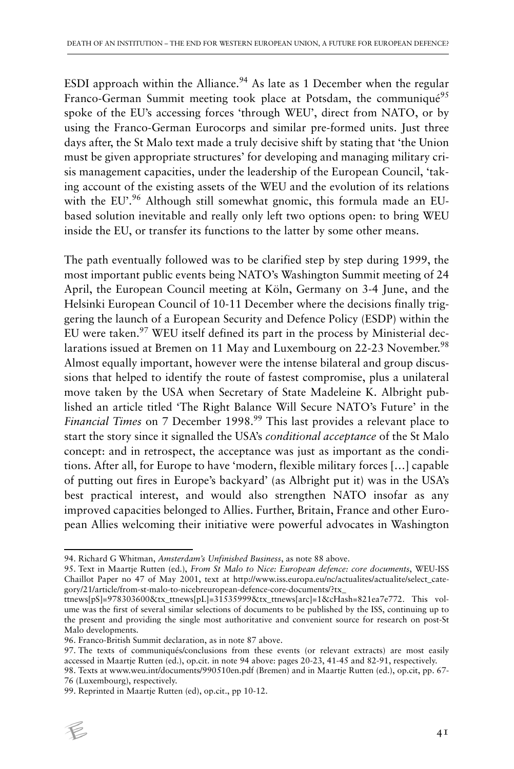ESDI approach within the Alliance.<sup>94</sup> As late as 1 December when the regular Franco-German Summit meeting took place at Potsdam, the communiqué<sup>95</sup> spoke of the EU's accessing forces 'through WEU', direct from NATO, or by using the Franco-German Eurocorps and similar pre-formed units. Just three days after, the St Malo text made a truly decisive shift by stating that 'the Union must be given appropriate structures' for developing and managing military crisis management capacities, under the leadership of the European Council, 'taking account of the existing assets of the WEU and the evolution of its relations with the EU'.<sup>96</sup> Although still somewhat gnomic, this formula made an EUbased solution inevitable and really only left two options open: to bring WEU inside the EU, or transfer its functions to the latter by some other means.

The path eventually followed was to be clarified step by step during 1999, the most important public events being NATO's Washington Summit meeting of 24 April, the European Council meeting at Köln, Germany on 3-4 June, and the Helsinki European Council of 10-11 December where the decisions finally triggering the launch of a European Security and Defence Policy (ESDP) within the EU were taken.<sup>97</sup> WEU itself defined its part in the process by Ministerial declarations issued at Bremen on 11 May and Luxembourg on 22-23 November.<sup>98</sup> Almost equally important, however were the intense bilateral and group discussions that helped to identify the route of fastest compromise, plus a unilateral move taken by the USA when Secretary of State Madeleine K. Albright published an article titled 'The Right Balance Will Secure NATO's Future' in the *Financial Times* on 7 December 1998.<sup>99</sup> This last provides a relevant place to start the story since it signalled the USA's *conditional acceptance* of the St Malo concept: and in retrospect, the acceptance was just as important as the conditions. After all, for Europe to have 'modern, flexible military forces […] capable of putting out fires in Europe's backyard' (as Albright put it) was in the USA's best practical interest, and would also strengthen NATO insofar as any improved capacities belonged to Allies. Further, Britain, France and other European Allies welcoming their initiative were powerful advocates in Washington

<sup>99.</sup> Reprinted in Maartje Rutten (ed), op.cit., pp 10-12.



<sup>94.</sup> Richard G Whitman, *Amsterdam's Unfinished Business*, as note 88 above.

<sup>95.</sup> Text in Maartje Rutten (ed.), *From St Malo to Nice: European defence: core documents*, WEU-ISS Chaillot Paper no 47 of May 2001, text at http://www.iss.europa.eu/nc/actualites/actualite/select\_category/21/article/from-st-malo-to-nicebreuropean-defence-core-documents/?tx\_

ttnews[pS]=978303600&tx\_ttnews[pL]=31535999&tx\_ttnews[arc]=1&cHash=821ea7e772. This volume was the first of several similar selections of documents to be published by the ISS, continuing up to the present and providing the single most authoritative and convenient source for research on post-St Malo developments.

<sup>96.</sup> Franco-British Summit declaration, as in note 87 above.

<sup>97.</sup> The texts of communiqués/conclusions from these events (or relevant extracts) are most easily accessed in Maartje Rutten (ed.), op.cit. in note 94 above: pages 20-23, 41-45 and 82-91, respectively.

<sup>98.</sup> Texts at www.weu.int/documents/990510en.pdf (Bremen) and in Maartje Rutten (ed.), op.cit, pp. 67- 76 (Luxembourg), respectively.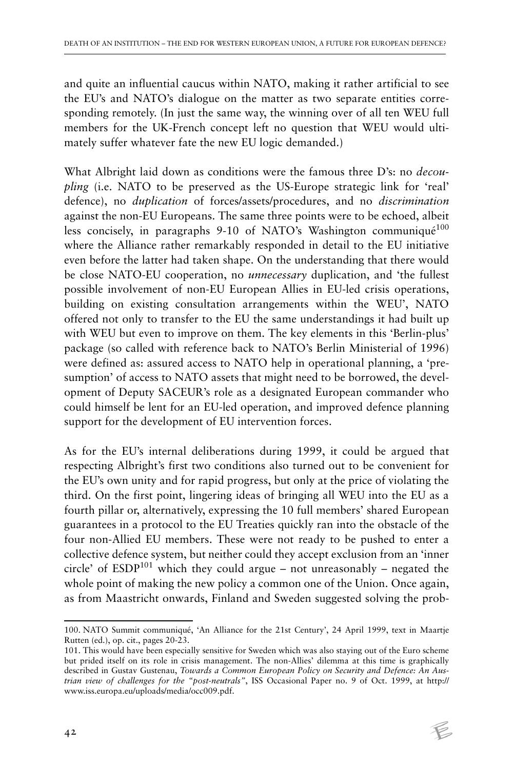and quite an influential caucus within NATO, making it rather artificial to see the EU's and NATO's dialogue on the matter as two separate entities corresponding remotely. (In just the same way, the winning over of all ten WEU full members for the UK-French concept left no question that WEU would ultimately suffer whatever fate the new EU logic demanded.)

What Albright laid down as conditions were the famous three D's: no *decoupling* (i.e. NATO to be preserved as the US-Europe strategic link for 'real' defence), no *duplication* of forces/assets/procedures, and no *discrimination* against the non-EU Europeans. The same three points were to be echoed, albeit less concisely, in paragraphs 9-10 of NATO's Washington communiqué<sup>100</sup> where the Alliance rather remarkably responded in detail to the EU initiative even before the latter had taken shape. On the understanding that there would be close NATO-EU cooperation, no *unnecessary* duplication, and 'the fullest possible involvement of non-EU European Allies in EU-led crisis operations, building on existing consultation arrangements within the WEU', NATO offered not only to transfer to the EU the same understandings it had built up with WEU but even to improve on them. The key elements in this 'Berlin-plus' package (so called with reference back to NATO's Berlin Ministerial of 1996) were defined as: assured access to NATO help in operational planning, a 'presumption' of access to NATO assets that might need to be borrowed, the development of Deputy SACEUR's role as a designated European commander who could himself be lent for an EU-led operation, and improved defence planning support for the development of EU intervention forces.

As for the EU's internal deliberations during 1999, it could be argued that respecting Albright's first two conditions also turned out to be convenient for the EU's own unity and for rapid progress, but only at the price of violating the third. On the first point, lingering ideas of bringing all WEU into the EU as a fourth pillar or, alternatively, expressing the 10 full members' shared European guarantees in a protocol to the EU Treaties quickly ran into the obstacle of the four non-Allied EU members. These were not ready to be pushed to enter a collective defence system, but neither could they accept exclusion from an 'inner circle' of  $ESDP<sup>101</sup>$  which they could argue – not unreasonably – negated the whole point of making the new policy a common one of the Union. Once again, as from Maastricht onwards, Finland and Sweden suggested solving the prob-

<sup>100.</sup> NATO Summit communiqué, 'An Alliance for the 21st Century', 24 April 1999, text in Maartje Rutten (ed.), op. cit., pages 20-23.

<sup>101.</sup> This would have been especially sensitive for Sweden which was also staying out of the Euro scheme but prided itself on its role in crisis management. The non-Allies' dilemma at this time is graphically described in Gustav Gustenau, *Towards a Common European Policy on Security and Defence: An Austrian view of challenges for the "post-neutrals"*, ISS Occasional Paper no. 9 of Oct. 1999, at http:// www.iss.europa.eu/uploads/media/occ009.pdf.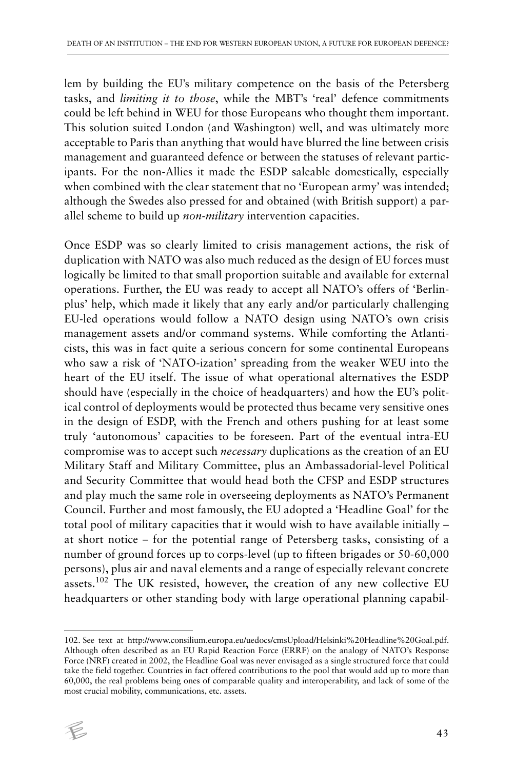lem by building the EU's military competence on the basis of the Petersberg tasks, and *limiting it to those*, while the MBT's 'real' defence commitments could be left behind in WEU for those Europeans who thought them important. This solution suited London (and Washington) well, and was ultimately more acceptable to Paris than anything that would have blurred the line between crisis management and guaranteed defence or between the statuses of relevant participants. For the non-Allies it made the ESDP saleable domestically, especially when combined with the clear statement that no 'European army' was intended; although the Swedes also pressed for and obtained (with British support) a parallel scheme to build up *non-military* intervention capacities.

Once ESDP was so clearly limited to crisis management actions, the risk of duplication with NATO was also much reduced as the design of EU forces must logically be limited to that small proportion suitable and available for external operations. Further, the EU was ready to accept all NATO's offers of 'Berlinplus' help, which made it likely that any early and/or particularly challenging EU-led operations would follow a NATO design using NATO's own crisis management assets and/or command systems. While comforting the Atlanticists, this was in fact quite a serious concern for some continental Europeans who saw a risk of 'NATO-ization' spreading from the weaker WEU into the heart of the EU itself. The issue of what operational alternatives the ESDP should have (especially in the choice of headquarters) and how the EU's political control of deployments would be protected thus became very sensitive ones in the design of ESDP, with the French and others pushing for at least some truly 'autonomous' capacities to be foreseen. Part of the eventual intra-EU compromise was to accept such *necessary* duplications as the creation of an EU Military Staff and Military Committee, plus an Ambassadorial-level Political and Security Committee that would head both the CFSP and ESDP structures and play much the same role in overseeing deployments as NATO's Permanent Council. Further and most famously, the EU adopted a 'Headline Goal' for the total pool of military capacities that it would wish to have available initially – at short notice – for the potential range of Petersberg tasks, consisting of a number of ground forces up to corps-level (up to fifteen brigades or 50-60,000 persons), plus air and naval elements and a range of especially relevant concrete assets.102 The UK resisted, however, the creation of any new collective EU headquarters or other standing body with large operational planning capabil-

<sup>102.</sup> See text at http://www.consilium.europa.eu/uedocs/cmsUpload/Helsinki%20Headline%20Goal.pdf. Although often described as an EU Rapid Reaction Force (ERRF) on the analogy of NATO's Response Force (NRF) created in 2002, the Headline Goal was never envisaged as a single structured force that could take the field together. Countries in fact offered contributions to the pool that would add up to more than 60,000, the real problems being ones of comparable quality and interoperability, and lack of some of the most crucial mobility, communications, etc. assets.

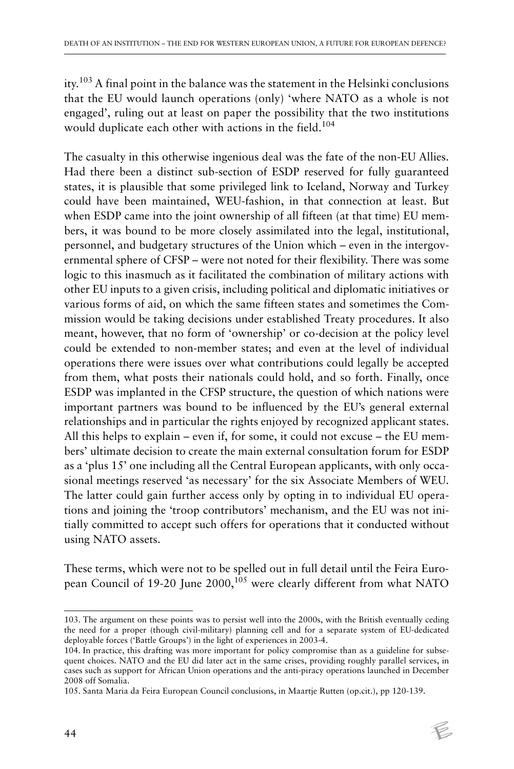ity.103 A final point in the balance was the statement in the Helsinki conclusions that the EU would launch operations (only) 'where NATO as a whole is not engaged', ruling out at least on paper the possibility that the two institutions would duplicate each other with actions in the field.<sup>104</sup>

The casualty in this otherwise ingenious deal was the fate of the non-EU Allies. Had there been a distinct sub-section of ESDP reserved for fully guaranteed states, it is plausible that some privileged link to Iceland, Norway and Turkey could have been maintained, WEU-fashion, in that connection at least. But when ESDP came into the joint ownership of all fifteen (at that time) EU members, it was bound to be more closely assimilated into the legal, institutional, personnel, and budgetary structures of the Union which – even in the intergovernmental sphere of CFSP – were not noted for their flexibility. There was some logic to this inasmuch as it facilitated the combination of military actions with other EU inputs to a given crisis, including political and diplomatic initiatives or various forms of aid, on which the same fifteen states and sometimes the Commission would be taking decisions under established Treaty procedures. It also meant, however, that no form of 'ownership' or co-decision at the policy level could be extended to non-member states; and even at the level of individual operations there were issues over what contributions could legally be accepted from them, what posts their nationals could hold, and so forth. Finally, once ESDP was implanted in the CFSP structure, the question of which nations were important partners was bound to be influenced by the EU's general external relationships and in particular the rights enjoyed by recognized applicant states. All this helps to explain – even if, for some, it could not excuse – the EU members' ultimate decision to create the main external consultation forum for ESDP as a 'plus 15' one including all the Central European applicants, with only occasional meetings reserved 'as necessary' for the six Associate Members of WEU. The latter could gain further access only by opting in to individual EU operations and joining the 'troop contributors' mechanism, and the EU was not initially committed to accept such offers for operations that it conducted without using NATO assets.

These terms, which were not to be spelled out in full detail until the Feira European Council of 19-20 June 2000,<sup>105</sup> were clearly different from what NATO

<sup>103.</sup> The argument on these points was to persist well into the 2000s, with the British eventually ceding the need for a proper (though civil-military) planning cell and for a separate system of EU-dedicated deployable forces ('Battle Groups') in the light of experiences in 2003-4.

<sup>104.</sup> In practice, this drafting was more important for policy compromise than as a guideline for subsequent choices. NATO and the EU did later act in the same crises, providing roughly parallel services, in cases such as support for African Union operations and the anti-piracy operations launched in December 2008 off Somalia.

<sup>105.</sup> Santa Maria da Feira European Council conclusions, in Maartje Rutten (op.cit.), pp 120-139.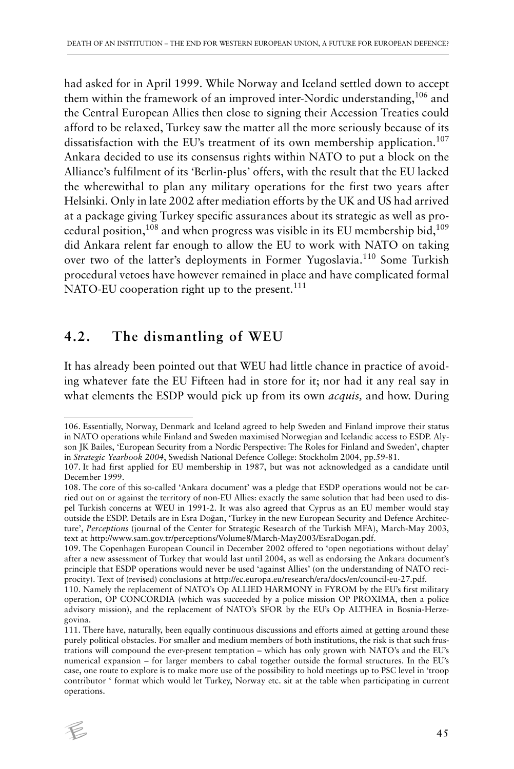had asked for in April 1999. While Norway and Iceland settled down to accept them within the framework of an improved inter-Nordic understanding,<sup>106</sup> and the Central European Allies then close to signing their Accession Treaties could afford to be relaxed, Turkey saw the matter all the more seriously because of its dissatisfaction with the EU's treatment of its own membership application.<sup>107</sup> Ankara decided to use its consensus rights within NATO to put a block on the Alliance's fulfilment of its 'Berlin-plus' offers, with the result that the EU lacked the wherewithal to plan any military operations for the first two years after Helsinki. Only in late 2002 after mediation efforts by the UK and US had arrived at a package giving Turkey specific assurances about its strategic as well as procedural position,<sup>108</sup> and when progress was visible in its EU membership bid,<sup>109</sup> did Ankara relent far enough to allow the EU to work with NATO on taking over two of the latter's deployments in Former Yugoslavia.110 Some Turkish procedural vetoes have however remained in place and have complicated formal NATO-EU cooperation right up to the present.<sup>111</sup>

### **4.2. The dismantling of WEU**

It has already been pointed out that WEU had little chance in practice of avoiding whatever fate the EU Fifteen had in store for it; nor had it any real say in what elements the ESDP would pick up from its own *acquis,* and how. During

<sup>111.</sup> There have, naturally, been equally continuous discussions and efforts aimed at getting around these purely political obstacles. For smaller and medium members of both institutions, the risk is that such frustrations will compound the ever-present temptation – which has only grown with NATO's and the EU's numerical expansion – for larger members to cabal together outside the formal structures. In the EU's case, one route to explore is to make more use of the possibility to hold meetings up to PSC level in 'troop contributor ' format which would let Turkey, Norway etc. sit at the table when participating in current operations.



<sup>106.</sup> Essentially, Norway, Denmark and Iceland agreed to help Sweden and Finland improve their status in NATO operations while Finland and Sweden maximised Norwegian and Icelandic access to ESDP. Alyson JK Bailes, 'European Security from a Nordic Perspective: The Roles for Finland and Sweden', chapter in *Strategic Yearbook 2004*, Swedish National Defence College: Stockholm 2004, pp.59-81.

<sup>107.</sup> It had first applied for EU membership in 1987, but was not acknowledged as a candidate until December 1999.

<sup>108.</sup> The core of this so-called 'Ankara document' was a pledge that ESDP operations would not be carried out on or against the territory of non-EU Allies: exactly the same solution that had been used to dispel Turkish concerns at WEU in 1991-2. It was also agreed that Cyprus as an EU member would stay outside the ESDP. Details are in Esra Doğan, 'Turkey in the new European Security and Defence Architecture', *Perceptions* (journal of the Center for Strategic Research of the Turkish MFA), March-May 2003, text at http://www.sam.gov.tr/perceptions/Volume8/March-May2003/EsraDogan.pdf.

<sup>109.</sup> The Copenhagen European Council in December 2002 offered to 'open negotiations without delay' after a new assessment of Turkey that would last until 2004, as well as endorsing the Ankara document's principle that ESDP operations would never be used 'against Allies' (on the understanding of NATO reciprocity). Text of (revised) conclusions at http://ec.europa.eu/research/era/docs/en/council-eu-27.pdf.

<sup>110.</sup> Namely the replacement of NATO's Op ALLIED HARMONY in FYROM by the EU's first military operation, OP CONCORDIA (which was succeeded by a police mission OP PROXIMA, then a police advisory mission), and the replacement of NATO's SFOR by the EU's Op ALTHEA in Bosnia-Herzegovina.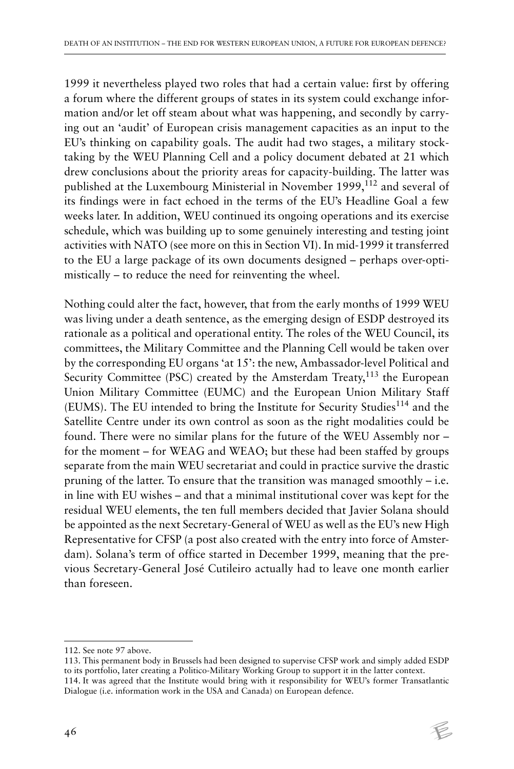1999 it nevertheless played two roles that had a certain value: first by offering a forum where the different groups of states in its system could exchange information and/or let off steam about what was happening, and secondly by carrying out an 'audit' of European crisis management capacities as an input to the EU's thinking on capability goals. The audit had two stages, a military stocktaking by the WEU Planning Cell and a policy document debated at 21 which drew conclusions about the priority areas for capacity-building. The latter was published at the Luxembourg Ministerial in November 1999,<sup>112</sup> and several of its findings were in fact echoed in the terms of the EU's Headline Goal a few weeks later. In addition, WEU continued its ongoing operations and its exercise schedule, which was building up to some genuinely interesting and testing joint activities with NATO (see more on this in Section VI). In mid-1999 it transferred to the EU a large package of its own documents designed – perhaps over-optimistically – to reduce the need for reinventing the wheel.

Nothing could alter the fact, however, that from the early months of 1999 WEU was living under a death sentence, as the emerging design of ESDP destroyed its rationale as a political and operational entity. The roles of the WEU Council, its committees, the Military Committee and the Planning Cell would be taken over by the corresponding EU organs 'at 15': the new, Ambassador-level Political and Security Committee (PSC) created by the Amsterdam Treaty,<sup>113</sup> the European Union Military Committee (EUMC) and the European Union Military Staff (EUMS). The EU intended to bring the Institute for Security Studies<sup>114</sup> and the Satellite Centre under its own control as soon as the right modalities could be found. There were no similar plans for the future of the WEU Assembly nor – for the moment – for WEAG and WEAO; but these had been staffed by groups separate from the main WEU secretariat and could in practice survive the drastic pruning of the latter. To ensure that the transition was managed smoothly – i.e. in line with EU wishes – and that a minimal institutional cover was kept for the residual WEU elements, the ten full members decided that Javier Solana should be appointed as the next Secretary-General of WEU as well as the EU's new High Representative for CFSP (a post also created with the entry into force of Amsterdam). Solana's term of office started in December 1999, meaning that the previous Secretary-General José Cutileiro actually had to leave one month earlier than foreseen.

<sup>112.</sup> See note 97 above.

<sup>113.</sup> This permanent body in Brussels had been designed to supervise CFSP work and simply added ESDP to its portfolio, later creating a Politico-Military Working Group to support it in the latter context. 114. It was agreed that the Institute would bring with it responsibility for WEU's former Transatlantic Dialogue (i.e. information work in the USA and Canada) on European defence.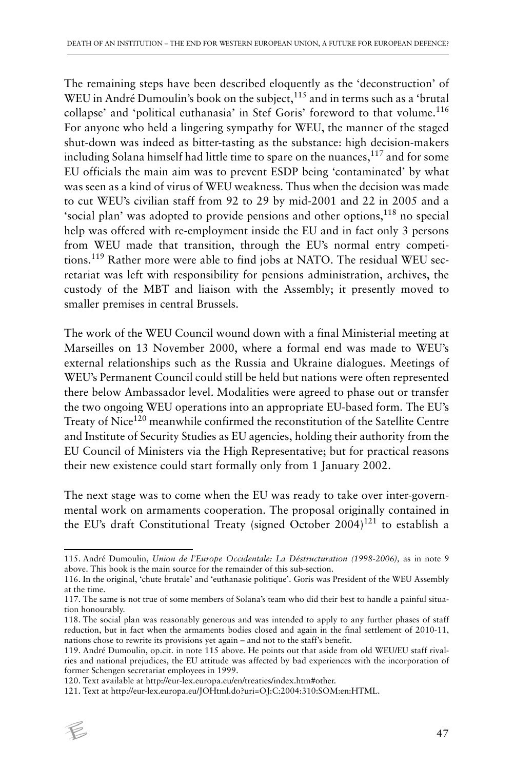The remaining steps have been described eloquently as the 'deconstruction' of WEU in André Dumoulin's book on the subject, $115$  and in terms such as a 'brutal collapse' and 'political euthanasia' in Stef Goris' foreword to that volume.<sup>116</sup> For anyone who held a lingering sympathy for WEU, the manner of the staged shut-down was indeed as bitter-tasting as the substance: high decision-makers including Solana himself had little time to spare on the nuances,<sup>117</sup> and for some EU officials the main aim was to prevent ESDP being 'contaminated' by what was seen as a kind of virus of WEU weakness. Thus when the decision was made to cut WEU's civilian staff from 92 to 29 by mid-2001 and 22 in 2005 and a 'social plan' was adopted to provide pensions and other options, $118$  no special help was offered with re-employment inside the EU and in fact only 3 persons from WEU made that transition, through the EU's normal entry competitions.119 Rather more were able to find jobs at NATO. The residual WEU secretariat was left with responsibility for pensions administration, archives, the custody of the MBT and liaison with the Assembly; it presently moved to smaller premises in central Brussels.

The work of the WEU Council wound down with a final Ministerial meeting at Marseilles on 13 November 2000, where a formal end was made to WEU's external relationships such as the Russia and Ukraine dialogues. Meetings of WEU's Permanent Council could still be held but nations were often represented there below Ambassador level. Modalities were agreed to phase out or transfer the two ongoing WEU operations into an appropriate EU-based form. The EU's Treaty of Nice<sup>120</sup> meanwhile confirmed the reconstitution of the Satellite Centre and Institute of Security Studies as EU agencies, holding their authority from the EU Council of Ministers via the High Representative; but for practical reasons their new existence could start formally only from 1 January 2002.

The next stage was to come when the EU was ready to take over inter-governmental work on armaments cooperation. The proposal originally contained in the EU's draft Constitutional Treaty (signed October 2004)<sup>121</sup> to establish a

<sup>121.</sup> Text at http://eur-lex.europa.eu/JOHtml.do?uri=OJ:C:2004:310:SOM:en:HTML.



<sup>115.</sup> André Dumoulin, *Union de l'Europe Occidentale: La Déstructuration (1998-2006),* as in note 9 above. This book is the main source for the remainder of this sub-section.

<sup>116.</sup> In the original, 'chute brutale' and 'euthanasie politique'. Goris was President of the WEU Assembly at the time.

<sup>117.</sup> The same is not true of some members of Solana's team who did their best to handle a painful situation honourably.

<sup>118.</sup> The social plan was reasonably generous and was intended to apply to any further phases of staff reduction, but in fact when the armaments bodies closed and again in the final settlement of 2010-11, nations chose to rewrite its provisions yet again – and not to the staff's benefit.

<sup>119.</sup> André Dumoulin, op.cit. in note 115 above. He points out that aside from old WEU/EU staff rivalries and national prejudices, the EU attitude was affected by bad experiences with the incorporation of former Schengen secretariat employees in 1999.

<sup>120.</sup> Text available at http://eur-lex.europa.eu/en/treaties/index.htm#other.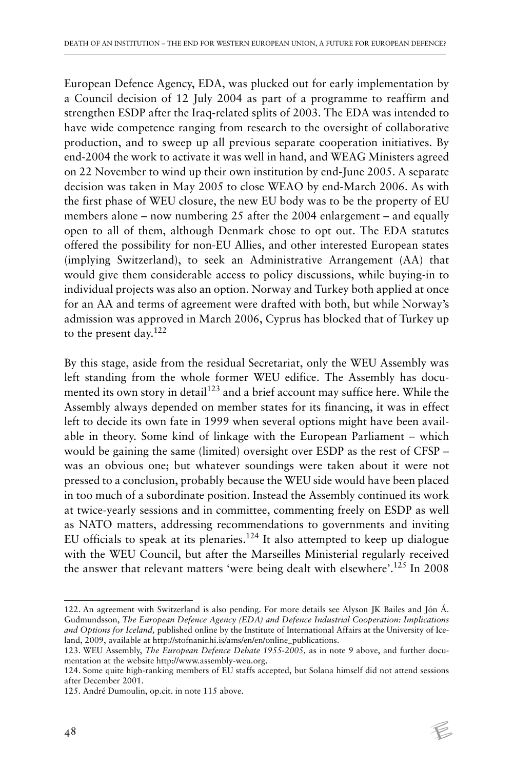European Defence Agency, EDA, was plucked out for early implementation by a Council decision of 12 July 2004 as part of a programme to reaffirm and strengthen ESDP after the Iraq-related splits of 2003. The EDA was intended to have wide competence ranging from research to the oversight of collaborative production, and to sweep up all previous separate cooperation initiatives. By end-2004 the work to activate it was well in hand, and WEAG Ministers agreed on 22 November to wind up their own institution by end-June 2005. A separate decision was taken in May 2005 to close WEAO by end-March 2006. As with the first phase of WEU closure, the new EU body was to be the property of EU members alone – now numbering 25 after the 2004 enlargement – and equally open to all of them, although Denmark chose to opt out. The EDA statutes offered the possibility for non-EU Allies, and other interested European states (implying Switzerland), to seek an Administrative Arrangement (AA) that would give them considerable access to policy discussions, while buying-in to individual projects was also an option. Norway and Turkey both applied at once for an AA and terms of agreement were drafted with both, but while Norway's admission was approved in March 2006, Cyprus has blocked that of Turkey up to the present day.<sup>122</sup>

By this stage, aside from the residual Secretariat, only the WEU Assembly was left standing from the whole former WEU edifice. The Assembly has documented its own story in detail<sup>123</sup> and a brief account may suffice here. While the Assembly always depended on member states for its financing, it was in effect left to decide its own fate in 1999 when several options might have been available in theory. Some kind of linkage with the European Parliament – which would be gaining the same (limited) oversight over ESDP as the rest of CFSP – was an obvious one; but whatever soundings were taken about it were not pressed to a conclusion, probably because the WEU side would have been placed in too much of a subordinate position. Instead the Assembly continued its work at twice-yearly sessions and in committee, commenting freely on ESDP as well as NATO matters, addressing recommendations to governments and inviting EU officials to speak at its plenaries.<sup>124</sup> It also attempted to keep up dialogue with the WEU Council, but after the Marseilles Ministerial regularly received the answer that relevant matters 'were being dealt with elsewhere'.125 In 2008

<sup>122.</sup> An agreement with Switzerland is also pending. For more details see Alyson JK Bailes and Jón Á. Gudmundsson, *The European Defence Agency (EDA) and Defence Industrial Cooperation: Implications and Options for Iceland,* published online by the Institute of International Affairs at the University of Iceland, 2009, available at http://stofnanir.hi.is/ams/en/en/online\_publications.

<sup>123.</sup> WEU Assembly, *The European Defence Debate 1955-2005,* as in note 9 above, and further documentation at the website http://www.assembly-weu.org.

<sup>124.</sup> Some quite high-ranking members of EU staffs accepted, but Solana himself did not attend sessions after December 2001.

<sup>125.</sup> André Dumoulin, op.cit. in note 115 above.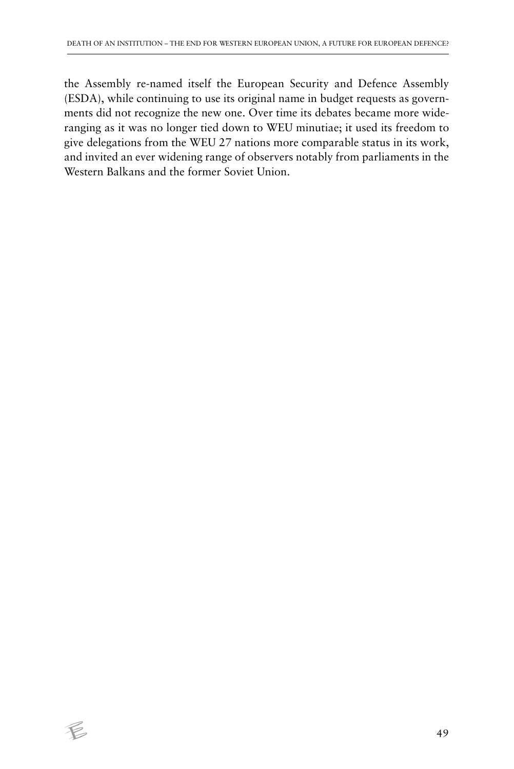the Assembly re-named itself the European Security and Defence Assembly (ESDA), while continuing to use its original name in budget requests as governments did not recognize the new one. Over time its debates became more wideranging as it was no longer tied down to WEU minutiae; it used its freedom to give delegations from the WEU 27 nations more comparable status in its work, and invited an ever widening range of observers notably from parliaments in the Western Balkans and the former Soviet Union.

 $\epsilon$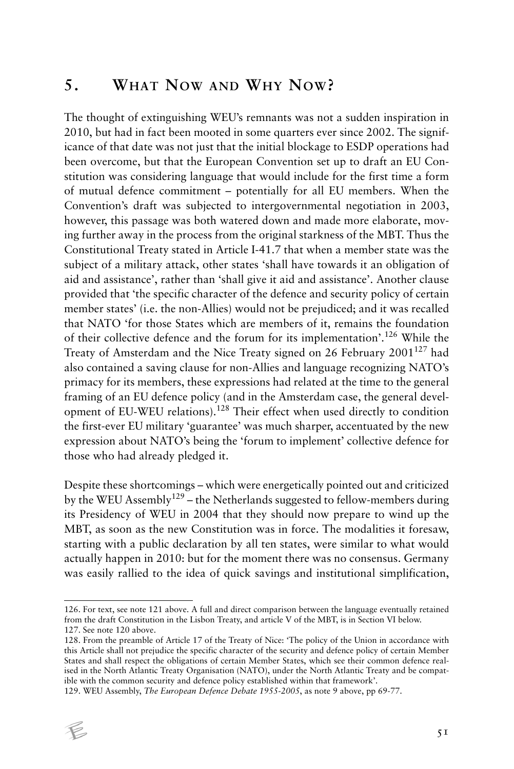# **5. WHAT NOW AND WHY NOW?**

The thought of extinguishing WEU's remnants was not a sudden inspiration in 2010, but had in fact been mooted in some quarters ever since 2002. The significance of that date was not just that the initial blockage to ESDP operations had been overcome, but that the European Convention set up to draft an EU Constitution was considering language that would include for the first time a form of mutual defence commitment – potentially for all EU members. When the Convention's draft was subjected to intergovernmental negotiation in 2003, however, this passage was both watered down and made more elaborate, moving further away in the process from the original starkness of the MBT. Thus the Constitutional Treaty stated in Article I-41.7 that when a member state was the subject of a military attack, other states 'shall have towards it an obligation of aid and assistance', rather than 'shall give it aid and assistance'. Another clause provided that 'the specific character of the defence and security policy of certain member states' (i.e. the non-Allies) would not be prejudiced; and it was recalled that NATO 'for those States which are members of it, remains the foundation of their collective defence and the forum for its implementation'.126 While the Treaty of Amsterdam and the Nice Treaty signed on 26 February  $2001^{127}$  had also contained a saving clause for non-Allies and language recognizing NATO's primacy for its members, these expressions had related at the time to the general framing of an EU defence policy (and in the Amsterdam case, the general development of EU-WEU relations).128 Their effect when used directly to condition the first-ever EU military 'guarantee' was much sharper, accentuated by the new expression about NATO's being the 'forum to implement' collective defence for those who had already pledged it.

Despite these shortcomings – which were energetically pointed out and criticized by the WEU Assembly<sup>129</sup> – the Netherlands suggested to fellow-members during its Presidency of WEU in 2004 that they should now prepare to wind up the MBT, as soon as the new Constitution was in force. The modalities it foresaw, starting with a public declaration by all ten states, were similar to what would actually happen in 2010: but for the moment there was no consensus. Germany was easily rallied to the idea of quick savings and institutional simplification,

<sup>129.</sup> WEU Assembly, *The European Defence Debate 1955-2005*, as note 9 above, pp 69-77.



<sup>126.</sup> For text, see note 121 above. A full and direct comparison between the language eventually retained from the draft Constitution in the Lisbon Treaty, and article V of the MBT, is in Section VI below. 127. See note 120 above.

<sup>128.</sup> From the preamble of Article 17 of the Treaty of Nice: 'The policy of the Union in accordance with this Article shall not prejudice the specific character of the security and defence policy of certain Member States and shall respect the obligations of certain Member States, which see their common defence realised in the North Atlantic Treaty Organisation (NATO), under the North Atlantic Treaty and be compatible with the common security and defence policy established within that framework'.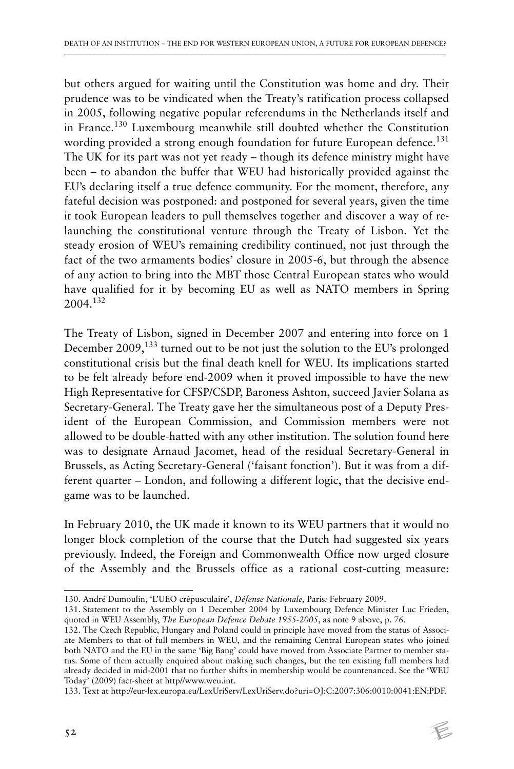but others argued for waiting until the Constitution was home and dry. Their prudence was to be vindicated when the Treaty's ratification process collapsed in 2005, following negative popular referendums in the Netherlands itself and in France.130 Luxembourg meanwhile still doubted whether the Constitution wording provided a strong enough foundation for future European defence.<sup>131</sup> The UK for its part was not yet ready – though its defence ministry might have been – to abandon the buffer that WEU had historically provided against the EU's declaring itself a true defence community. For the moment, therefore, any fateful decision was postponed: and postponed for several years, given the time it took European leaders to pull themselves together and discover a way of relaunching the constitutional venture through the Treaty of Lisbon. Yet the steady erosion of WEU's remaining credibility continued, not just through the fact of the two armaments bodies' closure in 2005-6, but through the absence of any action to bring into the MBT those Central European states who would have qualified for it by becoming EU as well as NATO members in Spring 2004.<sup>132</sup>

The Treaty of Lisbon, signed in December 2007 and entering into force on 1 December 2009,133 turned out to be not just the solution to the EU's prolonged constitutional crisis but the final death knell for WEU. Its implications started to be felt already before end-2009 when it proved impossible to have the new High Representative for CFSP/CSDP, Baroness Ashton, succeed Javier Solana as Secretary-General. The Treaty gave her the simultaneous post of a Deputy President of the European Commission, and Commission members were not allowed to be double-hatted with any other institution. The solution found here was to designate Arnaud Jacomet, head of the residual Secretary-General in Brussels, as Acting Secretary-General ('faisant fonction'). But it was from a different quarter – London, and following a different logic, that the decisive endgame was to be launched.

In February 2010, the UK made it known to its WEU partners that it would no longer block completion of the course that the Dutch had suggested six years previously. Indeed, the Foreign and Commonwealth Office now urged closure of the Assembly and the Brussels office as a rational cost-cutting measure:

<sup>130.</sup> André Dumoulin, 'L'UEO crépusculaire', *Défense Nationale,* Paris*:* February 2009.

<sup>131.</sup> Statement to the Assembly on 1 December 2004 by Luxembourg Defence Minister Luc Frieden, quoted in WEU Assembly, *The European Defence Debate 1955-2005*, as note 9 above, p. 76.

<sup>132.</sup> The Czech Republic, Hungary and Poland could in principle have moved from the status of Associate Members to that of full members in WEU, and the remaining Central European states who joined both NATO and the EU in the same 'Big Bang' could have moved from Associate Partner to member status. Some of them actually enquired about making such changes, but the ten existing full members had already decided in mid-2001 that no further shifts in membership would be countenanced. See the 'WEU Today' (2009) fact-sheet at http//www.weu.int.

<sup>133.</sup> Text at http://eur-lex.europa.eu/LexUriServ/LexUriServ.do?uri=OJ:C:2007:306:0010:0041:EN:PDF.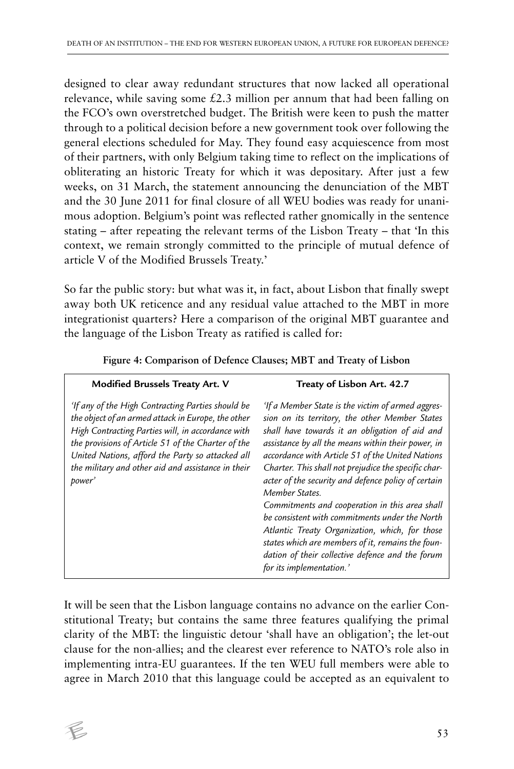designed to clear away redundant structures that now lacked all operational relevance, while saving some  $\text{\pounds}2.3$  million per annum that had been falling on the FCO's own overstretched budget. The British were keen to push the matter through to a political decision before a new government took over following the general elections scheduled for May. They found easy acquiescence from most of their partners, with only Belgium taking time to reflect on the implications of obliterating an historic Treaty for which it was depositary. After just a few weeks, on 31 March, the statement announcing the denunciation of the MBT and the 30 June 2011 for final closure of all WEU bodies was ready for unanimous adoption. Belgium's point was reflected rather gnomically in the sentence stating – after repeating the relevant terms of the Lisbon Treaty – that 'In this context, we remain strongly committed to the principle of mutual defence of article V of the Modified Brussels Treaty.'

So far the public story: but what was it, in fact, about Lisbon that finally swept away both UK reticence and any residual value attached to the MBT in more integrationist quarters? Here a comparison of the original MBT guarantee and the language of the Lisbon Treaty as ratified is called for:

| <b>Modified Brussels Treaty Art. V</b>                                                                                                                                                                                                                                                                                                 | Treaty of Lisbon Art. 42.7                                                                                                                                                                                                                                                                                                                                                                                                                                                                                                                                                                                                                                                                  |  |
|----------------------------------------------------------------------------------------------------------------------------------------------------------------------------------------------------------------------------------------------------------------------------------------------------------------------------------------|---------------------------------------------------------------------------------------------------------------------------------------------------------------------------------------------------------------------------------------------------------------------------------------------------------------------------------------------------------------------------------------------------------------------------------------------------------------------------------------------------------------------------------------------------------------------------------------------------------------------------------------------------------------------------------------------|--|
| 'If any of the High Contracting Parties should be<br>the object of an armed attack in Europe, the other<br>High Contracting Parties will, in accordance with<br>the provisions of Article 51 of the Charter of the<br>United Nations, afford the Party so attacked all<br>the military and other aid and assistance in their<br>power' | 'If a Member State is the victim of armed aggres-<br>sion on its territory, the other Member States<br>shall have towards it an obligation of aid and<br>assistance by all the means within their power, in<br>accordance with Article 51 of the United Nations<br>Charter. This shall not prejudice the specific char-<br>acter of the security and defence policy of certain<br>Member States.<br>Commitments and cooperation in this area shall<br>be consistent with commitments under the North<br>Atlantic Treaty Organization, which, for those<br>states which are members of it, remains the foun-<br>dation of their collective defence and the forum<br>for its implementation.' |  |

**Figure 4: Comparison of Defence Clauses; MBT and Treaty of Lisbon**

It will be seen that the Lisbon language contains no advance on the earlier Constitutional Treaty; but contains the same three features qualifying the primal clarity of the MBT: the linguistic detour 'shall have an obligation'; the let-out clause for the non-allies; and the clearest ever reference to NATO's role also in implementing intra-EU guarantees. If the ten WEU full members were able to agree in March 2010 that this language could be accepted as an equivalent to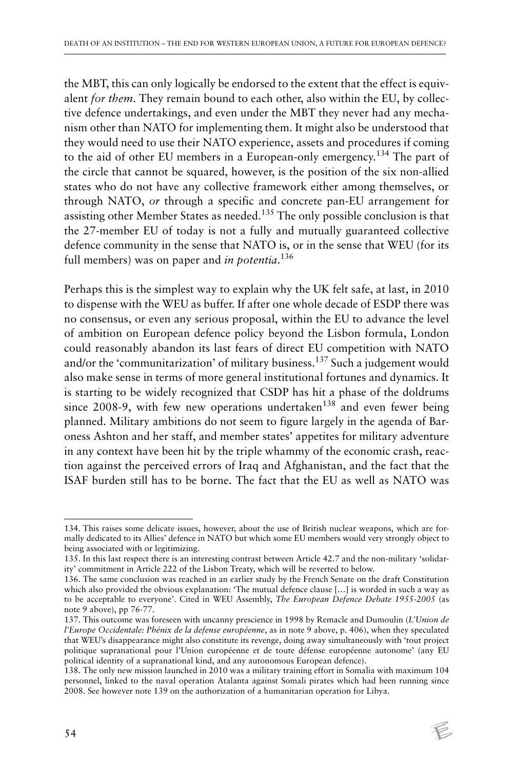the MBT, this can only logically be endorsed to the extent that the effect is equivalent *for them*. They remain bound to each other, also within the EU, by collective defence undertakings, and even under the MBT they never had any mechanism other than NATO for implementing them. It might also be understood that they would need to use their NATO experience, assets and procedures if coming to the aid of other EU members in a European-only emergency.134 The part of the circle that cannot be squared, however, is the position of the six non-allied states who do not have any collective framework either among themselves, or through NATO, *or* through a specific and concrete pan-EU arrangement for assisting other Member States as needed.135 The only possible conclusion is that the 27-member EU of today is not a fully and mutually guaranteed collective defence community in the sense that NATO is, or in the sense that WEU (for its full members) was on paper and *in potentia*. 136

Perhaps this is the simplest way to explain why the UK felt safe, at last, in 2010 to dispense with the WEU as buffer. If after one whole decade of ESDP there was no consensus, or even any serious proposal, within the EU to advance the level of ambition on European defence policy beyond the Lisbon formula, London could reasonably abandon its last fears of direct EU competition with NATO and/or the 'communitarization' of military business.137 Such a judgement would also make sense in terms of more general institutional fortunes and dynamics. It is starting to be widely recognized that CSDP has hit a phase of the doldrums since 2008-9, with few new operations undertaken<sup>138</sup> and even fewer being planned. Military ambitions do not seem to figure largely in the agenda of Baroness Ashton and her staff, and member states' appetites for military adventure in any context have been hit by the triple whammy of the economic crash, reaction against the perceived errors of Iraq and Afghanistan, and the fact that the ISAF burden still has to be borne. The fact that the EU as well as NATO was

<sup>134.</sup> This raises some delicate issues, however, about the use of British nuclear weapons, which are formally dedicated to its Allies' defence in NATO but which some EU members would very strongly object to being associated with or legitimizing.

<sup>135.</sup> In this last respect there is an interesting contrast between Article 42.7 and the non-military 'solidarity' commitment in Article 222 of the Lisbon Treaty, which will be reverted to below.

<sup>136.</sup> The same conclusion was reached in an earlier study by the French Senate on the draft Constitution which also provided the obvious explanation: 'The mutual defence clause […] is worded in such a way as to be acceptable to everyone'. Cited in WEU Assembly, *The European Defence Debate 1955-2005* (as note 9 above), pp 76-77.

<sup>137.</sup> This outcome was foreseen with uncanny prescience in 1998 by Remacle and Dumoulin (*L'Union de l'Europe Occidentale: Phénix de la defense européenne*, as in note 9 above, p. 406), when they speculated that WEU's disappearance might also constitute its revenge, doing away simultaneously with 'tout project politique supranational pour l'Union européenne et de toute défense européenne autonome' (any EU political identity of a supranational kind, and any autonomous European defence).

<sup>138.</sup> The only new mission launched in 2010 was a military training effort in Somalia with maximum 104 personnel, linked to the naval operation Atalanta against Somali pirates which had been running since 2008. See however note 139 on the authorization of a humanitarian operation for Libya.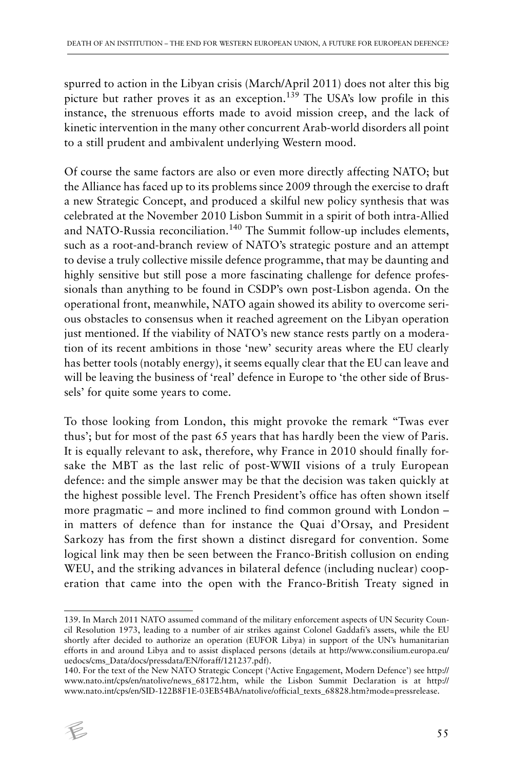spurred to action in the Libyan crisis (March/April 2011) does not alter this big picture but rather proves it as an exception.<sup>139</sup> The USA's low profile in this instance, the strenuous efforts made to avoid mission creep, and the lack of kinetic intervention in the many other concurrent Arab-world disorders all point to a still prudent and ambivalent underlying Western mood.

Of course the same factors are also or even more directly affecting NATO; but the Alliance has faced up to its problems since 2009 through the exercise to draft a new Strategic Concept, and produced a skilful new policy synthesis that was celebrated at the November 2010 Lisbon Summit in a spirit of both intra-Allied and NATO-Russia reconciliation.<sup>140</sup> The Summit follow-up includes elements, such as a root-and-branch review of NATO's strategic posture and an attempt to devise a truly collective missile defence programme, that may be daunting and highly sensitive but still pose a more fascinating challenge for defence professionals than anything to be found in CSDP's own post-Lisbon agenda. On the operational front, meanwhile, NATO again showed its ability to overcome serious obstacles to consensus when it reached agreement on the Libyan operation just mentioned. If the viability of NATO's new stance rests partly on a moderation of its recent ambitions in those 'new' security areas where the EU clearly has better tools (notably energy), it seems equally clear that the EU can leave and will be leaving the business of 'real' defence in Europe to 'the other side of Brussels' for quite some years to come.

To those looking from London, this might provoke the remark ''Twas ever thus'; but for most of the past 65 years that has hardly been the view of Paris. It is equally relevant to ask, therefore, why France in 2010 should finally forsake the MBT as the last relic of post-WWII visions of a truly European defence: and the simple answer may be that the decision was taken quickly at the highest possible level. The French President's office has often shown itself more pragmatic – and more inclined to find common ground with London – in matters of defence than for instance the Quai d'Orsay, and President Sarkozy has from the first shown a distinct disregard for convention. Some logical link may then be seen between the Franco-British collusion on ending WEU, and the striking advances in bilateral defence (including nuclear) cooperation that came into the open with the Franco-British Treaty signed in

<sup>140.</sup> For the text of the New NATO Strategic Concept ('Active Engagement, Modern Defence') see http:// www.nato.int/cps/en/natolive/news\_68172.htm, while the Lisbon Summit Declaration is at http:// www.nato.int/cps/en/SID-122B8F1E-03EB54BA/natolive/official\_texts\_68828.htm?mode=pressrelease.



<sup>139.</sup> In March 2011 NATO assumed command of the military enforcement aspects of UN Security Council Resolution 1973, leading to a number of air strikes against Colonel Gaddafi's assets, while the EU shortly after decided to authorize an operation (EUFOR Libya) in support of the UN's humanitarian efforts in and around Libya and to assist displaced persons (details at http://www.consilium.europa.eu/ uedocs/cms\_Data/docs/pressdata/EN/foraff/121237.pdf).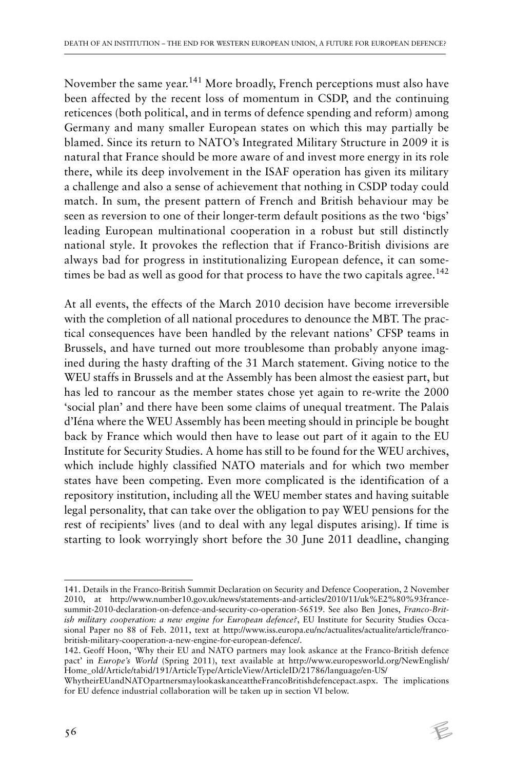November the same year.<sup>141</sup> More broadly, French perceptions must also have been affected by the recent loss of momentum in CSDP, and the continuing reticences (both political, and in terms of defence spending and reform) among Germany and many smaller European states on which this may partially be blamed. Since its return to NATO's Integrated Military Structure in 2009 it is natural that France should be more aware of and invest more energy in its role there, while its deep involvement in the ISAF operation has given its military a challenge and also a sense of achievement that nothing in CSDP today could match. In sum, the present pattern of French and British behaviour may be seen as reversion to one of their longer-term default positions as the two 'bigs' leading European multinational cooperation in a robust but still distinctly national style. It provokes the reflection that if Franco-British divisions are always bad for progress in institutionalizing European defence, it can sometimes be bad as well as good for that process to have the two capitals agree.<sup>142</sup>

At all events, the effects of the March 2010 decision have become irreversible with the completion of all national procedures to denounce the MBT. The practical consequences have been handled by the relevant nations' CFSP teams in Brussels, and have turned out more troublesome than probably anyone imagined during the hasty drafting of the 31 March statement. Giving notice to the WEU staffs in Brussels and at the Assembly has been almost the easiest part, but has led to rancour as the member states chose yet again to re-write the 2000 'social plan' and there have been some claims of unequal treatment. The Palais d'Iéna where the WEU Assembly has been meeting should in principle be bought back by France which would then have to lease out part of it again to the EU Institute for Security Studies. A home has still to be found for the WEU archives, which include highly classified NATO materials and for which two member states have been competing. Even more complicated is the identification of a repository institution, including all the WEU member states and having suitable legal personality, that can take over the obligation to pay WEU pensions for the rest of recipients' lives (and to deal with any legal disputes arising). If time is starting to look worryingly short before the 30 June 2011 deadline, changing

<sup>141.</sup> Details in the Franco-British Summit Declaration on Security and Defence Cooperation, 2 November 2010, at http://www.number10.gov.uk/news/statements-and-articles/2010/11/uk%E2%80%93francesummit-2010-declaration-on-defence-and-security-co-operation-56519. See also Ben Jones, *Franco-British military cooperation: a new engine for European defence?*, EU Institute for Security Studies Occasional Paper no 88 of Feb. 2011, text at http://www.iss.europa.eu/nc/actualites/actualite/article/francobritish-military-cooperation-a-new-engine-for-european-defence/.

<sup>142.</sup> Geoff Hoon, 'Why their EU and NATO partners may look askance at the Franco-British defence pact' in *Europe's World* (Spring 2011), text available at http://www.europesworld.org/NewEnglish/ Home\_old/Article/tabid/191/ArticleType/ArticleView/ArticleID/21786/language/en-US/

WhytheirEUandNATOpartnersmaylookaskanceattheFrancoBritishdefencepact.aspx. The implications for EU defence industrial collaboration will be taken up in section VI below.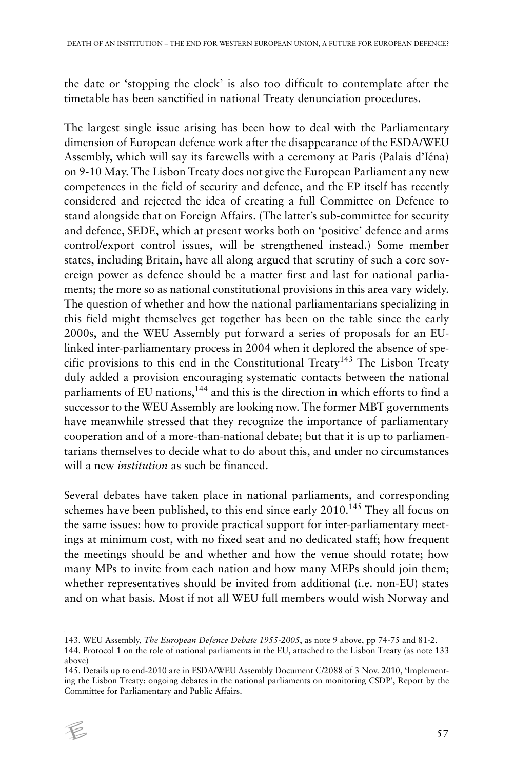the date or 'stopping the clock' is also too difficult to contemplate after the timetable has been sanctified in national Treaty denunciation procedures.

The largest single issue arising has been how to deal with the Parliamentary dimension of European defence work after the disappearance of the ESDA/WEU Assembly, which will say its farewells with a ceremony at Paris (Palais d'Iéna) on 9-10 May. The Lisbon Treaty does not give the European Parliament any new competences in the field of security and defence, and the EP itself has recently considered and rejected the idea of creating a full Committee on Defence to stand alongside that on Foreign Affairs. (The latter's sub-committee for security and defence, SEDE, which at present works both on 'positive' defence and arms control/export control issues, will be strengthened instead.) Some member states, including Britain, have all along argued that scrutiny of such a core sovereign power as defence should be a matter first and last for national parliaments; the more so as national constitutional provisions in this area vary widely. The question of whether and how the national parliamentarians specializing in this field might themselves get together has been on the table since the early 2000s, and the WEU Assembly put forward a series of proposals for an EUlinked inter-parliamentary process in 2004 when it deplored the absence of specific provisions to this end in the Constitutional Treaty<sup>143</sup> The Lisbon Treaty duly added a provision encouraging systematic contacts between the national parliaments of EU nations,<sup>144</sup> and this is the direction in which efforts to find a successor to the WEU Assembly are looking now. The former MBT governments have meanwhile stressed that they recognize the importance of parliamentary cooperation and of a more-than-national debate; but that it is up to parliamentarians themselves to decide what to do about this, and under no circumstances will a new *institution* as such be financed.

Several debates have taken place in national parliaments, and corresponding schemes have been published, to this end since early 2010.<sup>145</sup> They all focus on the same issues: how to provide practical support for inter-parliamentary meetings at minimum cost, with no fixed seat and no dedicated staff; how frequent the meetings should be and whether and how the venue should rotate; how many MPs to invite from each nation and how many MEPs should join them; whether representatives should be invited from additional (i.e. non-EU) states and on what basis. Most if not all WEU full members would wish Norway and

<sup>145.</sup> Details up to end-2010 are in ESDA/WEU Assembly Document C/2088 of 3 Nov. 2010, 'Implementing the Lisbon Treaty: ongoing debates in the national parliaments on monitoring CSDP', Report by the Committee for Parliamentary and Public Affairs.



<sup>143.</sup> WEU Assembly, *The European Defence Debate 1955-2005*, as note 9 above, pp 74-75 and 81-2. 144. Protocol 1 on the role of national parliaments in the EU, attached to the Lisbon Treaty (as note 133 above)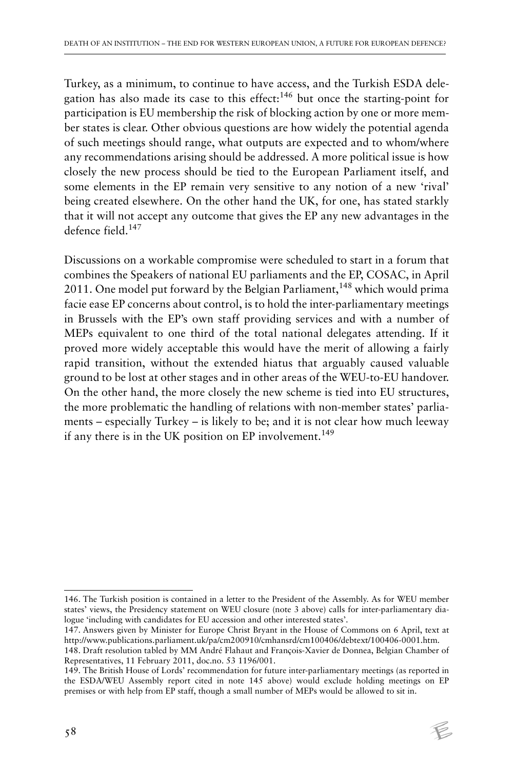Turkey, as a minimum, to continue to have access, and the Turkish ESDA delegation has also made its case to this effect:<sup>146</sup> but once the starting-point for participation is EU membership the risk of blocking action by one or more member states is clear. Other obvious questions are how widely the potential agenda of such meetings should range, what outputs are expected and to whom/where any recommendations arising should be addressed. A more political issue is how closely the new process should be tied to the European Parliament itself, and some elements in the EP remain very sensitive to any notion of a new 'rival' being created elsewhere. On the other hand the UK, for one, has stated starkly that it will not accept any outcome that gives the EP any new advantages in the defence field.<sup>147</sup>

Discussions on a workable compromise were scheduled to start in a forum that combines the Speakers of national EU parliaments and the EP, COSAC, in April 2011. One model put forward by the Belgian Parliament,  $148$  which would prima facie ease EP concerns about control, is to hold the inter-parliamentary meetings in Brussels with the EP's own staff providing services and with a number of MEPs equivalent to one third of the total national delegates attending. If it proved more widely acceptable this would have the merit of allowing a fairly rapid transition, without the extended hiatus that arguably caused valuable ground to be lost at other stages and in other areas of the WEU-to-EU handover. On the other hand, the more closely the new scheme is tied into EU structures, the more problematic the handling of relations with non-member states' parliaments – especially Turkey – is likely to be; and it is not clear how much leeway if any there is in the UK position on EP involvement.<sup>149</sup>

<sup>146.</sup> The Turkish position is contained in a letter to the President of the Assembly. As for WEU member states' views, the Presidency statement on WEU closure (note 3 above) calls for inter-parliamentary dialogue 'including with candidates for EU accession and other interested states'.

<sup>147.</sup> Answers given by Minister for Europe Christ Bryant in the House of Commons on 6 April, text at http://www.publications.parliament.uk/pa/cm200910/cmhansrd/cm100406/debtext/100406-0001.htm.

<sup>148.</sup> Draft resolution tabled by MM André Flahaut and François-Xavier de Donnea, Belgian Chamber of Representatives, 11 February 2011, doc.no. 53 1196/001.

<sup>149.</sup> The British House of Lords' recommendation for future inter-parliamentary meetings (as reported in the ESDA/WEU Assembly report cited in note 145 above) would exclude holding meetings on EP premises or with help from EP staff, though a small number of MEPs would be allowed to sit in.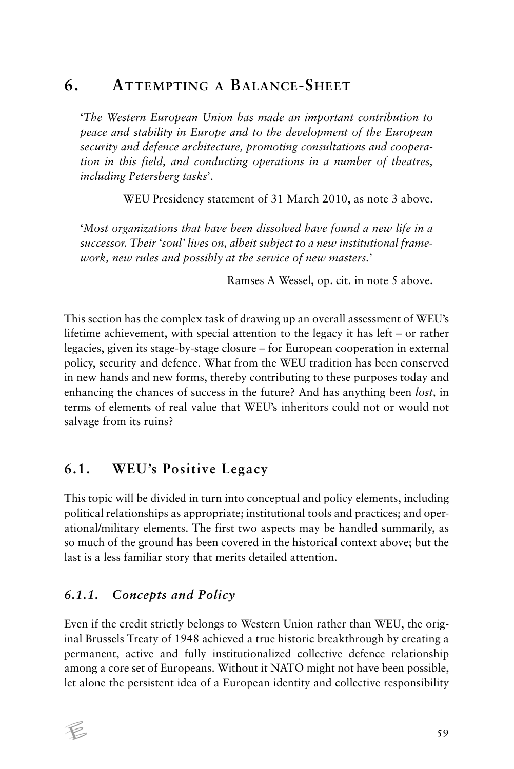## **6. ATTEMPTING A BALANCE-SHEET**

'*The Western European Union has made an important contribution to peace and stability in Europe and to the development of the European security and defence architecture, promoting consultations and cooperation in this field, and conducting operations in a number of theatres, including Petersberg tasks*'.

WEU Presidency statement of 31 March 2010, as note 3 above.

'*Most organizations that have been dissolved have found a new life in a successor. Their 'soul' lives on, albeit subject to a new institutional framework, new rules and possibly at the service of new masters.*'

Ramses A Wessel, op. cit. in note 5 above.

This section has the complex task of drawing up an overall assessment of WEU's lifetime achievement, with special attention to the legacy it has left – or rather legacies, given its stage-by-stage closure – for European cooperation in external policy, security and defence. What from the WEU tradition has been conserved in new hands and new forms, thereby contributing to these purposes today and enhancing the chances of success in the future? And has anything been *lost,* in terms of elements of real value that WEU's inheritors could not or would not salvage from its ruins?

### **6.1. WEU's Positive Legacy**

This topic will be divided in turn into conceptual and policy elements, including political relationships as appropriate; institutional tools and practices; and operational/military elements. The first two aspects may be handled summarily, as so much of the ground has been covered in the historical context above; but the last is a less familiar story that merits detailed attention.

### *6.1.1. Concepts and Policy*

Even if the credit strictly belongs to Western Union rather than WEU, the original Brussels Treaty of 1948 achieved a true historic breakthrough by creating a permanent, active and fully institutionalized collective defence relationship among a core set of Europeans. Without it NATO might not have been possible, let alone the persistent idea of a European identity and collective responsibility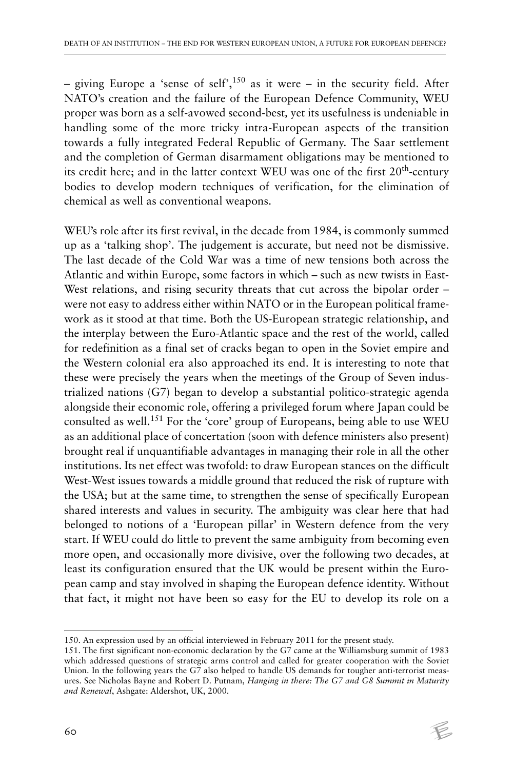– giving Europe a 'sense of self',<sup>150</sup> as it were – in the security field. After NATO's creation and the failure of the European Defence Community, WEU proper was born as a self-avowed second-best*,* yet its usefulness is undeniable in handling some of the more tricky intra-European aspects of the transition towards a fully integrated Federal Republic of Germany. The Saar settlement and the completion of German disarmament obligations may be mentioned to its credit here; and in the latter context WEU was one of the first  $20<sup>th</sup>$ -century bodies to develop modern techniques of verification, for the elimination of chemical as well as conventional weapons.

WEU's role after its first revival, in the decade from 1984, is commonly summed up as a 'talking shop'. The judgement is accurate, but need not be dismissive. The last decade of the Cold War was a time of new tensions both across the Atlantic and within Europe, some factors in which – such as new twists in East-West relations, and rising security threats that cut across the bipolar order were not easy to address either within NATO or in the European political framework as it stood at that time. Both the US-European strategic relationship, and the interplay between the Euro-Atlantic space and the rest of the world, called for redefinition as a final set of cracks began to open in the Soviet empire and the Western colonial era also approached its end. It is interesting to note that these were precisely the years when the meetings of the Group of Seven industrialized nations (G7) began to develop a substantial politico-strategic agenda alongside their economic role, offering a privileged forum where Japan could be consulted as well.151 For the 'core' group of Europeans, being able to use WEU as an additional place of concertation (soon with defence ministers also present) brought real if unquantifiable advantages in managing their role in all the other institutions. Its net effect was twofold: to draw European stances on the difficult West-West issues towards a middle ground that reduced the risk of rupture with the USA; but at the same time, to strengthen the sense of specifically European shared interests and values in security. The ambiguity was clear here that had belonged to notions of a 'European pillar' in Western defence from the very start. If WEU could do little to prevent the same ambiguity from becoming even more open, and occasionally more divisive, over the following two decades, at least its configuration ensured that the UK would be present within the European camp and stay involved in shaping the European defence identity. Without that fact, it might not have been so easy for the EU to develop its role on a

<sup>150.</sup> An expression used by an official interviewed in February 2011 for the present study.

<sup>151.</sup> The first significant non-economic declaration by the G7 came at the Williamsburg summit of 1983 which addressed questions of strategic arms control and called for greater cooperation with the Soviet Union. In the following years the G7 also helped to handle US demands for tougher anti-terrorist measures. See Nicholas Bayne and Robert D. Putnam, *Hanging in there: The G7 and G8 Summit in Maturity and Renewal*, Ashgate: Aldershot, UK, 2000.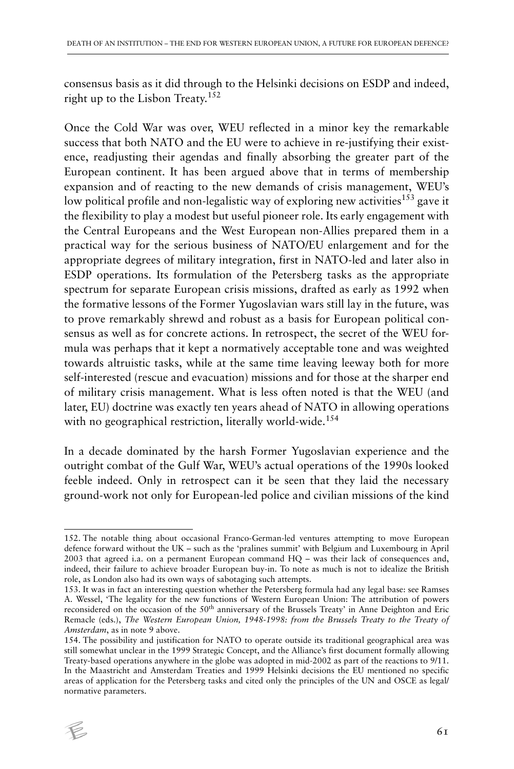consensus basis as it did through to the Helsinki decisions on ESDP and indeed, right up to the Lisbon Treaty.<sup>152</sup>

Once the Cold War was over, WEU reflected in a minor key the remarkable success that both NATO and the EU were to achieve in re-justifying their existence, readjusting their agendas and finally absorbing the greater part of the European continent. It has been argued above that in terms of membership expansion and of reacting to the new demands of crisis management, WEU's low political profile and non-legalistic way of exploring new activities<sup>153</sup> gave it the flexibility to play a modest but useful pioneer role. Its early engagement with the Central Europeans and the West European non-Allies prepared them in a practical way for the serious business of NATO/EU enlargement and for the appropriate degrees of military integration, first in NATO-led and later also in ESDP operations. Its formulation of the Petersberg tasks as the appropriate spectrum for separate European crisis missions, drafted as early as 1992 when the formative lessons of the Former Yugoslavian wars still lay in the future, was to prove remarkably shrewd and robust as a basis for European political consensus as well as for concrete actions. In retrospect, the secret of the WEU formula was perhaps that it kept a normatively acceptable tone and was weighted towards altruistic tasks, while at the same time leaving leeway both for more self-interested (rescue and evacuation) missions and for those at the sharper end of military crisis management. What is less often noted is that the WEU (and later, EU) doctrine was exactly ten years ahead of NATO in allowing operations with no geographical restriction, literally world-wide.<sup>154</sup>

In a decade dominated by the harsh Former Yugoslavian experience and the outright combat of the Gulf War, WEU's actual operations of the 1990s looked feeble indeed. Only in retrospect can it be seen that they laid the necessary ground-work not only for European-led police and civilian missions of the kind

<sup>154.</sup> The possibility and justification for NATO to operate outside its traditional geographical area was still somewhat unclear in the 1999 Strategic Concept, and the Alliance's first document formally allowing Treaty-based operations anywhere in the globe was adopted in mid-2002 as part of the reactions to 9/11. In the Maastricht and Amsterdam Treaties and 1999 Helsinki decisions the EU mentioned no specific areas of application for the Petersberg tasks and cited only the principles of the UN and OSCE as legal/ normative parameters.



<sup>152.</sup> The notable thing about occasional Franco-German-led ventures attempting to move European defence forward without the UK – such as the 'pralines summit' with Belgium and Luxembourg in April 2003 that agreed i.a. on a permanent European command HQ – was their lack of consequences and, indeed, their failure to achieve broader European buy-in. To note as much is not to idealize the British role, as London also had its own ways of sabotaging such attempts.

<sup>153.</sup> It was in fact an interesting question whether the Petersberg formula had any legal base: see Ramses A. Wessel, 'The legality for the new functions of Western European Union: The attribution of powers reconsidered on the occasion of the 50<sup>th</sup> anniversary of the Brussels Treaty' in Anne Deighton and Eric Remacle (eds.), *The Western European Union, 1948-1998: from the Brussels Treaty to the Treaty of Amsterdam*, as in note 9 above.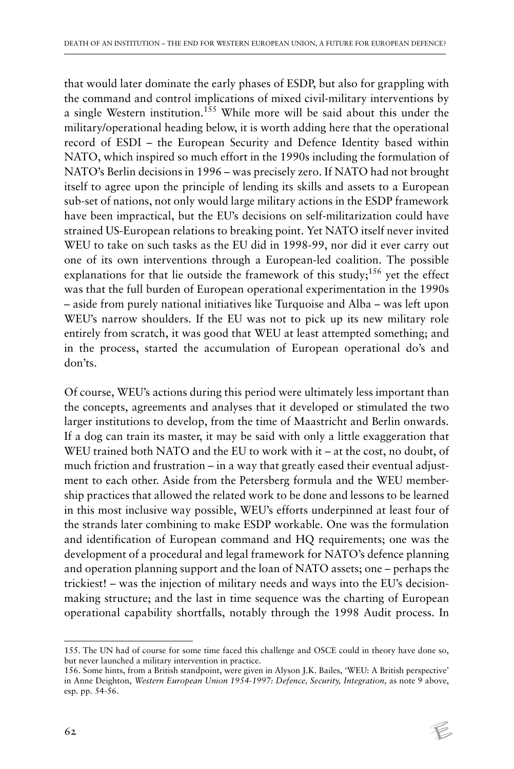that would later dominate the early phases of ESDP, but also for grappling with the command and control implications of mixed civil-military interventions by a single Western institution.<sup>155</sup> While more will be said about this under the military/operational heading below, it is worth adding here that the operational record of ESDI – the European Security and Defence Identity based within NATO, which inspired so much effort in the 1990s including the formulation of NATO's Berlin decisions in 1996 – was precisely zero. If NATO had not brought itself to agree upon the principle of lending its skills and assets to a European sub-set of nations, not only would large military actions in the ESDP framework have been impractical, but the EU's decisions on self-militarization could have strained US-European relations to breaking point. Yet NATO itself never invited WEU to take on such tasks as the EU did in 1998-99, nor did it ever carry out one of its own interventions through a European-led coalition. The possible explanations for that lie outside the framework of this study;<sup>156</sup> yet the effect was that the full burden of European operational experimentation in the 1990s – aside from purely national initiatives like Turquoise and Alba – was left upon WEU's narrow shoulders. If the EU was not to pick up its new military role entirely from scratch, it was good that WEU at least attempted something; and in the process, started the accumulation of European operational do's and don'ts.

Of course, WEU's actions during this period were ultimately less important than the concepts, agreements and analyses that it developed or stimulated the two larger institutions to develop, from the time of Maastricht and Berlin onwards. If a dog can train its master, it may be said with only a little exaggeration that WEU trained both NATO and the EU to work with it – at the cost, no doubt, of much friction and frustration – in a way that greatly eased their eventual adjustment to each other. Aside from the Petersberg formula and the WEU membership practices that allowed the related work to be done and lessons to be learned in this most inclusive way possible, WEU's efforts underpinned at least four of the strands later combining to make ESDP workable. One was the formulation and identification of European command and HQ requirements; one was the development of a procedural and legal framework for NATO's defence planning and operation planning support and the loan of NATO assets; one – perhaps the trickiest! – was the injection of military needs and ways into the EU's decisionmaking structure; and the last in time sequence was the charting of European operational capability shortfalls, notably through the 1998 Audit process. In

<sup>155.</sup> The UN had of course for some time faced this challenge and OSCE could in theory have done so, but never launched a military intervention in practice.

<sup>156.</sup> Some hints, from a British standpoint, were given in Alyson J.K. Bailes, 'WEU: A British perspective' in Anne Deighton, *Western European Union 1954-1997: Defence, Security, Integration,* as note 9 above, esp. pp. 54-56.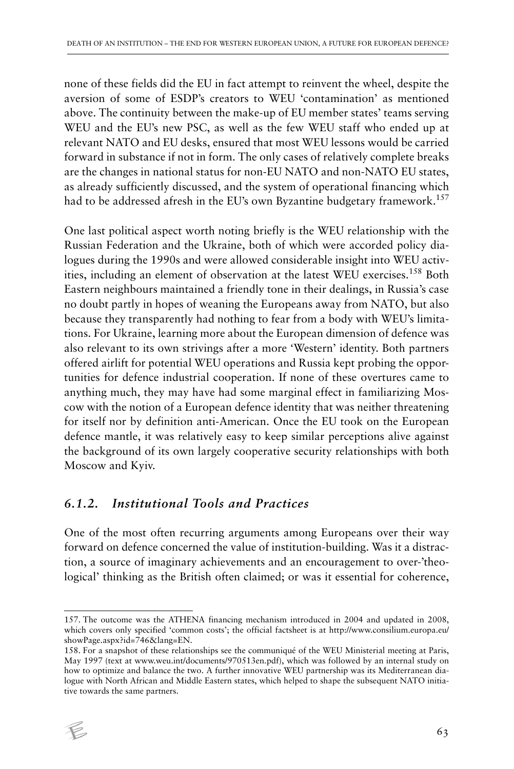none of these fields did the EU in fact attempt to reinvent the wheel, despite the aversion of some of ESDP's creators to WEU 'contamination' as mentioned above. The continuity between the make-up of EU member states' teams serving WEU and the EU's new PSC, as well as the few WEU staff who ended up at relevant NATO and EU desks, ensured that most WEU lessons would be carried forward in substance if not in form. The only cases of relatively complete breaks are the changes in national status for non-EU NATO and non-NATO EU states, as already sufficiently discussed, and the system of operational financing which had to be addressed afresh in the EU's own Byzantine budgetary framework.<sup>157</sup>

One last political aspect worth noting briefly is the WEU relationship with the Russian Federation and the Ukraine, both of which were accorded policy dialogues during the 1990s and were allowed considerable insight into WEU activities, including an element of observation at the latest WEU exercises.<sup>158</sup> Both Eastern neighbours maintained a friendly tone in their dealings, in Russia's case no doubt partly in hopes of weaning the Europeans away from NATO, but also because they transparently had nothing to fear from a body with WEU's limitations. For Ukraine, learning more about the European dimension of defence was also relevant to its own strivings after a more 'Western' identity. Both partners offered airlift for potential WEU operations and Russia kept probing the opportunities for defence industrial cooperation. If none of these overtures came to anything much, they may have had some marginal effect in familiarizing Moscow with the notion of a European defence identity that was neither threatening for itself nor by definition anti-American. Once the EU took on the European defence mantle, it was relatively easy to keep similar perceptions alive against the background of its own largely cooperative security relationships with both Moscow and Kyiv.

### *6.1.2. Institutional Tools and Practices*

One of the most often recurring arguments among Europeans over their way forward on defence concerned the value of institution-building. Was it a distraction, a source of imaginary achievements and an encouragement to over-'theological' thinking as the British often claimed; or was it essential for coherence,

<sup>158.</sup> For a snapshot of these relationships see the communiqué of the WEU Ministerial meeting at Paris, May 1997 (text at www.weu.int/documents/970513en.pdf), which was followed by an internal study on how to optimize and balance the two. A further innovative WEU partnership was its Mediterranean dialogue with North African and Middle Eastern states, which helped to shape the subsequent NATO initiative towards the same partners.



<sup>157.</sup> The outcome was the ATHENA financing mechanism introduced in 2004 and updated in 2008, which covers only specified 'common costs'; the official factsheet is at http://www.consilium.europa.eu/ showPage.aspx?id=746&lang=EN.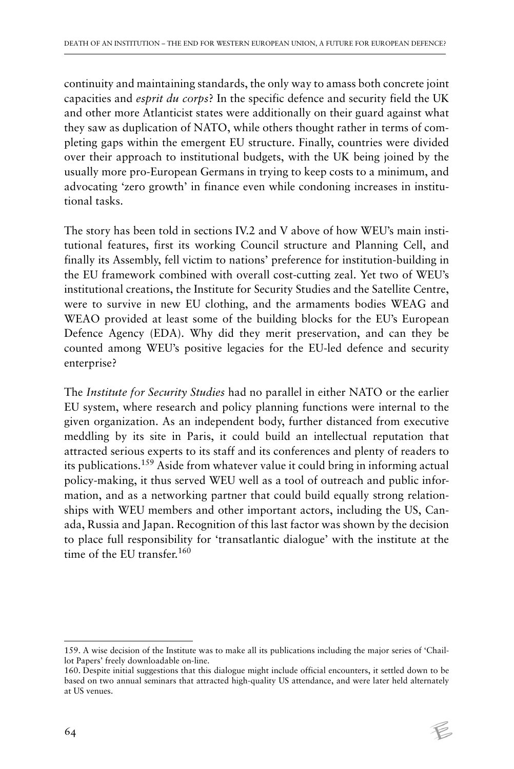continuity and maintaining standards, the only way to amass both concrete joint capacities and *esprit du corps*? In the specific defence and security field the UK and other more Atlanticist states were additionally on their guard against what they saw as duplication of NATO, while others thought rather in terms of completing gaps within the emergent EU structure. Finally, countries were divided over their approach to institutional budgets, with the UK being joined by the usually more pro-European Germans in trying to keep costs to a minimum, and advocating 'zero growth' in finance even while condoning increases in institutional tasks.

The story has been told in sections IV.2 and V above of how WEU's main institutional features, first its working Council structure and Planning Cell, and finally its Assembly, fell victim to nations' preference for institution-building in the EU framework combined with overall cost-cutting zeal. Yet two of WEU's institutional creations, the Institute for Security Studies and the Satellite Centre, were to survive in new EU clothing, and the armaments bodies WEAG and WEAO provided at least some of the building blocks for the EU's European Defence Agency (EDA). Why did they merit preservation, and can they be counted among WEU's positive legacies for the EU-led defence and security enterprise?

The *Institute for Security Studies* had no parallel in either NATO or the earlier EU system, where research and policy planning functions were internal to the given organization. As an independent body, further distanced from executive meddling by its site in Paris, it could build an intellectual reputation that attracted serious experts to its staff and its conferences and plenty of readers to its publications.159 Aside from whatever value it could bring in informing actual policy-making, it thus served WEU well as a tool of outreach and public information, and as a networking partner that could build equally strong relationships with WEU members and other important actors, including the US, Canada, Russia and Japan. Recognition of this last factor was shown by the decision to place full responsibility for 'transatlantic dialogue' with the institute at the time of the EU transfer.<sup>160</sup>

<sup>159.</sup> A wise decision of the Institute was to make all its publications including the major series of 'Chaillot Papers' freely downloadable on-line.

<sup>160.</sup> Despite initial suggestions that this dialogue might include official encounters, it settled down to be based on two annual seminars that attracted high-quality US attendance, and were later held alternately at US venues.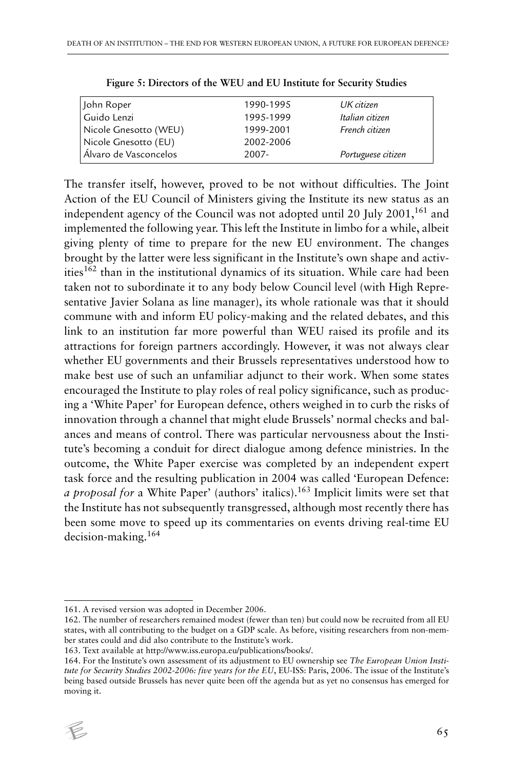| John Roper            | 1990-1995 | UK citizen         |
|-----------------------|-----------|--------------------|
| Guido Lenzi           | 1995-1999 | Italian citizen    |
| Nicole Gnesotto (WEU) | 1999-2001 | French citizen     |
| Nicole Gnesotto (EU)  | 2002-2006 |                    |
| Álvaro de Vasconcelos | 2007-     | Portuguese citizen |

The transfer itself, however, proved to be not without difficulties. The Joint Action of the EU Council of Ministers giving the Institute its new status as an independent agency of the Council was not adopted until 20 July  $2001$ ,  $161$  and implemented the following year. This left the Institute in limbo for a while, albeit giving plenty of time to prepare for the new EU environment. The changes brought by the latter were less significant in the Institute's own shape and activities $162$  than in the institutional dynamics of its situation. While care had been taken not to subordinate it to any body below Council level (with High Representative Javier Solana as line manager), its whole rationale was that it should commune with and inform EU policy-making and the related debates, and this link to an institution far more powerful than WEU raised its profile and its attractions for foreign partners accordingly. However, it was not always clear whether EU governments and their Brussels representatives understood how to make best use of such an unfamiliar adjunct to their work. When some states encouraged the Institute to play roles of real policy significance, such as producing a 'White Paper' for European defence, others weighed in to curb the risks of innovation through a channel that might elude Brussels' normal checks and balances and means of control. There was particular nervousness about the Institute's becoming a conduit for direct dialogue among defence ministries. In the outcome, the White Paper exercise was completed by an independent expert task force and the resulting publication in 2004 was called 'European Defence: *a proposal for* a White Paper' (authors' italics).<sup>163</sup> Implicit limits were set that the Institute has not subsequently transgressed, although most recently there has been some move to speed up its commentaries on events driving real-time EU decision-making.<sup>164</sup>

163. Text available at http://www.iss.europa.eu/publications/books/.

<sup>164.</sup> For the Institute's own assessment of its adjustment to EU ownership see *The European Union Institute for Security Studies 2002-2006: five years for the EU*, EU-ISS: Paris, 2006. The issue of the Institute's being based outside Brussels has never quite been off the agenda but as yet no consensus has emerged for moving it.



<sup>161.</sup> A revised version was adopted in December 2006.

<sup>162.</sup> The number of researchers remained modest (fewer than ten) but could now be recruited from all EU states, with all contributing to the budget on a GDP scale. As before, visiting researchers from non-member states could and did also contribute to the Institute's work.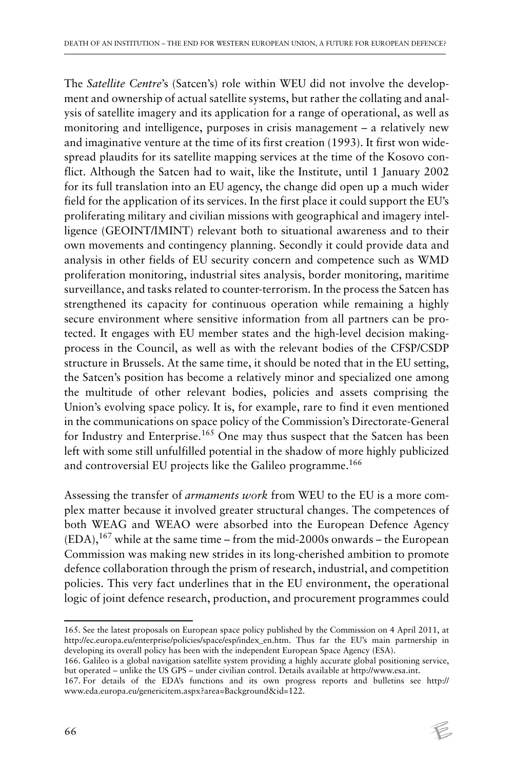The *Satellite Centre*'s (Satcen's) role within WEU did not involve the development and ownership of actual satellite systems, but rather the collating and analysis of satellite imagery and its application for a range of operational, as well as monitoring and intelligence, purposes in crisis management – a relatively new and imaginative venture at the time of its first creation (1993). It first won widespread plaudits for its satellite mapping services at the time of the Kosovo conflict. Although the Satcen had to wait, like the Institute, until 1 January 2002 for its full translation into an EU agency, the change did open up a much wider field for the application of its services. In the first place it could support the EU's proliferating military and civilian missions with geographical and imagery intelligence (GEOINT/IMINT) relevant both to situational awareness and to their own movements and contingency planning. Secondly it could provide data and analysis in other fields of EU security concern and competence such as WMD proliferation monitoring, industrial sites analysis, border monitoring, maritime surveillance, and tasks related to counter-terrorism. In the process the Satcen has strengthened its capacity for continuous operation while remaining a highly secure environment where sensitive information from all partners can be protected. It engages with EU member states and the high-level decision makingprocess in the Council, as well as with the relevant bodies of the CFSP/CSDP structure in Brussels. At the same time, it should be noted that in the EU setting, the Satcen's position has become a relatively minor and specialized one among the multitude of other relevant bodies, policies and assets comprising the Union's evolving space policy. It is, for example, rare to find it even mentioned in the communications on space policy of the Commission's Directorate-General for Industry and Enterprise.<sup>165</sup> One may thus suspect that the Satcen has been left with some still unfulfilled potential in the shadow of more highly publicized and controversial EU projects like the Galileo programme.<sup>166</sup>

Assessing the transfer of *armaments work* from WEU to the EU is a more complex matter because it involved greater structural changes. The competences of both WEAG and WEAO were absorbed into the European Defence Agency  $(EDA)$ ,  $^{167}$  while at the same time – from the mid-2000s onwards – the European Commission was making new strides in its long-cherished ambition to promote defence collaboration through the prism of research, industrial, and competition policies. This very fact underlines that in the EU environment, the operational logic of joint defence research, production, and procurement programmes could

<sup>165.</sup> See the latest proposals on European space policy published by the Commission on 4 April 2011, at http://ec.europa.eu/enterprise/policies/space/esp/index\_en.htm. Thus far the EU's main partnership in developing its overall policy has been with the independent European Space Agency (ESA).

<sup>166.</sup> Galileo is a global navigation satellite system providing a highly accurate global positioning service, but operated – unlike the US GPS – under civilian control. Details available at http://www.esa.int.

<sup>167.</sup> For details of the EDA's functions and its own progress reports and bulletins see http:// www.eda.europa.eu/genericitem.aspx?area=Background&id=122.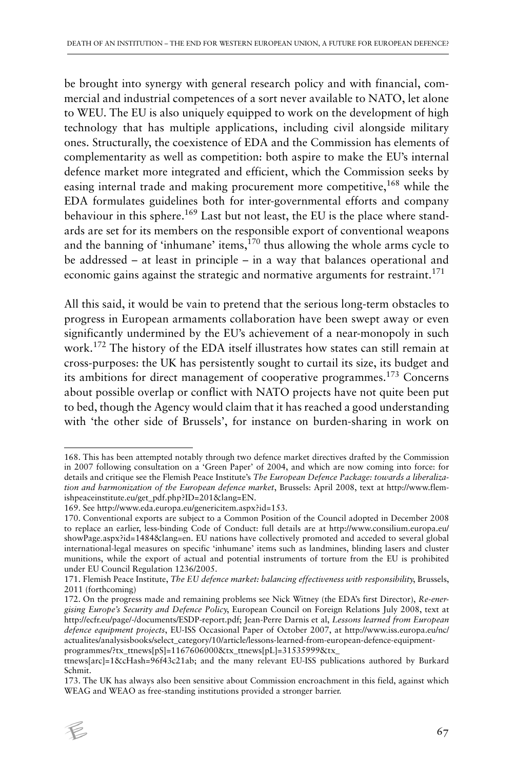be brought into synergy with general research policy and with financial, commercial and industrial competences of a sort never available to NATO, let alone to WEU. The EU is also uniquely equipped to work on the development of high technology that has multiple applications, including civil alongside military ones. Structurally, the coexistence of EDA and the Commission has elements of complementarity as well as competition: both aspire to make the EU's internal defence market more integrated and efficient, which the Commission seeks by easing internal trade and making procurement more competitive,<sup>168</sup> while the EDA formulates guidelines both for inter-governmental efforts and company behaviour in this sphere.<sup>169</sup> Last but not least, the EU is the place where standards are set for its members on the responsible export of conventional weapons and the banning of 'inhumane' items, $170$  thus allowing the whole arms cycle to be addressed – at least in principle – in a way that balances operational and economic gains against the strategic and normative arguments for restraint.<sup>171</sup>

All this said, it would be vain to pretend that the serious long-term obstacles to progress in European armaments collaboration have been swept away or even significantly undermined by the EU's achievement of a near-monopoly in such work.172 The history of the EDA itself illustrates how states can still remain at cross-purposes: the UK has persistently sought to curtail its size, its budget and its ambitions for direct management of cooperative programmes.173 Concerns about possible overlap or conflict with NATO projects have not quite been put to bed, though the Agency would claim that it has reached a good understanding with 'the other side of Brussels', for instance on burden-sharing in work on

<sup>173.</sup> The UK has always also been sensitive about Commission encroachment in this field, against which WEAG and WEAO as free-standing institutions provided a stronger barrier.



<sup>168.</sup> This has been attempted notably through two defence market directives drafted by the Commission in 2007 following consultation on a 'Green Paper' of 2004, and which are now coming into force: for details and critique see the Flemish Peace Institute's *The European Defence Package: towards a liberalization and harmonization of the European defence market*, Brussels: April 2008, text at http://www.flemishpeaceinstitute.eu/get\_pdf.php?ID=201&lang=EN.

<sup>169.</sup> See http://www.eda.europa.eu/genericitem.aspx?id=153.

<sup>170.</sup> Conventional exports are subject to a Common Position of the Council adopted in December 2008 to replace an earlier, less-binding Code of Conduct: full details are at http://www.consilium.europa.eu/ showPage.aspx?id=1484&lang=en. EU nations have collectively promoted and acceded to several global international-legal measures on specific 'inhumane' items such as landmines, blinding lasers and cluster munitions, while the export of actual and potential instruments of torture from the EU is prohibited under EU Council Regulation 1236/2005.

<sup>171.</sup> Flemish Peace Institute, *The EU defence market: balancing effectiveness with responsibility*, Brussels, 2011 (forthcoming)

<sup>172.</sup> On the progress made and remaining problems see Nick Witney (the EDA's first Director), *Re-energising Europe's Security and Defence Policy*, European Council on Foreign Relations July 2008, text at http://ecfr.eu/page/-/documents/ESDP-report.pdf; Jean-Perre Darnis et al, *Lessons learned from European defence equipment projects*, EU-ISS Occasional Paper of October 2007, at http://www.iss.europa.eu/nc/ actualites/analysisbooks/select\_category/10/article/lessons-learned-from-european-defence-equipmentprogrammes/?tx\_ttnews[pS]=1167606000&tx\_ttnews[pL]=31535999&tx\_

ttnews[arc]=1&cHash=96f43c21ab; and the many relevant EU-ISS publications authored by Burkard Schmit.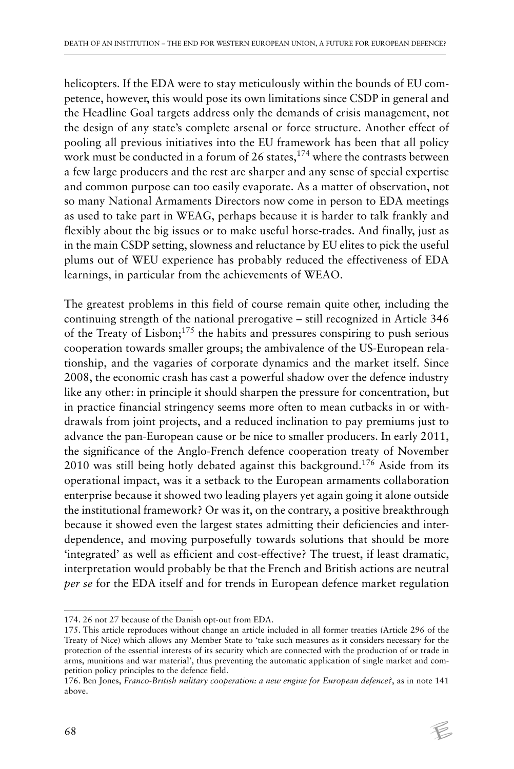helicopters. If the EDA were to stay meticulously within the bounds of EU competence, however, this would pose its own limitations since CSDP in general and the Headline Goal targets address only the demands of crisis management, not the design of any state's complete arsenal or force structure. Another effect of pooling all previous initiatives into the EU framework has been that all policy work must be conducted in a forum of 26 states, $174$  where the contrasts between a few large producers and the rest are sharper and any sense of special expertise and common purpose can too easily evaporate. As a matter of observation, not so many National Armaments Directors now come in person to EDA meetings as used to take part in WEAG, perhaps because it is harder to talk frankly and flexibly about the big issues or to make useful horse-trades. And finally, just as in the main CSDP setting, slowness and reluctance by EU elites to pick the useful plums out of WEU experience has probably reduced the effectiveness of EDA learnings, in particular from the achievements of WEAO.

The greatest problems in this field of course remain quite other, including the continuing strength of the national prerogative – still recognized in Article 346 of the Treaty of Lisbon;<sup>175</sup> the habits and pressures conspiring to push serious cooperation towards smaller groups; the ambivalence of the US-European relationship, and the vagaries of corporate dynamics and the market itself. Since 2008, the economic crash has cast a powerful shadow over the defence industry like any other: in principle it should sharpen the pressure for concentration, but in practice financial stringency seems more often to mean cutbacks in or withdrawals from joint projects, and a reduced inclination to pay premiums just to advance the pan-European cause or be nice to smaller producers. In early 2011, the significance of the Anglo-French defence cooperation treaty of November 2010 was still being hotly debated against this background.<sup>176</sup> Aside from its operational impact, was it a setback to the European armaments collaboration enterprise because it showed two leading players yet again going it alone outside the institutional framework? Or was it, on the contrary, a positive breakthrough because it showed even the largest states admitting their deficiencies and interdependence, and moving purposefully towards solutions that should be more 'integrated' as well as efficient and cost-effective? The truest, if least dramatic, interpretation would probably be that the French and British actions are neutral *per se* for the EDA itself and for trends in European defence market regulation

<sup>174. 26</sup> not 27 because of the Danish opt-out from EDA.

<sup>175.</sup> This article reproduces without change an article included in all former treaties (Article 296 of the Treaty of Nice) which allows any Member State to 'take such measures as it considers necessary for the protection of the essential interests of its security which are connected with the production of or trade in arms, munitions and war material', thus preventing the automatic application of single market and competition policy principles to the defence field.

<sup>176.</sup> Ben Jones, *Franco-British military cooperation: a new engine for European defence?*, as in note 141 above.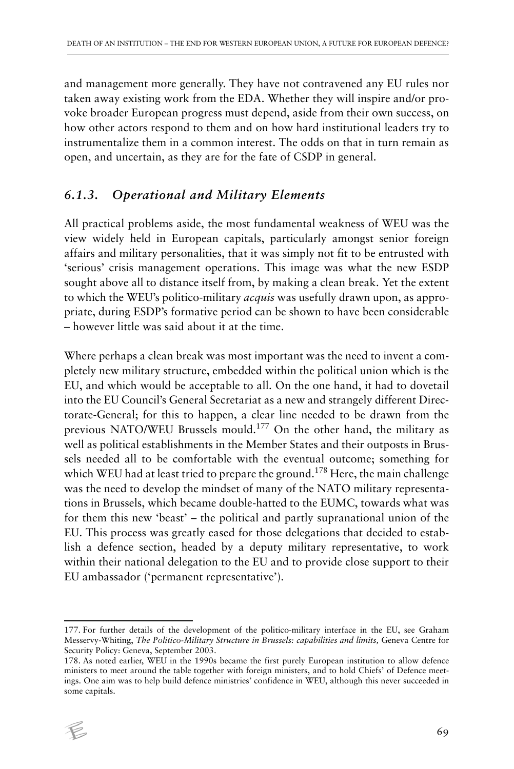and management more generally. They have not contravened any EU rules nor taken away existing work from the EDA. Whether they will inspire and/or provoke broader European progress must depend, aside from their own success, on how other actors respond to them and on how hard institutional leaders try to instrumentalize them in a common interest. The odds on that in turn remain as open, and uncertain, as they are for the fate of CSDP in general.

## *6.1.3. Operational and Military Elements*

All practical problems aside, the most fundamental weakness of WEU was the view widely held in European capitals, particularly amongst senior foreign affairs and military personalities, that it was simply not fit to be entrusted with 'serious' crisis management operations. This image was what the new ESDP sought above all to distance itself from, by making a clean break. Yet the extent to which the WEU's politico-military *acquis* was usefully drawn upon, as appropriate, during ESDP's formative period can be shown to have been considerable – however little was said about it at the time.

Where perhaps a clean break was most important was the need to invent a completely new military structure, embedded within the political union which is the EU, and which would be acceptable to all. On the one hand, it had to dovetail into the EU Council's General Secretariat as a new and strangely different Directorate-General; for this to happen, a clear line needed to be drawn from the previous NATO/WEU Brussels mould.177 On the other hand, the military as well as political establishments in the Member States and their outposts in Brussels needed all to be comfortable with the eventual outcome; something for which WEU had at least tried to prepare the ground.<sup>178</sup> Here, the main challenge was the need to develop the mindset of many of the NATO military representations in Brussels, which became double-hatted to the EUMC, towards what was for them this new 'beast' – the political and partly supranational union of the EU. This process was greatly eased for those delegations that decided to establish a defence section, headed by a deputy military representative, to work within their national delegation to the EU and to provide close support to their EU ambassador ('permanent representative').

<sup>178.</sup> As noted earlier, WEU in the 1990s became the first purely European institution to allow defence ministers to meet around the table together with foreign ministers, and to hold Chiefs' of Defence meetings. One aim was to help build defence ministries' confidence in WEU, although this never succeeded in some capitals.



<sup>177.</sup> For further details of the development of the politico-military interface in the EU, see Graham Messervy-Whiting, *The Politico-Military Structure in Brussels: capabilities and limits,* Geneva Centre for Security Policy: Geneva, September 2003.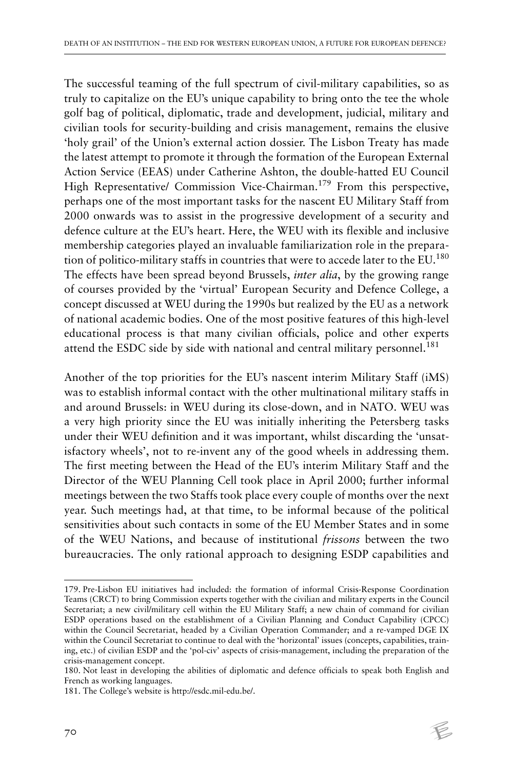The successful teaming of the full spectrum of civil-military capabilities, so as truly to capitalize on the EU's unique capability to bring onto the tee the whole golf bag of political, diplomatic, trade and development, judicial, military and civilian tools for security-building and crisis management, remains the elusive 'holy grail' of the Union's external action dossier. The Lisbon Treaty has made the latest attempt to promote it through the formation of the European External Action Service (EEAS) under Catherine Ashton, the double-hatted EU Council High Representative/ Commission Vice-Chairman.<sup>179</sup> From this perspective, perhaps one of the most important tasks for the nascent EU Military Staff from 2000 onwards was to assist in the progressive development of a security and defence culture at the EU's heart. Here, the WEU with its flexible and inclusive membership categories played an invaluable familiarization role in the preparation of politico-military staffs in countries that were to accede later to the EU.<sup>180</sup> The effects have been spread beyond Brussels, *inter alia*, by the growing range of courses provided by the 'virtual' European Security and Defence College, a concept discussed at WEU during the 1990s but realized by the EU as a network of national academic bodies. One of the most positive features of this high-level educational process is that many civilian officials, police and other experts attend the ESDC side by side with national and central military personnel.<sup>181</sup>

Another of the top priorities for the EU's nascent interim Military Staff (iMS) was to establish informal contact with the other multinational military staffs in and around Brussels: in WEU during its close-down, and in NATO. WEU was a very high priority since the EU was initially inheriting the Petersberg tasks under their WEU definition and it was important, whilst discarding the 'unsatisfactory wheels', not to re-invent any of the good wheels in addressing them. The first meeting between the Head of the EU's interim Military Staff and the Director of the WEU Planning Cell took place in April 2000; further informal meetings between the two Staffs took place every couple of months over the next year. Such meetings had, at that time, to be informal because of the political sensitivities about such contacts in some of the EU Member States and in some of the WEU Nations, and because of institutional *frissons* between the two bureaucracies. The only rational approach to designing ESDP capabilities and

 $\not\in$ 

<sup>179.</sup> Pre-Lisbon EU initiatives had included: the formation of informal Crisis-Response Coordination Teams (CRCT) to bring Commission experts together with the civilian and military experts in the Council Secretariat; a new civil/military cell within the EU Military Staff; a new chain of command for civilian ESDP operations based on the establishment of a Civilian Planning and Conduct Capability (CPCC) within the Council Secretariat, headed by a Civilian Operation Commander; and a re-vamped DGE IX within the Council Secretariat to continue to deal with the 'horizontal' issues (concepts, capabilities, training, etc.) of civilian ESDP and the 'pol-civ' aspects of crisis-management, including the preparation of the crisis-management concept.

<sup>180.</sup> Not least in developing the abilities of diplomatic and defence officials to speak both English and French as working languages.

<sup>181.</sup> The College's website is http://esdc.mil-edu.be/.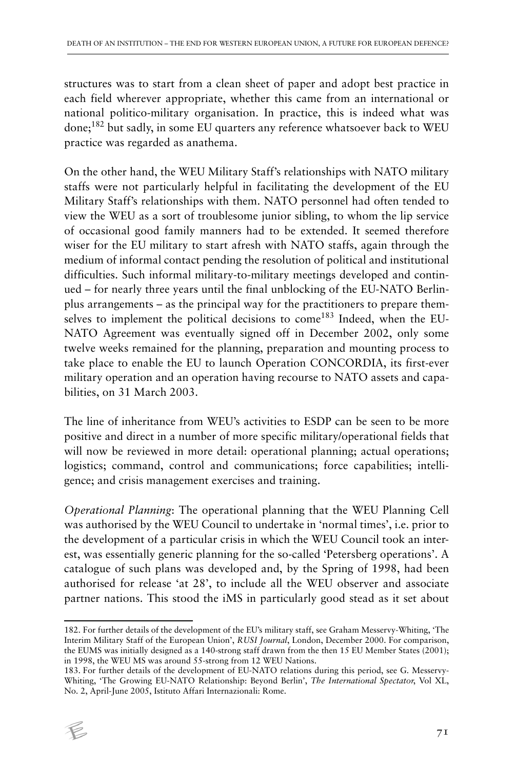structures was to start from a clean sheet of paper and adopt best practice in each field wherever appropriate, whether this came from an international or national politico-military organisation. In practice, this is indeed what was done;182 but sadly, in some EU quarters any reference whatsoever back to WEU practice was regarded as anathema.

On the other hand, the WEU Military Staff's relationships with NATO military staffs were not particularly helpful in facilitating the development of the EU Military Staff's relationships with them. NATO personnel had often tended to view the WEU as a sort of troublesome junior sibling, to whom the lip service of occasional good family manners had to be extended. It seemed therefore wiser for the EU military to start afresh with NATO staffs, again through the medium of informal contact pending the resolution of political and institutional difficulties. Such informal military-to-military meetings developed and continued – for nearly three years until the final unblocking of the EU-NATO Berlinplus arrangements – as the principal way for the practitioners to prepare themselves to implement the political decisions to come<sup>183</sup> Indeed, when the EU-NATO Agreement was eventually signed off in December 2002, only some twelve weeks remained for the planning, preparation and mounting process to take place to enable the EU to launch Operation CONCORDIA, its first-ever military operation and an operation having recourse to NATO assets and capabilities, on 31 March 2003.

The line of inheritance from WEU's activities to ESDP can be seen to be more positive and direct in a number of more specific military/operational fields that will now be reviewed in more detail: operational planning; actual operations; logistics; command, control and communications; force capabilities; intelligence; and crisis management exercises and training.

*Operational Planning*: The operational planning that the WEU Planning Cell was authorised by the WEU Council to undertake in 'normal times', i.e. prior to the development of a particular crisis in which the WEU Council took an interest, was essentially generic planning for the so-called 'Petersberg operations'. A catalogue of such plans was developed and, by the Spring of 1998, had been authorised for release 'at 28', to include all the WEU observer and associate partner nations. This stood the iMS in particularly good stead as it set about

<sup>183.</sup> For further details of the development of EU-NATO relations during this period, see G. Messervy-Whiting, 'The Growing EU-NATO Relationship: Beyond Berlin', *The International Spectator*, Vol XL, No. 2, April-June 2005, Istituto Affari Internazionali: Rome.



<sup>182.</sup> For further details of the development of the EU's military staff, see Graham Messervy-Whiting, 'The Interim Military Staff of the European Union', *RUSI Journal*, London, December 2000. For comparison, the EUMS was initially designed as a 140-strong staff drawn from the then 15 EU Member States (2001); in 1998, the WEU MS was around 55-strong from 12 WEU Nations.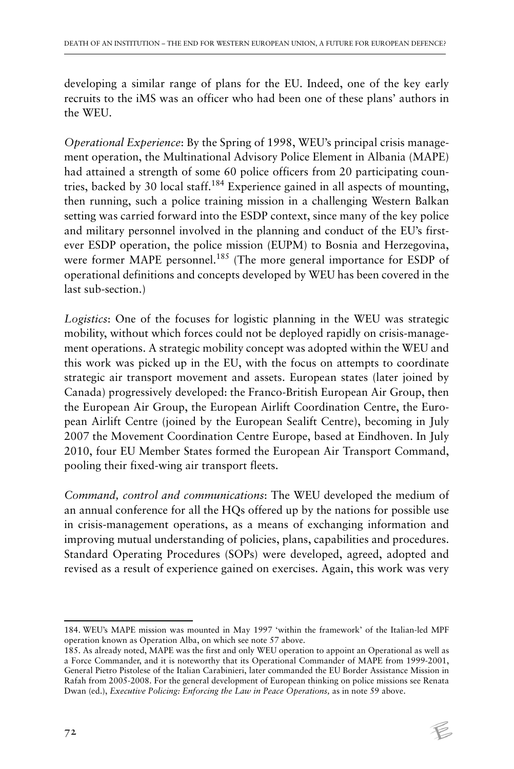developing a similar range of plans for the EU. Indeed, one of the key early recruits to the iMS was an officer who had been one of these plans' authors in the WEU.

*Operational Experience*: By the Spring of 1998, WEU's principal crisis management operation, the Multinational Advisory Police Element in Albania (MAPE) had attained a strength of some 60 police officers from 20 participating countries, backed by 30 local staff.<sup>184</sup> Experience gained in all aspects of mounting, then running, such a police training mission in a challenging Western Balkan setting was carried forward into the ESDP context, since many of the key police and military personnel involved in the planning and conduct of the EU's firstever ESDP operation, the police mission (EUPM) to Bosnia and Herzegovina, were former MAPE personnel.<sup>185</sup> (The more general importance for ESDP of operational definitions and concepts developed by WEU has been covered in the last sub-section.)

*Logistics*: One of the focuses for logistic planning in the WEU was strategic mobility, without which forces could not be deployed rapidly on crisis-management operations. A strategic mobility concept was adopted within the WEU and this work was picked up in the EU, with the focus on attempts to coordinate strategic air transport movement and assets. European states (later joined by Canada) progressively developed: the Franco-British European Air Group, then the European Air Group, the European Airlift Coordination Centre, the European Airlift Centre (joined by the European Sealift Centre), becoming in July 2007 the Movement Coordination Centre Europe, based at Eindhoven. In July 2010, four EU Member States formed the European Air Transport Command, pooling their fixed-wing air transport fleets.

*Command, control and communications*: The WEU developed the medium of an annual conference for all the HQs offered up by the nations for possible use in crisis-management operations, as a means of exchanging information and improving mutual understanding of policies, plans, capabilities and procedures. Standard Operating Procedures (SOPs) were developed, agreed, adopted and revised as a result of experience gained on exercises. Again, this work was very

<sup>184.</sup> WEU's MAPE mission was mounted in May 1997 'within the framework' of the Italian-led MPF operation known as Operation Alba, on which see note 57 above.

<sup>185.</sup> As already noted, MAPE was the first and only WEU operation to appoint an Operational as well as a Force Commander, and it is noteworthy that its Operational Commander of MAPE from 1999-2001, General Pietro Pistolese of the Italian Carabinieri, later commanded the EU Border Assistance Mission in Rafah from 2005-2008. For the general development of European thinking on police missions see Renata Dwan (ed.), *Executive Policing: Enforcing the Law in Peace Operations,* as in note 59 above.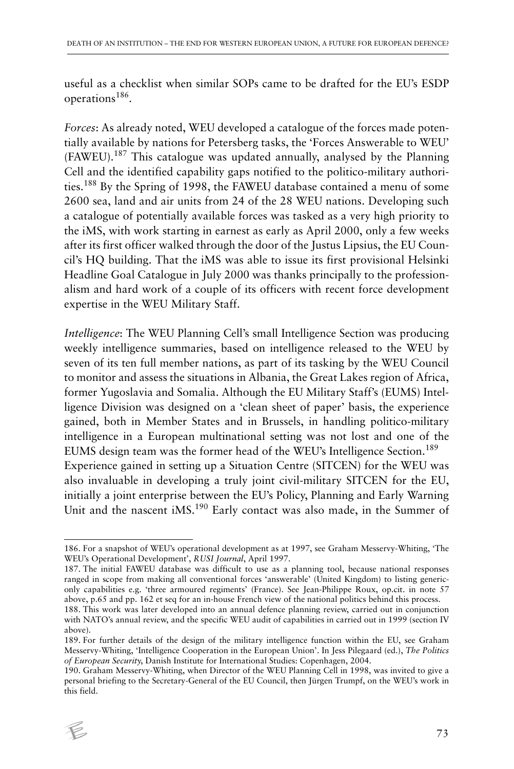useful as a checklist when similar SOPs came to be drafted for the EU's ESDP operations186.

*Forces*: As already noted, WEU developed a catalogue of the forces made potentially available by nations for Petersberg tasks, the 'Forces Answerable to WEU' (FAWEU).187 This catalogue was updated annually, analysed by the Planning Cell and the identified capability gaps notified to the politico-military authorities.188 By the Spring of 1998, the FAWEU database contained a menu of some 2600 sea, land and air units from 24 of the 28 WEU nations. Developing such a catalogue of potentially available forces was tasked as a very high priority to the iMS, with work starting in earnest as early as April 2000, only a few weeks after its first officer walked through the door of the Justus Lipsius, the EU Council's HQ building. That the iMS was able to issue its first provisional Helsinki Headline Goal Catalogue in July 2000 was thanks principally to the professionalism and hard work of a couple of its officers with recent force development expertise in the WEU Military Staff.

*Intelligence*: The WEU Planning Cell's small Intelligence Section was producing weekly intelligence summaries, based on intelligence released to the WEU by seven of its ten full member nations, as part of its tasking by the WEU Council to monitor and assess the situations in Albania, the Great Lakes region of Africa, former Yugoslavia and Somalia. Although the EU Military Staff's (EUMS) Intelligence Division was designed on a 'clean sheet of paper' basis, the experience gained, both in Member States and in Brussels, in handling politico-military intelligence in a European multinational setting was not lost and one of the EUMS design team was the former head of the WEU's Intelligence Section.<sup>189</sup> Experience gained in setting up a Situation Centre (SITCEN) for the WEU was also invaluable in developing a truly joint civil-military SITCEN for the EU, initially a joint enterprise between the EU's Policy, Planning and Early Warning Unit and the nascent  $iMS$ <sup>190</sup> Early contact was also made, in the Summer of

<sup>190.</sup> Graham Messervy-Whiting, when Director of the WEU Planning Cell in 1998, was invited to give a personal briefing to the Secretary-General of the EU Council, then Jürgen Trumpf, on the WEU's work in this field.



<sup>186.</sup> For a snapshot of WEU's operational development as at 1997, see Graham Messervy-Whiting, 'The WEU's Operational Development', *RUSI Journal*, April 1997.

<sup>187.</sup> The initial FAWEU database was difficult to use as a planning tool, because national responses ranged in scope from making all conventional forces 'answerable' (United Kingdom) to listing genericonly capabilities e.g. 'three armoured regiments' (France). See Jean-Philippe Roux, op.cit. in note 57 above, p.65 and pp. 162 et seq for an in-house French view of the national politics behind this process.

<sup>188.</sup> This work was later developed into an annual defence planning review, carried out in conjunction with NATO's annual review, and the specific WEU audit of capabilities in carried out in 1999 (section IV above).

<sup>189.</sup> For further details of the design of the military intelligence function within the EU, see Graham Messervy-Whiting, 'Intelligence Cooperation in the European Union'. In Jess Pilegaard (ed.), *The Politics of European Security*, Danish Institute for International Studies: Copenhagen, 2004.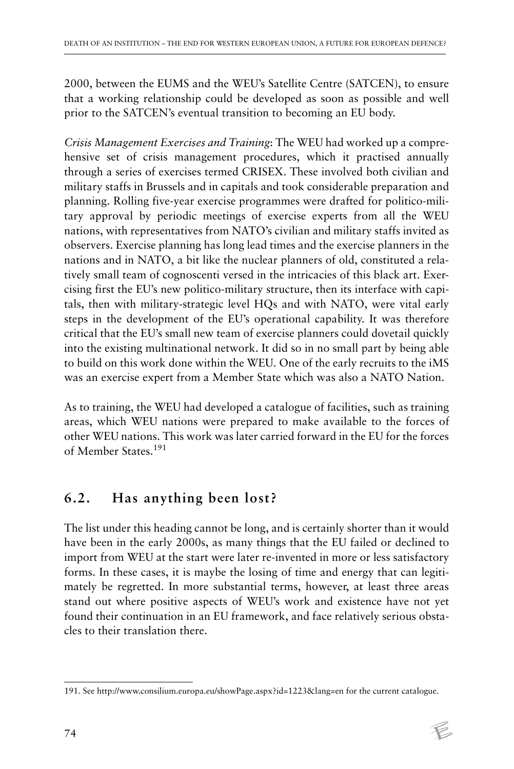2000, between the EUMS and the WEU's Satellite Centre (SATCEN), to ensure that a working relationship could be developed as soon as possible and well prior to the SATCEN's eventual transition to becoming an EU body.

*Crisis Management Exercises and Training*: The WEU had worked up a comprehensive set of crisis management procedures, which it practised annually through a series of exercises termed CRISEX. These involved both civilian and military staffs in Brussels and in capitals and took considerable preparation and planning. Rolling five-year exercise programmes were drafted for politico-military approval by periodic meetings of exercise experts from all the WEU nations, with representatives from NATO's civilian and military staffs invited as observers. Exercise planning has long lead times and the exercise planners in the nations and in NATO, a bit like the nuclear planners of old, constituted a relatively small team of cognoscenti versed in the intricacies of this black art. Exercising first the EU's new politico-military structure, then its interface with capitals, then with military-strategic level HQs and with NATO, were vital early steps in the development of the EU's operational capability. It was therefore critical that the EU's small new team of exercise planners could dovetail quickly into the existing multinational network. It did so in no small part by being able to build on this work done within the WEU. One of the early recruits to the iMS was an exercise expert from a Member State which was also a NATO Nation.

As to training, the WEU had developed a catalogue of facilities, such as training areas, which WEU nations were prepared to make available to the forces of other WEU nations. This work was later carried forward in the EU for the forces of Member States.<sup>191</sup>

## **6.2. Has anything been lost?**

The list under this heading cannot be long, and is certainly shorter than it would have been in the early 2000s, as many things that the EU failed or declined to import from WEU at the start were later re-invented in more or less satisfactory forms. In these cases, it is maybe the losing of time and energy that can legitimately be regretted. In more substantial terms, however, at least three areas stand out where positive aspects of WEU's work and existence have not yet found their continuation in an EU framework, and face relatively serious obstacles to their translation there.

<sup>191.</sup> See http://www.consilium.europa.eu/showPage.aspx?id=1223&lang=en for the current catalogue.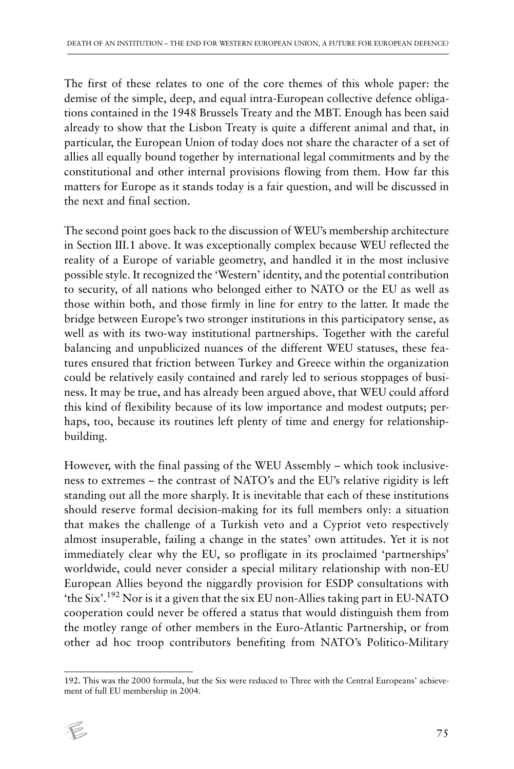The first of these relates to one of the core themes of this whole paper: the demise of the simple, deep, and equal intra-European collective defence obligations contained in the 1948 Brussels Treaty and the MBT. Enough has been said already to show that the Lisbon Treaty is quite a different animal and that, in particular, the European Union of today does not share the character of a set of allies all equally bound together by international legal commitments and by the constitutional and other internal provisions flowing from them. How far this matters for Europe as it stands today is a fair question, and will be discussed in the next and final section.

The second point goes back to the discussion of WEU's membership architecture in Section III.1 above. It was exceptionally complex because WEU reflected the reality of a Europe of variable geometry, and handled it in the most inclusive possible style. It recognized the 'Western' identity, and the potential contribution to security, of all nations who belonged either to NATO or the EU as well as those within both, and those firmly in line for entry to the latter. It made the bridge between Europe's two stronger institutions in this participatory sense, as well as with its two-way institutional partnerships. Together with the careful balancing and unpublicized nuances of the different WEU statuses, these features ensured that friction between Turkey and Greece within the organization could be relatively easily contained and rarely led to serious stoppages of business. It may be true, and has already been argued above, that WEU could afford this kind of flexibility because of its low importance and modest outputs; perhaps, too, because its routines left plenty of time and energy for relationshipbuilding.

However, with the final passing of the WEU Assembly – which took inclusiveness to extremes – the contrast of NATO's and the EU's relative rigidity is left standing out all the more sharply. It is inevitable that each of these institutions should reserve formal decision-making for its full members only: a situation that makes the challenge of a Turkish veto and a Cypriot veto respectively almost insuperable, failing a change in the states' own attitudes. Yet it is not immediately clear why the EU, so profligate in its proclaimed 'partnerships' worldwide, could never consider a special military relationship with non-EU European Allies beyond the niggardly provision for ESDP consultations with 'the Six'.192 Nor is it a given that the six EU non-Allies taking part in EU-NATO cooperation could never be offered a status that would distinguish them from the motley range of other members in the Euro-Atlantic Partnership, or from other ad hoc troop contributors benefiting from NATO's Politico-Military

<sup>192.</sup> This was the 2000 formula, but the Six were reduced to Three with the Central Europeans' achievement of full EU membership in 2004.

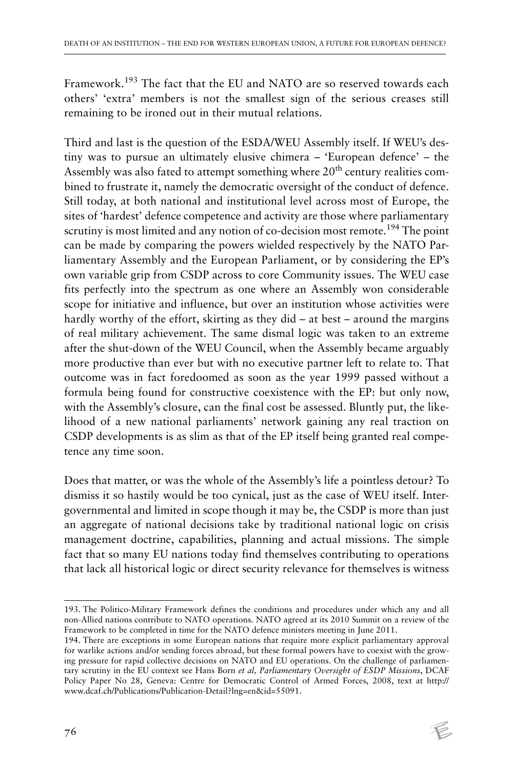Framework.193 The fact that the EU and NATO are so reserved towards each others' 'extra' members is not the smallest sign of the serious creases still remaining to be ironed out in their mutual relations.

Third and last is the question of the ESDA/WEU Assembly itself. If WEU's destiny was to pursue an ultimately elusive chimera – 'European defence' – the Assembly was also fated to attempt something where  $20<sup>th</sup>$  century realities combined to frustrate it, namely the democratic oversight of the conduct of defence. Still today, at both national and institutional level across most of Europe, the sites of 'hardest' defence competence and activity are those where parliamentary scrutiny is most limited and any notion of co-decision most remote.<sup>194</sup> The point can be made by comparing the powers wielded respectively by the NATO Parliamentary Assembly and the European Parliament, or by considering the EP's own variable grip from CSDP across to core Community issues. The WEU case fits perfectly into the spectrum as one where an Assembly won considerable scope for initiative and influence, but over an institution whose activities were hardly worthy of the effort, skirting as they did – at best – around the margins of real military achievement. The same dismal logic was taken to an extreme after the shut-down of the WEU Council, when the Assembly became arguably more productive than ever but with no executive partner left to relate to. That outcome was in fact foredoomed as soon as the year 1999 passed without a formula being found for constructive coexistence with the EP: but only now, with the Assembly's closure, can the final cost be assessed. Bluntly put, the likelihood of a new national parliaments' network gaining any real traction on CSDP developments is as slim as that of the EP itself being granted real competence any time soon.

Does that matter, or was the whole of the Assembly's life a pointless detour? To dismiss it so hastily would be too cynical, just as the case of WEU itself. Intergovernmental and limited in scope though it may be, the CSDP is more than just an aggregate of national decisions take by traditional national logic on crisis management doctrine, capabilities, planning and actual missions. The simple fact that so many EU nations today find themselves contributing to operations that lack all historical logic or direct security relevance for themselves is witness

<sup>194.</sup> There are exceptions in some European nations that require more explicit parliamentary approval for warlike actions and/or sending forces abroad, but these formal powers have to coexist with the growing pressure for rapid collective decisions on NATO and EU operations. On the challenge of parliamentary scrutiny in the EU context see Hans Born *et al, Parliamentary Oversight of ESDP Missions*, DCAF Policy Paper No 28, Geneva: Centre for Democratic Control of Armed Forces, 2008, text at http:// www.dcaf.ch/Publications/Publication-Detail?lng=en&id=55091.



<sup>193.</sup> The Politico-Military Framework defines the conditions and procedures under which any and all non-Allied nations contribute to NATO operations. NATO agreed at its 2010 Summit on a review of the Framework to be completed in time for the NATO defence ministers meeting in June 2011.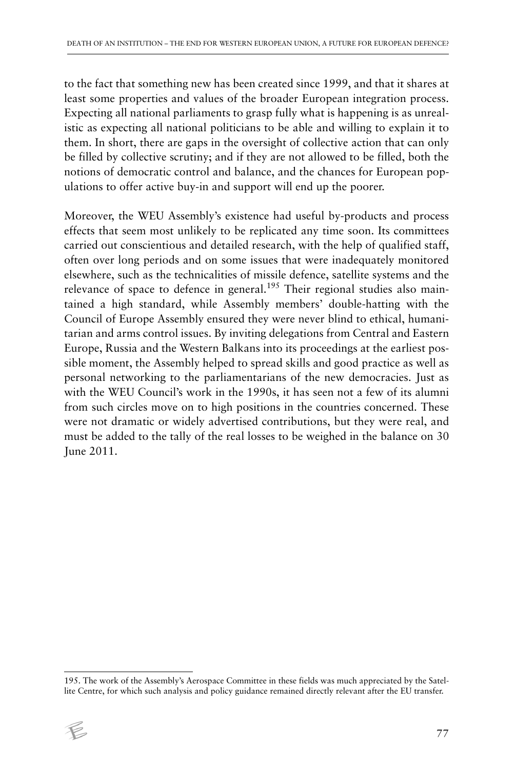to the fact that something new has been created since 1999, and that it shares at least some properties and values of the broader European integration process. Expecting all national parliaments to grasp fully what is happening is as unrealistic as expecting all national politicians to be able and willing to explain it to them. In short, there are gaps in the oversight of collective action that can only be filled by collective scrutiny; and if they are not allowed to be filled, both the notions of democratic control and balance, and the chances for European populations to offer active buy-in and support will end up the poorer.

Moreover, the WEU Assembly's existence had useful by-products and process effects that seem most unlikely to be replicated any time soon. Its committees carried out conscientious and detailed research, with the help of qualified staff, often over long periods and on some issues that were inadequately monitored elsewhere, such as the technicalities of missile defence, satellite systems and the relevance of space to defence in general.<sup>195</sup> Their regional studies also maintained a high standard, while Assembly members' double-hatting with the Council of Europe Assembly ensured they were never blind to ethical, humanitarian and arms control issues. By inviting delegations from Central and Eastern Europe, Russia and the Western Balkans into its proceedings at the earliest possible moment, the Assembly helped to spread skills and good practice as well as personal networking to the parliamentarians of the new democracies. Just as with the WEU Council's work in the 1990s, it has seen not a few of its alumni from such circles move on to high positions in the countries concerned. These were not dramatic or widely advertised contributions, but they were real, and must be added to the tally of the real losses to be weighed in the balance on 30 June 2011.

<sup>195.</sup> The work of the Assembly's Aerospace Committee in these fields was much appreciated by the Satellite Centre, for which such analysis and policy guidance remained directly relevant after the EU transfer.

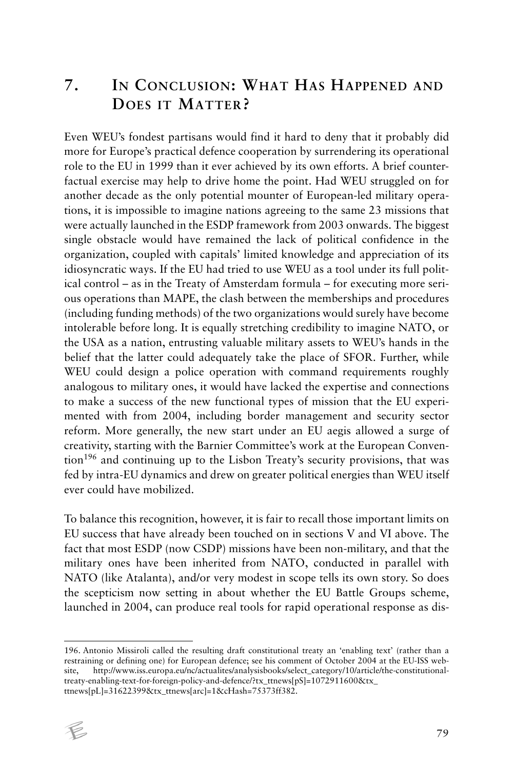## **7. IN CONCLUSION: WHAT HAS HAPPENED AND DOES IT MATTER?**

Even WEU's fondest partisans would find it hard to deny that it probably did more for Europe's practical defence cooperation by surrendering its operational role to the EU in 1999 than it ever achieved by its own efforts. A brief counterfactual exercise may help to drive home the point. Had WEU struggled on for another decade as the only potential mounter of European-led military operations, it is impossible to imagine nations agreeing to the same 23 missions that were actually launched in the ESDP framework from 2003 onwards. The biggest single obstacle would have remained the lack of political confidence in the organization, coupled with capitals' limited knowledge and appreciation of its idiosyncratic ways. If the EU had tried to use WEU as a tool under its full political control – as in the Treaty of Amsterdam formula – for executing more serious operations than MAPE, the clash between the memberships and procedures (including funding methods) of the two organizations would surely have become intolerable before long. It is equally stretching credibility to imagine NATO, or the USA as a nation, entrusting valuable military assets to WEU's hands in the belief that the latter could adequately take the place of SFOR. Further, while WEU could design a police operation with command requirements roughly analogous to military ones, it would have lacked the expertise and connections to make a success of the new functional types of mission that the EU experimented with from 2004, including border management and security sector reform. More generally, the new start under an EU aegis allowed a surge of creativity, starting with the Barnier Committee's work at the European Convention196 and continuing up to the Lisbon Treaty's security provisions, that was fed by intra-EU dynamics and drew on greater political energies than WEU itself ever could have mobilized.

To balance this recognition, however, it is fair to recall those important limits on EU success that have already been touched on in sections V and VI above. The fact that most ESDP (now CSDP) missions have been non-military, and that the military ones have been inherited from NATO, conducted in parallel with NATO (like Atalanta), and/or very modest in scope tells its own story. So does the scepticism now setting in about whether the EU Battle Groups scheme, launched in 2004, can produce real tools for rapid operational response as dis-

<sup>196.</sup> Antonio Missiroli called the resulting draft constitutional treaty an 'enabling text' (rather than a restraining or defining one) for European defence; see his comment of October 2004 at the EU-ISS website, http://www.iss.europa.eu/nc/actualites/analysisbooks/select\_category/10/article/the-constitutionaltreaty-enabling-text-for-foreign-policy-and-defence/?tx\_ttnews[pS]=1072911600&tx\_ ttnews[pL]=31622399&tx\_ttnews[arc]=1&cHash=75373ff382.

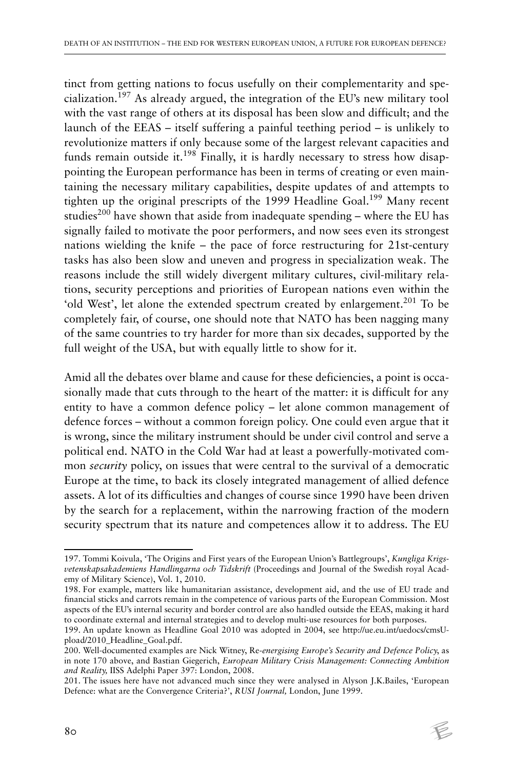tinct from getting nations to focus usefully on their complementarity and specialization.197 As already argued, the integration of the EU's new military tool with the vast range of others at its disposal has been slow and difficult; and the launch of the EEAS – itself suffering a painful teething period – is unlikely to revolutionize matters if only because some of the largest relevant capacities and funds remain outside it.<sup>198</sup> Finally, it is hardly necessary to stress how disappointing the European performance has been in terms of creating or even maintaining the necessary military capabilities, despite updates of and attempts to tighten up the original prescripts of the 1999 Headline Goal.<sup>199</sup> Many recent studies<sup>200</sup> have shown that aside from inadequate spending – where the EU has signally failed to motivate the poor performers, and now sees even its strongest nations wielding the knife – the pace of force restructuring for 21st-century tasks has also been slow and uneven and progress in specialization weak. The reasons include the still widely divergent military cultures, civil-military relations, security perceptions and priorities of European nations even within the 'old West', let alone the extended spectrum created by enlargement.<sup>201</sup> To be completely fair, of course, one should note that NATO has been nagging many of the same countries to try harder for more than six decades, supported by the full weight of the USA, but with equally little to show for it.

Amid all the debates over blame and cause for these deficiencies, a point is occasionally made that cuts through to the heart of the matter: it is difficult for any entity to have a common defence policy – let alone common management of defence forces – without a common foreign policy. One could even argue that it is wrong, since the military instrument should be under civil control and serve a political end. NATO in the Cold War had at least a powerfully-motivated common *security* policy, on issues that were central to the survival of a democratic Europe at the time, to back its closely integrated management of allied defence assets. A lot of its difficulties and changes of course since 1990 have been driven by the search for a replacement, within the narrowing fraction of the modern security spectrum that its nature and competences allow it to address. The EU

<sup>197.</sup> Tommi Koivula, 'The Origins and First years of the European Union's Battlegroups', *Kungliga Krigsvetenskapsakademiens Handlingarna och Tidskrift* (Proceedings and Journal of the Swedish royal Academy of Military Science), Vol. 1, 2010.

<sup>198.</sup> For example, matters like humanitarian assistance, development aid, and the use of EU trade and financial sticks and carrots remain in the competence of various parts of the European Commission. Most aspects of the EU's internal security and border control are also handled outside the EEAS, making it hard to coordinate external and internal strategies and to develop multi-use resources for both purposes.

<sup>199.</sup> An update known as Headline Goal 2010 was adopted in 2004, see http://ue.eu.int/uedocs/cmsUpload/2010\_Headline\_Goal.pdf.

<sup>200.</sup> Well-documented examples are Nick Witney, Re*-energising Europe's Security and Defence Policy*, as in note 170 above, and Bastian Giegerich, *European Military Crisis Management: Connecting Ambition and Reality,* IISS Adelphi Paper 397: London, 2008.

<sup>201.</sup> The issues here have not advanced much since they were analysed in Alyson J.K.Bailes, 'European Defence: what are the Convergence Criteria?', *RUSI Journal,* London, June 1999.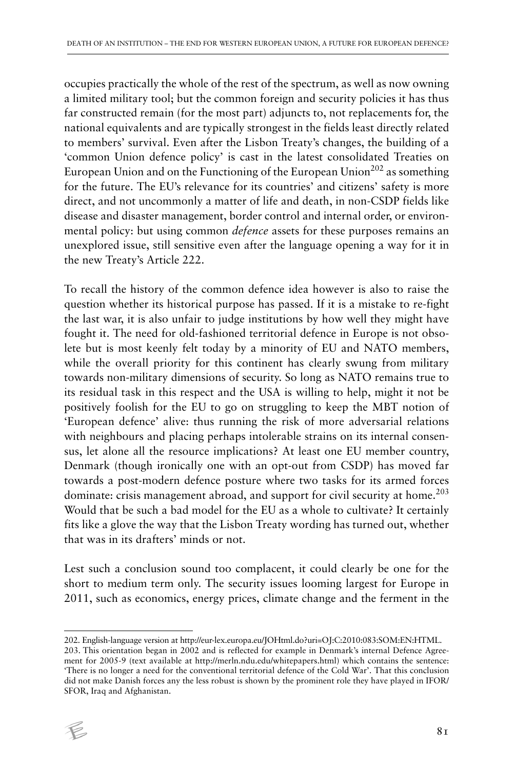occupies practically the whole of the rest of the spectrum, as well as now owning a limited military tool; but the common foreign and security policies it has thus far constructed remain (for the most part) adjuncts to, not replacements for, the national equivalents and are typically strongest in the fields least directly related to members' survival. Even after the Lisbon Treaty's changes, the building of a 'common Union defence policy' is cast in the latest consolidated Treaties on European Union and on the Functioning of the European Union<sup>202</sup> as something for the future. The EU's relevance for its countries' and citizens' safety is more direct, and not uncommonly a matter of life and death, in non-CSDP fields like disease and disaster management, border control and internal order, or environmental policy: but using common *defence* assets for these purposes remains an unexplored issue, still sensitive even after the language opening a way for it in the new Treaty's Article 222.

To recall the history of the common defence idea however is also to raise the question whether its historical purpose has passed. If it is a mistake to re-fight the last war, it is also unfair to judge institutions by how well they might have fought it. The need for old-fashioned territorial defence in Europe is not obsolete but is most keenly felt today by a minority of EU and NATO members, while the overall priority for this continent has clearly swung from military towards non-military dimensions of security. So long as NATO remains true to its residual task in this respect and the USA is willing to help, might it not be positively foolish for the EU to go on struggling to keep the MBT notion of 'European defence' alive: thus running the risk of more adversarial relations with neighbours and placing perhaps intolerable strains on its internal consensus, let alone all the resource implications? At least one EU member country, Denmark (though ironically one with an opt-out from CSDP) has moved far towards a post-modern defence posture where two tasks for its armed forces dominate: crisis management abroad, and support for civil security at home.<sup>203</sup> Would that be such a bad model for the EU as a whole to cultivate? It certainly fits like a glove the way that the Lisbon Treaty wording has turned out, whether that was in its drafters' minds or not.

Lest such a conclusion sound too complacent, it could clearly be one for the short to medium term only. The security issues looming largest for Europe in 2011, such as economics, energy prices, climate change and the ferment in the

<sup>203.</sup> This orientation began in 2002 and is reflected for example in Denmark's internal Defence Agreement for 2005-9 (text available at http://merln.ndu.edu/whitepapers.html) which contains the sentence: 'There is no longer a need for the conventional territorial defence of the Cold War'. That this conclusion did not make Danish forces any the less robust is shown by the prominent role they have played in IFOR/ SFOR, Iraq and Afghanistan.



<sup>202.</sup> English-language version at http://eur-lex.europa.eu/JOHtml.do?uri=OJ:C:2010:083:SOM:EN:HTML.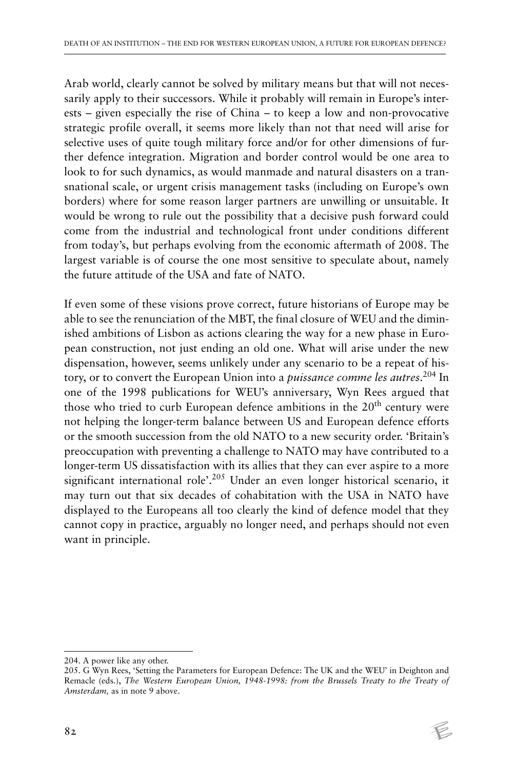Arab world, clearly cannot be solved by military means but that will not necessarily apply to their successors. While it probably will remain in Europe's interests – given especially the rise of China – to keep a low and non-provocative strategic profile overall, it seems more likely than not that need will arise for selective uses of quite tough military force and/or for other dimensions of further defence integration. Migration and border control would be one area to look to for such dynamics, as would manmade and natural disasters on a transnational scale, or urgent crisis management tasks (including on Europe's own borders) where for some reason larger partners are unwilling or unsuitable. It would be wrong to rule out the possibility that a decisive push forward could come from the industrial and technological front under conditions different from today's, but perhaps evolving from the economic aftermath of 2008. The largest variable is of course the one most sensitive to speculate about, namely the future attitude of the USA and fate of NATO.

If even some of these visions prove correct, future historians of Europe may be able to see the renunciation of the MBT, the final closure of WEU and the diminished ambitions of Lisbon as actions clearing the way for a new phase in European construction, not just ending an old one. What will arise under the new dispensation, however, seems unlikely under any scenario to be a repeat of history, or to convert the European Union into a *puissance comme les autres*. 204 In one of the 1998 publications for WEU's anniversary, Wyn Rees argued that those who tried to curb European defence ambitions in the 20<sup>th</sup> century were not helping the longer-term balance between US and European defence efforts or the smooth succession from the old NATO to a new security order. 'Britain's preoccupation with preventing a challenge to NATO may have contributed to a longer-term US dissatisfaction with its allies that they can ever aspire to a more significant international role<sup>2.05</sup> Under an even longer historical scenario, it may turn out that six decades of cohabitation with the USA in NATO have displayed to the Europeans all too clearly the kind of defence model that they cannot copy in practice, arguably no longer need, and perhaps should not even want in principle.

<sup>204.</sup> A power like any other.

<sup>205.</sup> G Wyn Rees, 'Setting the Parameters for European Defence: The UK and the WEU' in Deighton and Remacle (eds.), *The Western European Union, 1948-1998: from the Brussels Treaty to the Treaty of Amsterdam,* as in note 9 above.